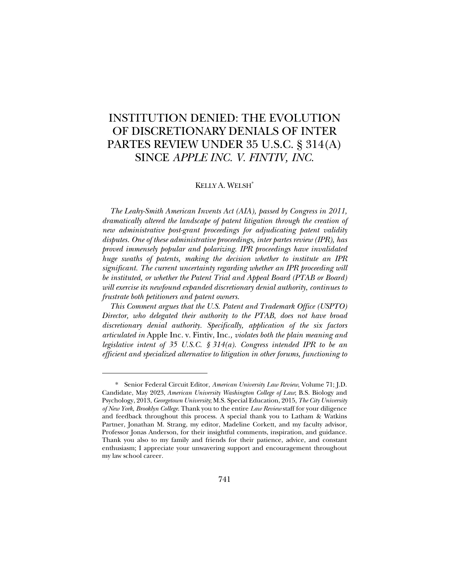# INSTITUTION DENIED: THE EVOLUTION OF DISCRETIONARY DENIALS OF INTER PARTES REVIEW UNDER 35 U.S.C. § 314(A) SINCE *APPLE INC. V. FINTIV, INC.*

# KELLY A. WELSH\*

*The Leahy-Smith American Invents Act (AIA), passed by Congress in 2011, dramatically altered the landscape of patent litigation through the creation of new administrative post-grant proceedings for adjudicating patent validity disputes. One of these administrative proceedings, inter partes review (IPR), has proved immensely popular and polarizing. IPR proceedings have invalidated huge swaths of patents, making the decision whether to institute an IPR significant. The current uncertainty regarding whether an IPR proceeding will be instituted, or whether the Patent Trial and Appeal Board (PTAB or Board) will exercise its newfound expanded discretionary denial authority, continues to frustrate both petitioners and patent owners.*

*This Comment argues that the U.S. Patent and Trademark Office (USPTO) Director, who delegated their authority to the PTAB, does not have broad discretionary denial authority. Specifically, application of the six factors articulated in* Apple Inc. v. Fintiv, Inc.*, violates both the plain meaning and legislative intent of 35 U.S.C. § 314(a). Congress intended IPR to be an efficient and specialized alternative to litigation in other forums, functioning to* 

<sup>\*</sup> Senior Federal Circuit Editor, *American University Law Review*, Volume 71; J.D. Candidate, May 2023, *American University Washington College of Law*; B.S. Biology and Psychology, 2013, *Georgetown University*; M.S. Special Education, 2015, *The City University of New York, Brooklyn College*. Thank you to the entire *Law Review* staff for your diligence and feedback throughout this process. A special thank you to Latham & Watkins Partner, Jonathan M. Strang, my editor, Madeline Corkett, and my faculty advisor, Professor Jonas Anderson, for their insightful comments, inspiration, and guidance. Thank you also to my family and friends for their patience, advice, and constant enthusiasm; I appreciate your unwavering support and encouragement throughout my law school career.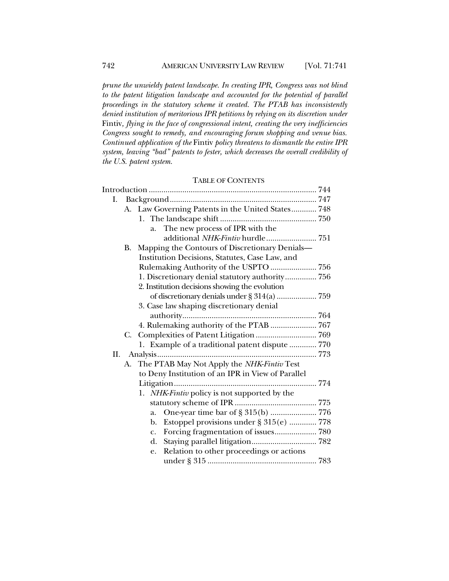*prune the unwieldy patent landscape. In creating IPR, Congress was not blind to the patent litigation landscape and accounted for the potential of parallel proceedings in the statutory scheme it created. The PTAB has inconsistently denied institution of meritorious IPR petitions by relying on its discretion under*  Fintiv*, flying in the face of congressional intent, creating the very inefficiencies Congress sought to remedy, and encouraging forum shopping and venue bias. Continued application of the* Fintiv *policy threatens to dismantle the entire IPR system, leaving "bad" patents to fester, which decreases the overall credibility of the U.S. patent system.*

# TABLE OF CONTENTS

| Ι. |    |                                                   |  |
|----|----|---------------------------------------------------|--|
|    |    | A. Law Governing Patents in the United States 748 |  |
|    |    |                                                   |  |
|    |    | The new process of IPR with the<br>a.             |  |
|    |    | additional NHK-Fintiv hurdle 751                  |  |
|    | В. | Mapping the Contours of Discretionary Denials-    |  |
|    |    | Institution Decisions, Statutes, Case Law, and    |  |
|    |    | Rulemaking Authority of the USPTO  756            |  |
|    |    | 1. Discretionary denial statutory authority 756   |  |
|    |    | 2. Institution decisions showing the evolution    |  |
|    |    |                                                   |  |
|    |    | 3. Case law shaping discretionary denial          |  |
|    |    |                                                   |  |
|    |    | 4. Rulemaking authority of the PTAB  767          |  |
|    | C. |                                                   |  |
|    |    | 1. Example of a traditional patent dispute  770   |  |
| П. |    |                                                   |  |
|    | А. | The PTAB May Not Apply the NHK-Fintiv Test        |  |
|    |    | to Deny Institution of an IPR in View of Parallel |  |
|    |    |                                                   |  |
|    |    | 1. NHK-Fintiv policy is not supported by the      |  |
|    |    |                                                   |  |
|    |    | a.                                                |  |
|    |    | Estoppel provisions under § 315(e)  778<br>b.     |  |
|    |    | $\mathbf{c}$ .                                    |  |
|    |    | d.                                                |  |
|    |    | Relation to other proceedings or actions<br>e.    |  |
|    |    |                                                   |  |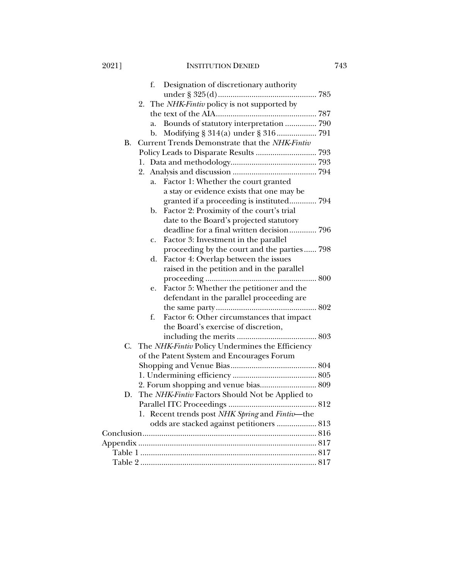# 2021] INSTITUTION DENIED 743

|           | Designation of discretionary authority<br>f.       |
|-----------|----------------------------------------------------|
|           |                                                    |
|           | 2. The NHK-Fintiv policy is not supported by       |
|           |                                                    |
|           | Bounds of statutory interpretation  790<br>a.      |
|           | b.                                                 |
| <b>B.</b> | Current Trends Demonstrate that the NHK-Fintiv     |
|           | Policy Leads to Disparate Results  793             |
|           |                                                    |
|           |                                                    |
|           | Factor 1: Whether the court granted<br>a.          |
|           | a stay or evidence exists that one may be          |
|           | granted if a proceeding is instituted 794          |
|           | Factor 2: Proximity of the court's trial<br>b.     |
|           | date to the Board's projected statutory            |
|           | deadline for a final written decision 796          |
|           | Factor 3: Investment in the parallel<br>c.         |
|           | proceeding by the court and the parties 798        |
|           | Factor 4: Overlap between the issues<br>d.         |
|           | raised in the petition and in the parallel         |
|           |                                                    |
|           | Factor 5: Whether the petitioner and the<br>e.     |
|           | defendant in the parallel proceeding are           |
|           |                                                    |
|           | Factor 6: Other circumstances that impact<br>f.    |
|           | the Board's exercise of discretion,                |
|           |                                                    |
| C.        | The NHK-Fintiv Policy Undermines the Efficiency    |
|           | of the Patent System and Encourages Forum          |
|           |                                                    |
|           |                                                    |
|           | 2. Forum shopping and venue bias 809               |
|           | D. The NHK-Fintiv Factors Should Not be Applied to |
|           |                                                    |
|           | 1. Recent trends post NHK Spring and Fintiv-the    |
|           | odds are stacked against petitioners  813          |
|           |                                                    |
|           |                                                    |
|           |                                                    |
|           |                                                    |
|           |                                                    |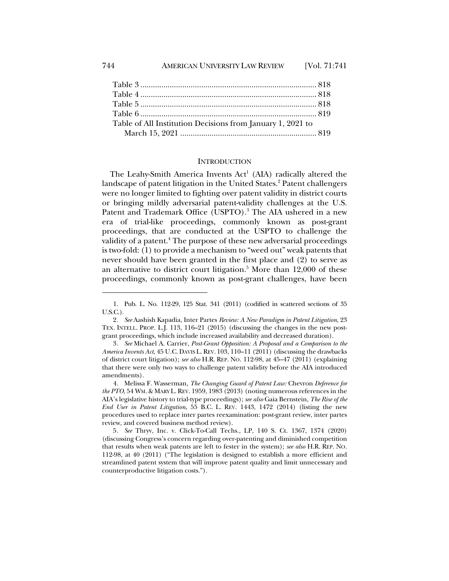| Table of All Institution Decisions from January 1, 2021 to |  |
|------------------------------------------------------------|--|
|                                                            |  |

# **INTRODUCTION**

The Leahy-Smith America Invents  $Act<sup>1</sup>$  (AIA) radically altered the landscape of patent litigation in the United States.<sup>2</sup> Patent challengers were no longer limited to fighting over patent validity in district courts or bringing mildly adversarial patent-validity challenges at the U.S. Patent and Trademark Office (USPTO).<sup>3</sup> The AIA ushered in a new era of trial-like proceedings, commonly known as post-grant proceedings, that are conducted at the USPTO to challenge the validity of a patent.<sup>4</sup> The purpose of these new adversarial proceedings is two-fold: (1) to provide a mechanism to "weed out" weak patents that never should have been granted in the first place and (2) to serve as an alternative to district court litigation.<sup>5</sup> More than  $12,000$  of these proceedings, commonly known as post-grant challenges, have been

<sup>1.</sup> Pub. L. No. 112-29, 125 Stat. 341 (2011) (codified in scattered sections of 35 U.S.C.).

<sup>2</sup>*. See* Aashish Kapadia, Inter Partes *Review: A New Paradigm in Patent Litigation*, 23 TEX. INTELL. PROP. L.J. 113, 116–21 (2015) (discussing the changes in the new postgrant proceedings, which include increased availability and decreased duration).

<sup>3</sup>*. See* Michael A. Carrier, *Post-Grant Opposition: A Proposal and a Comparison to the America Invents Act*, 45 U.C. DAVIS L. REV. 103, 110–11 (2011) (discussing the drawbacks of district court litigation); *see also* H.R. REP. NO. 112-98, at 45–47 (2011) (explaining that there were only two ways to challenge patent validity before the AIA introduced amendments).

<sup>4.</sup> Melissa F. Wasserman, *The Changing Guard of Patent Law:* Chevron *Deference for the PTO*, 54 WM. & MARY L. REV. 1959, 1983 (2013) (noting numerous references in the AIA's legislative history to trial-type proceedings); *see also* Gaia Bernstein, *The Rise of the End User in Patent Litigation*, 55 B.C. L. REV. 1443, 1472 (2014) (listing the new procedures used to replace inter partes reexamination: post-grant review, inter partes review, and covered business method review).

<sup>5</sup>*. See* Thryv, Inc. v. Click-To-Call Techs., LP, 140 S. Ct. 1367, 1374 (2020) (discussing Congress's concern regarding over-patenting and diminished competition that results when weak patents are left to fester in the system); *see also* H.R. REP. NO. 112-98, at 40 (2011) ("The legislation is designed to establish a more efficient and streamlined patent system that will improve patent quality and limit unnecessary and counterproductive litigation costs.").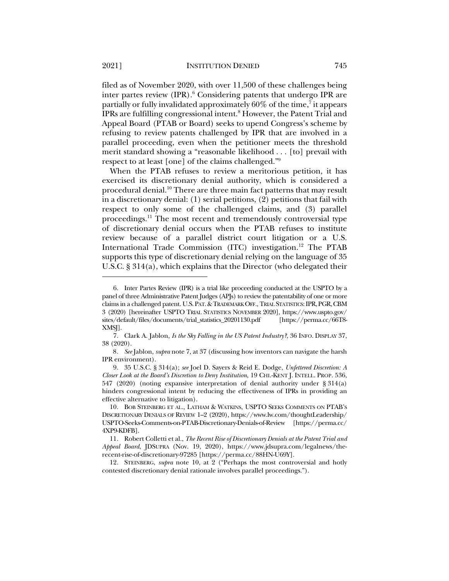filed as of November 2020, with over 11,500 of these challenges being inter partes review  $(IPR)$ .<sup>6</sup> Considering patents that undergo IPR are partially or fully invalidated approximately  $60\%$  of the time, $^7$  it appears IPRs are fulfilling congressional intent.8 However, the Patent Trial and Appeal Board (PTAB or Board) seeks to upend Congress's scheme by refusing to review patents challenged by IPR that are involved in a parallel proceeding, even when the petitioner meets the threshold merit standard showing a "reasonable likelihood . . . [to] prevail with respect to at least [one] of the claims challenged."9

When the PTAB refuses to review a meritorious petition, it has exercised its discretionary denial authority, which is considered a procedural denial.10 There are three main fact patterns that may result in a discretionary denial: (1) serial petitions, (2) petitions that fail with respect to only some of the challenged claims, and (3) parallel proceedings.11 The most recent and tremendously controversial type of discretionary denial occurs when the PTAB refuses to institute review because of a parallel district court litigation or a U.S. International Trade Commission (ITC) investigation.<sup>12</sup> The PTAB supports this type of discretionary denial relying on the language of 35 U.S.C. § 314(a), which explains that the Director (who delegated their

<sup>6.</sup> Inter Partes Review (IPR) is a trial like proceeding conducted at the USPTO by a panel of three Administrative Patent Judges (APJs) to review the patentability of one or more claims in a challenged patent. U.S.PAT.&TRADEMARK OFF., TRIAL STATISTICS:IPR,PGR,CBM 3 (2020) [hereinafter USPTO TRIAL STATISTICS NOVEMBER 2020], https://www.uspto.gov/ sites/default/files/documents/trial\_statistics\_20201130.pdf [https://perma.cc/66T8-XMSJ].

<sup>7.</sup> Clark A. Jablon, *Is the Sky Falling in the US Patent Industry?*, 36 INFO. DISPLAY 37, 38 (2020).

<sup>8</sup>*. See* Jablon, *supra* note 7, at 37 (discussing how inventors can navigate the harsh IPR environment).

<sup>9.</sup> 35 U.S.C. § 314(a); *see* Joel D. Sayers & Reid E. Dodge, *Unfettered Discretion: A Closer Look at the Board's Discretion to Deny Institution*, 19 CHI.-KENT J. INTELL. PROP. 536, 547 (2020) (noting expansive interpretation of denial authority under § 314(a) hinders congressional intent by reducing the effectiveness of IPRs in providing an effective alternative to litigation).

<sup>10.</sup> BOB STEINBERG ET AL., LATHAM & WATKINS, USPTO SEEKS COMMENTS ON PTAB'S DISCRETIONARY DENIALS OF REVIEW 1–2 (2020), https://www.lw.com/thoughtLeadership/ USPTO-Seeks-Comments-on-PTAB-Discretionary-Denials-of-Review [https://perma.cc/ 4XP9-KDFB].

<sup>11.</sup> Robert Colletti et al., *The Recent Rise of Discretionary Denials at the Patent Trial and Appeal Board*, JDSUPRA (Nov. 19, 2020), https://www.jdsupra.com/legalnews/therecent-rise-of-discretionary-97285 [https://perma.cc/88HN-U69Y].

<sup>12.</sup> STEINBERG, *supra* note 10, at 2 ("Perhaps the most controversial and hotly contested discretionary denial rationale involves parallel proceedings.").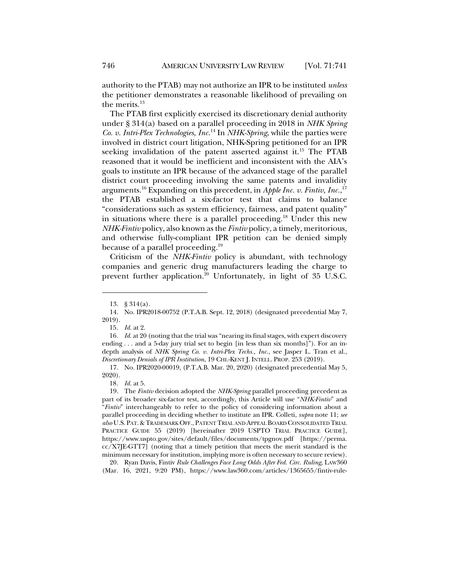authority to the PTAB) may not authorize an IPR to be instituted *unless* the petitioner demonstrates a reasonable likelihood of prevailing on the merits.<sup>13</sup>

The PTAB first explicitly exercised its discretionary denial authority under § 314(a) based on a parallel proceeding in 2018 in *NHK Spring Co. v. Intri-Plex Technologies, Inc.*<sup>14</sup> In *NHK-Spring*, while the parties were involved in district court litigation, NHK-Spring petitioned for an IPR seeking invalidation of the patent asserted against it.15 The PTAB reasoned that it would be inefficient and inconsistent with the AIA's goals to institute an IPR because of the advanced stage of the parallel district court proceeding involving the same patents and invalidity arguments.16 Expanding on this precedent, in *Apple Inc. v. Fintiv, Inc.*, 17 the PTAB established a six-factor test that claims to balance "considerations such as system efficiency, fairness, and patent quality" in situations where there is a parallel proceeding.<sup>18</sup> Under this new *NHK-Fintiv* policy, also known as the *Fintiv* policy, a timely, meritorious, and otherwise fully-compliant IPR petition can be denied simply because of a parallel proceeding.<sup>19</sup>

Criticism of the *NHK-Fintiv* policy is abundant, with technology companies and generic drug manufacturers leading the charge to prevent further application.<sup>20</sup> Unfortunately, in light of 35 U.S.C.

<sup>13.</sup> § 314(a).

<sup>14.</sup> No. IPR2018-00752 (P.T.A.B. Sept. 12, 2018) (designated precedential May 7, 2019).

<sup>15</sup>*. Id.* at 2.

<sup>16</sup>*. Id.* at 20 (noting that the trial was "nearing its final stages, with expert discovery ending . . . and a 5-day jury trial set to begin [in less than six months]"). For an indepth analysis of *NHK Spring Co. v. Intri-Plex Techs., Inc.*, see Jasper L. Tran et al., *Discretionary Denials of IPR Institution*, 19 CHI.-KENT J. INTELL. PROP. 253 (2019).

<sup>17.</sup> No. IPR2020-00019, (P.T.A.B. Mar. 20, 2020) (designated precedential May 5, 2020).

<sup>18</sup>*. Id.* at 5.

<sup>19.</sup> The *Fintiv* decision adopted the *NHK-Spring* parallel proceeding precedent as part of its broader six-factor test, accordingly, this Article will use "*NHK-Fintiv*" and "*Fintiv*" interchangeably to refer to the policy of considering information about a parallel proceeding in deciding whether to institute an IPR. Colleti, *supra* note 11; *see also* U.S. PAT. &TRADEMARK OFF., PATENT TRIAL AND APPEAL BOARD CONSOLIDATED TRIAL PRACTICE GUIDE 55 (2019) [hereinafter 2019 USPTO TRIAL PRACTICE GUIDE], https://www.uspto.gov/sites/default/files/documents/tpgnov.pdf [https://perma. cc/X7JE-GTT7] (noting that a timely petition that meets the merit standard is the minimum necessary for institution, implying more is often necessary to secure review).

<sup>20.</sup> Ryan Davis, Fintiv *Rule Challenges Face Long Odds After Fed. Circ. Ruling*, LAW360 (Mar. 16, 2021, 9:20 PM), https://www.law360.com/articles/1365655/fintiv-rule-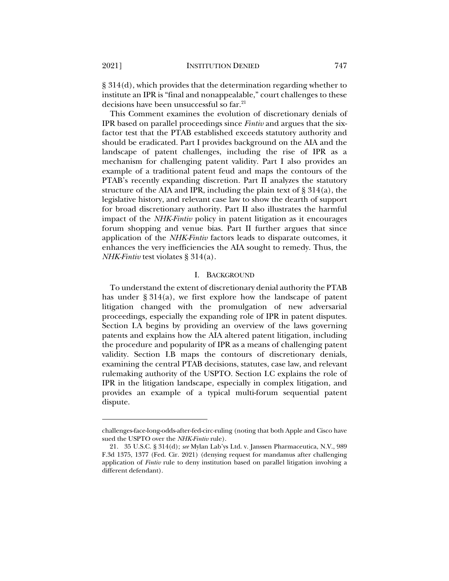§ 314(d), which provides that the determination regarding whether to institute an IPR is "final and nonappealable," court challenges to these decisions have been unsuccessful so far.<sup>21</sup>

This Comment examines the evolution of discretionary denials of IPR based on parallel proceedings since *Fintiv* and argues that the sixfactor test that the PTAB established exceeds statutory authority and should be eradicated. Part I provides background on the AIA and the landscape of patent challenges, including the rise of IPR as a mechanism for challenging patent validity. Part I also provides an example of a traditional patent feud and maps the contours of the PTAB's recently expanding discretion. Part II analyzes the statutory structure of the AIA and IPR, including the plain text of  $\S 314(a)$ , the legislative history, and relevant case law to show the dearth of support for broad discretionary authority. Part II also illustrates the harmful impact of the *NHK-Fintiv* policy in patent litigation as it encourages forum shopping and venue bias. Part II further argues that since application of the *NHK-Fintiv* factors leads to disparate outcomes, it enhances the very inefficiencies the AIA sought to remedy. Thus, the *NHK-Fintiv* test violates § 314(a).

### I. BACKGROUND

To understand the extent of discretionary denial authority the PTAB has under § 314(a), we first explore how the landscape of patent litigation changed with the promulgation of new adversarial proceedings, especially the expanding role of IPR in patent disputes. Section I.A begins by providing an overview of the laws governing patents and explains how the AIA altered patent litigation, including the procedure and popularity of IPR as a means of challenging patent validity. Section I.B maps the contours of discretionary denials, examining the central PTAB decisions, statutes, case law, and relevant rulemaking authority of the USPTO. Section I.C explains the role of IPR in the litigation landscape, especially in complex litigation, and provides an example of a typical multi-forum sequential patent dispute.

challenges-face-long-odds-after-fed-circ-ruling (noting that both Apple and Cisco have sued the USPTO over the *NHK-Fintiv* rule).

<sup>21.</sup> 35 U.S.C. § 314(d); *see* Mylan Lab'ys Ltd. v. Janssen Pharmaceutica, N.V., 989 F.3d 1375, 1377 (Fed. Cir. 2021) (denying request for mandamus after challenging application of *Fintiv* rule to deny institution based on parallel litigation involving a different defendant).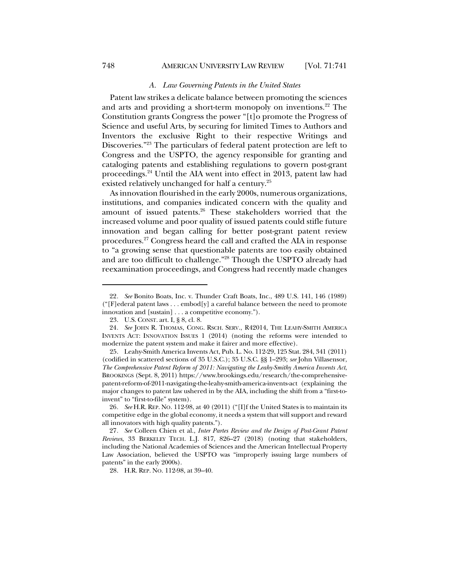### *A. Law Governing Patents in the United States*

Patent law strikes a delicate balance between promoting the sciences and arts and providing a short-term monopoly on inventions.<sup>22</sup> The Constitution grants Congress the power "[t]o promote the Progress of Science and useful Arts, by securing for limited Times to Authors and Inventors the exclusive Right to their respective Writings and Discoveries."23 The particulars of federal patent protection are left to Congress and the USPTO, the agency responsible for granting and cataloging patents and establishing regulations to govern post-grant proceedings.24 Until the AIA went into effect in 2013, patent law had existed relatively unchanged for half a century.<sup>25</sup>

As innovation flourished in the early 2000s, numerous organizations, institutions, and companies indicated concern with the quality and amount of issued patents.<sup>26</sup> These stakeholders worried that the increased volume and poor quality of issued patents could stifle future innovation and began calling for better post-grant patent review procedures.27 Congress heard the call and crafted the AIA in response to "a growing sense that questionable patents are too easily obtained and are too difficult to challenge."28 Though the USPTO already had reexamination proceedings, and Congress had recently made changes

28. H.R. REP. NO. 112-98, at 39–40.

<sup>22</sup>*. See* Bonito Boats, Inc. v. Thunder Craft Boats, Inc., 489 U.S. 141, 146 (1989) ("[F]ederal patent laws . . . embod[y] a careful balance between the need to promote innovation and [sustain] . . . a competitive economy.").

<sup>23.</sup> U.S. CONST. art. I, § 8, cl. 8.

<sup>24</sup>*. See* JOHN R. THOMAS, CONG. RSCH. SERV., R42014, THE LEAHY-SMITH AMERICA INVENTS ACT: INNOVATION ISSUES 1 (2014) (noting the reforms were intended to modernize the patent system and make it fairer and more effective).

<sup>25.</sup> Leahy-Smith America Invents Act, Pub. L. No. 112-29, 125 Stat. 284, 341 (2011) (codified in scattered sections of 35 U.S.C.); 35 U.S.C. §§ 1–293; *see* John Villasensor, *The Comprehensive Patent Reform of 2011: Navigating the Leahy-Smithy America Invents Act*, BROOKINGS (Sept. 8, 2011) https://www.brookings.edu/research/the-comprehensivepatent-reform-of-2011-navigating-the-leahy-smith-america-invents-act (explaining the major changes to patent law ushered in by the AIA, including the shift from a "first-toinvent" to "first-to-file" system).

<sup>26</sup>*. See* H.R. REP. NO. 112-98, at 40 (2011) ("[I]f the United States is to maintain its competitive edge in the global economy, it needs a system that will support and reward all innovators with high quality patents.").

<sup>27</sup>*. See* Colleen Chien et al., *Inter Partes Review and the Design of Post-Grant Patent Reviews*, 33 BERKELEY TECH. L.J. 817, 826–27 (2018) (noting that stakeholders, including the National Academies of Sciences and the American Intellectual Property Law Association, believed the USPTO was "improperly issuing large numbers of patents" in the early 2000s).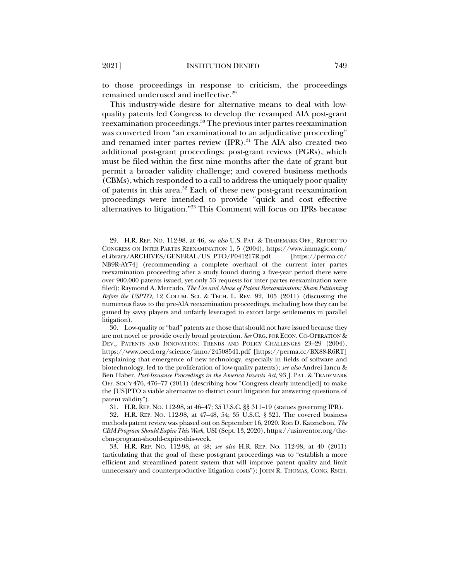to those proceedings in response to criticism, the proceedings remained underused and ineffective.29

This industry-wide desire for alternative means to deal with lowquality patents led Congress to develop the revamped AIA post-grant reexamination proceedings.<sup>30</sup> The previous inter partes reexamination was converted from "an examinational to an adjudicative proceeding" and renamed inter partes review (IPR).<sup>31</sup> The AIA also created two additional post-grant proceedings: post-grant reviews (PGRs), which must be filed within the first nine months after the date of grant but permit a broader validity challenge; and covered business methods (CBMs), which responded to a call to address the uniquely poor quality of patents in this area.32 Each of these new post-grant reexamination proceedings were intended to provide "quick and cost effective alternatives to litigation."33 This Comment will focus on IPRs because

<sup>29.</sup> H.R. REP. NO. 112-98, at 46; *see also* U.S. PAT. & TRADEMARK OFF., REPORT TO CONGRESS ON INTER PARTES REEXAMINATION 1, 5 (2004), https://www.immagic.com/ eLibrary/ARCHIVES/GENERAL/US\_PTO/P041217R.pdf [https://perma.cc/ NB9R-AY74] (recommending a complete overhaul of the current inter partes reexamination proceeding after a study found during a five-year period there were over 900,000 patents issued, yet only 53 requests for inter partes reexamination were filed); Raymond A. Mercado, *The Use and Abuse of Patent Reexamination: Sham Petitioning Before the USPTO*, 12 COLUM. SCI. & TECH. L. REV. 92, 105 (2011) (discussing the numerous flaws to the pre-AIA reexamination proceedings, including how they can be gamed by savvy players and unfairly leveraged to extort large settlements in parallel litigation).

<sup>30.</sup> Low-quality or "bad" patents are those that should not have issued because they are not novel or provide overly broad protection. *See* ORG. FOR ECON. CO-OPERATION & DEV., PATENTS AND INNOVATION: TRENDS AND POLICY CHALLENGES 23-29 (2004), https://www.oecd.org/science/inno/24508541.pdf [https://perma.cc/BX88-R6RT] (explaining that emergence of new technology, especially in fields of software and biotechnology, led to the proliferation of low-quality patents); *see also* Andrei Iancu & Ben Haber, *Post-Issuance Proceedings in the America Invents Act*, 93 J. PAT. & TRADEMARK OFF. SOC'Y 476, 476–77 (2011) (describing how "Congress clearly intend[ed] to make the [US]PTO a viable alternative to district court litigation for answering questions of patent validity").

<sup>31.</sup> H.R. REP. NO. 112-98, at 46–47; 35 U.S.C. §§ 311–19 (statues governing IPR).

<sup>32.</sup> H.R. REP. NO. 112-98, at 47–48, 54; 35 U.S.C. § 321. The covered business methods patent review was phased out on September 16, 2020. Ron D. Katznelson, *The CBM Program Should Expire This Week*, USI (Sept. 13, 2020), https://usinventor.org/thecbm-program-should-expire-this-week.

<sup>33.</sup> H.R. REP. NO. 112-98, at 48; *see also* H.R. REP. NO. 112-98, at 40 (2011) (articulating that the goal of these post-grant proceedings was to "establish a more efficient and streamlined patent system that will improve patent quality and limit unnecessary and counterproductive litigation costs"); JOHN R. THOMAS, CONG. RSCH.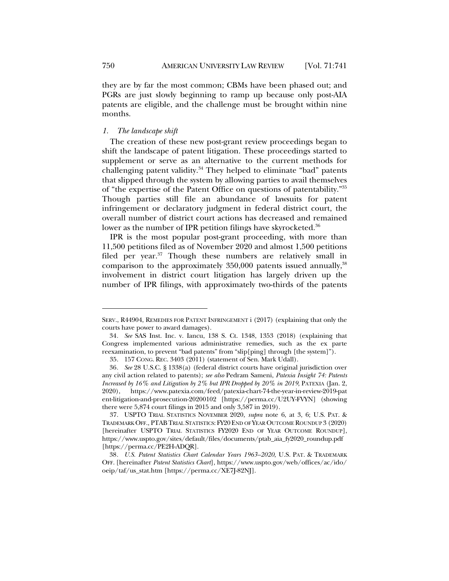they are by far the most common; CBMs have been phased out; and PGRs are just slowly beginning to ramp up because only post-AIA patents are eligible, and the challenge must be brought within nine months.

# *1. The landscape shift*

The creation of these new post-grant review proceedings began to shift the landscape of patent litigation. These proceedings started to supplement or serve as an alternative to the current methods for challenging patent validity. $34$  They helped to eliminate "bad" patents that slipped through the system by allowing parties to avail themselves of "the expertise of the Patent Office on questions of patentability."35 Though parties still file an abundance of lawsuits for patent infringement or declaratory judgment in federal district court, the overall number of district court actions has decreased and remained lower as the number of IPR petition filings have skyrocketed.<sup>36</sup>

IPR is the most popular post-grant proceeding, with more than 11,500 petitions filed as of November 2020 and almost 1,500 petitions filed per year. <sup>37</sup> Though these numbers are relatively small in comparison to the approximately 350,000 patents issued annually,<sup>38</sup> involvement in district court litigation has largely driven up the number of IPR filings, with approximately two-thirds of the patents

SERV., R44904, REMEDIES FOR PATENT INFRINGEMENT i (2017) (explaining that only the courts have power to award damages).

<sup>34</sup>*. See* SAS Inst. Inc. v. Iancu, 138 S. Ct. 1348, 1353 (2018) (explaining that Congress implemented various administrative remedies, such as the ex parte reexamination, to prevent "bad patents" from "slip[ping] through [the system]").

<sup>35.</sup> 157 CONG. REC. 3403 (2011) (statement of Sen. Mark Udall).

<sup>36</sup>*. See* 28 U.S.C. § 1338(a) (federal district courts have original jurisdiction over any civil action related to patents); *see also* Pedram Sameni, *Patexia Insight 74: Patents Increased by 16% and Litigation by 2% but IPR Dropped by 20% in 2019*, PATEXIA (Jan. 2, 2020), https://www.patexia.com/feed/patexia-chart-74-the-year-in-review-2019-pat ent-litigation-and-prosecution-20200102 [https://perma.cc/U2UY-FVYN] (showing there were 5,874 court filings in 2015 and only 3,587 in 2019).

<sup>37.</sup> USPTO TRIAL STATISTICS NOVEMBER 2020, *supra* note 6, at 3, 6; U.S. PAT. & TRADEMARK OFF., PTABTRIAL STATISTICS: FY20END OF YEAR OUTCOME ROUNDUP 3 (2020) [hereinafter USPTO TRIAL STATISTICS FY2020 END OF YEAR OUTCOME ROUNDUP], https://www.uspto.gov/sites/default/files/documents/ptab\_aia\_fy2020\_roundup.pdf [https://perma.cc/PE2H-ADQR].

<sup>38</sup>*. U.S. Patent Statistics Chart Calendar Years 1963–2020*, U.S. PAT. & TRADEMARK OFF. [hereinafter *Patent Statistics Chart*], https://www.uspto.gov/web/offices/ac/ido/ oeip/taf/us\_stat.htm [https://perma.cc/XE7J-82NJ].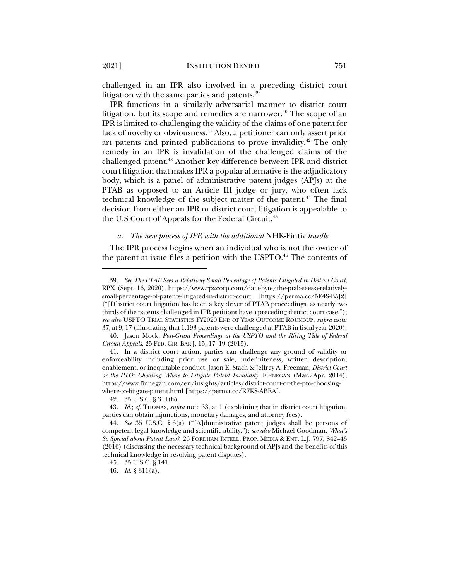challenged in an IPR also involved in a preceding district court litigation with the same parties and patents.<sup>39</sup>

IPR functions in a similarly adversarial manner to district court litigation, but its scope and remedies are narrower. $40$  The scope of an IPR is limited to challenging the validity of the claims of one patent for lack of novelty or obviousness.<sup>41</sup> Also, a petitioner can only assert prior art patents and printed publications to prove invalidity.<sup>42</sup> The only remedy in an IPR is invalidation of the challenged claims of the challenged patent.43 Another key difference between IPR and district court litigation that makes IPR a popular alternative is the adjudicatory body, which is a panel of administrative patent judges (APJs) at the PTAB as opposed to an Article III judge or jury, who often lack technical knowledge of the subject matter of the patent.<sup>44</sup> The final decision from either an IPR or district court litigation is appealable to the U.S Court of Appeals for the Federal Circuit.45

#### *a. The new process of IPR with the additional* NHK-Fintiv *hurdle*

The IPR process begins when an individual who is not the owner of the patent at issue files a petition with the USPTO.<sup>46</sup> The contents of

<sup>39</sup>*. See The PTAB Sees a Relatively Small Percentage of Patents Litigated in District Court*, RPX (Sept. 16, 2020), https://www.rpxcorp.com/data-byte/the-ptab-sees-a-relativelysmall-percentage-of-patents-litigated-in-district-court [https://perma.cc/5E4S-B5J2] ("[D]istrict court litigation has been a key driver of PTAB proceedings, as nearly two thirds of the patents challenged in IPR petitions have a preceding district court case."); *see also* USPTO TRIAL STATISTICS FY2020 END OF YEAR OUTCOME ROUNDUP, *supra* note 37, at 9, 17 (illustrating that 1,193 patents were challenged at PTAB in fiscal year 2020).

<sup>40.</sup> Jason Mock, *Post-Grant Proceedings at the USPTO and the Rising Tide of Federal Circuit Appeals*, 25 FED. CIR. BAR J. 15, 17–19 (2015).

<sup>41.</sup> In a district court action, parties can challenge any ground of validity or enforceability including prior use or sale, indefiniteness, written description, enablement, or inequitable conduct. Jason E. Stach & Jeffrey A. Freeman, *District Court or the PTO: Choosing Where to Litigate Patent Invalidity*, FINNEGAN (Mar./Apr. 2014), https://www.finnegan.com/en/insights/articles/district-court-or-the-pto-choosingwhere-to-litigate-patent.html [https://perma.cc/R7K8-ABEA].

<sup>42.</sup> 35 U.S.C. § 311(b).

<sup>43</sup>*. Id.*; *cf.* THOMAS, *supra* note 33, at 1 (explaining that in district court litigation, parties can obtain injunctions, monetary damages, and attorney fees).

<sup>44</sup>*. See* 35 U.S.C. § 6(a) ("[A]dministrative patent judges shall be persons of competent legal knowledge and scientific ability."); *see also* Michael Goodman, *What's So Special about Patent Law?*, 26 FORDHAM INTELL. PROP. MEDIA & ENT. L.J. 797, 842–43 (2016) (discussing the necessary technical background of APJs and the benefits of this technical knowledge in resolving patent disputes).

<sup>45.</sup> 35 U.S.C. § 141.

<sup>46</sup>*. Id.* § 311(a).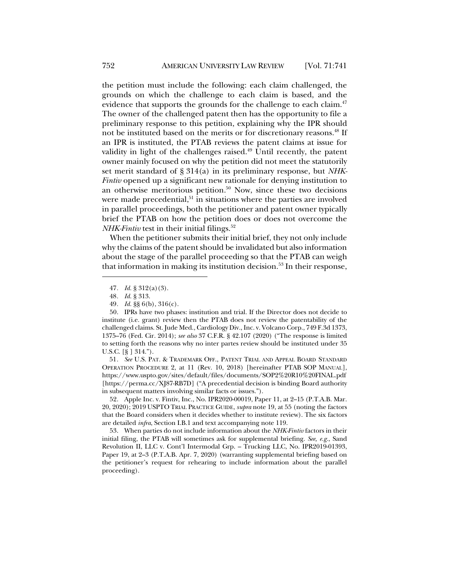the petition must include the following: each claim challenged, the grounds on which the challenge to each claim is based, and the evidence that supports the grounds for the challenge to each claim. $47$ The owner of the challenged patent then has the opportunity to file a preliminary response to this petition, explaining why the IPR should not be instituted based on the merits or for discretionary reasons.<sup>48</sup> If an IPR is instituted, the PTAB reviews the patent claims at issue for validity in light of the challenges raised.<sup>49</sup> Until recently, the patent owner mainly focused on why the petition did not meet the statutorily set merit standard of § 314(a) in its preliminary response, but *NHK-Fintiv* opened up a significant new rationale for denying institution to an otherwise meritorious petition. $50$  Now, since these two decisions were made precedential, $51$  in situations where the parties are involved in parallel proceedings, both the petitioner and patent owner typically brief the PTAB on how the petition does or does not overcome the *NHK-Fintiv* test in their initial filings.<sup>52</sup>

When the petitioner submits their initial brief, they not only include why the claims of the patent should be invalidated but also information about the stage of the parallel proceeding so that the PTAB can weigh that information in making its institution decision.<sup>53</sup> In their response,

51*. See* U.S. PAT. & TRADEMARK OFF., PATENT TRIAL AND APPEAL BOARD STANDARD OPERATION PROCEDURE 2, at 11 (Rev. 10, 2018) [hereinafter PTAB SOP MANUAL], https://www.uspto.gov/sites/default/files/documents/SOP2%20R10%20FINAL.pdf [https://perma.cc/XJ87-RB7D] ("A precedential decision is binding Board authority in subsequent matters involving similar facts or issues.").

52. Apple Inc. v. Fintiv, Inc., No. IPR2020-00019, Paper 11, at 2–15 (P.T.A.B. Mar. 20, 2020); 2019 USPTO TRIAL PRACTICE GUIDE, *supra* note 19, at 55 (noting the factors that the Board considers when it decides whether to institute review). The six factors are detailed *infra*, Section I.B.1 and text accompanying note 119.

53. When parties do not include information about the *NHK-Fintiv* factors in their initial filing, the PTAB will sometimes ask for supplemental briefing. *See, e.g.*, Sand Revolution II, LLC v. Cont'l Intermodal Grp. – Trucking LLC, No. IPR2019-01393, Paper 19, at 2–3 (P.T.A.B. Apr. 7, 2020) (warranting supplemental briefing based on the petitioner's request for rehearing to include information about the parallel proceeding).

<sup>47</sup>*. Id.* § 312(a)(3).

<sup>48</sup>*. Id.* § 313.

<sup>49</sup>*. Id.* §§ 6(b), 316(c).

<sup>50.</sup> IPRs have two phases: institution and trial. If the Director does not decide to institute (i.e. grant) review then the PTAB does not review the patentability of the challenged claims. St. Jude Med., Cardiology Div., Inc. v. Volcano Corp., 749 F.3d 1373, 1375–76 (Fed. Cir. 2014); *see also* 37 C.F.R. § 42.107 (2020) ("The response is limited to setting forth the reasons why no inter partes review should be instituted under 35 U.S.C. [§ ] 314.").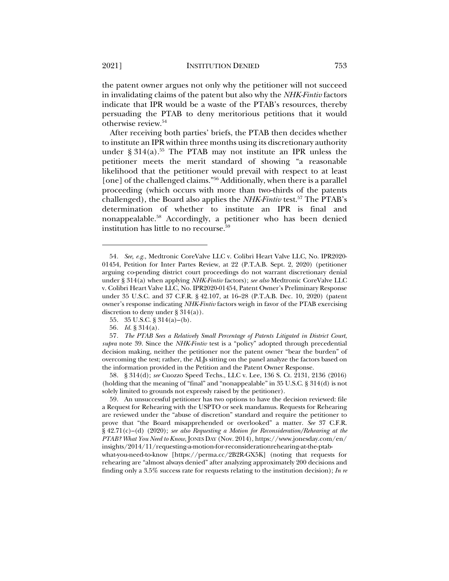the patent owner argues not only why the petitioner will not succeed in invalidating claims of the patent but also why the *NHK-Fintiv* factors indicate that IPR would be a waste of the PTAB's resources, thereby persuading the PTAB to deny meritorious petitions that it would otherwise review.54

After receiving both parties' briefs, the PTAB then decides whether to institute an IPR within three months using its discretionary authority under  $\S 314(a)$ .<sup>55</sup> The PTAB may not institute an IPR unless the petitioner meets the merit standard of showing "a reasonable likelihood that the petitioner would prevail with respect to at least [one] of the challenged claims."<sup>56</sup> Additionally, when there is a parallel proceeding (which occurs with more than two-thirds of the patents challenged), the Board also applies the *NHK-Fintiv* test.<sup>57</sup> The PTAB's determination of whether to institute an IPR is final and nonappealable.58 Accordingly, a petitioner who has been denied institution has little to no recourse.59

58. § 314(d); *see* Cuozzo Speed Techs., LLC v. Lee, 136 S. Ct. 2131, 2136 (2016) (holding that the meaning of "final" and "nonappealable" in 35 U.S.C. § 314(d) is not solely limited to grounds not expressly raised by the petitioner).

59. An unsuccessful petitioner has two options to have the decision reviewed: file a Request for Rehearing with the USPTO or seek mandamus. Requests for Rehearing are reviewed under the "abuse of discretion" standard and require the petitioner to prove that "the Board misapprehended or overlooked" a matter. *See* 37 C.F.R. § 42.71(c)–(d) (2020); *see also Requesting a Motion for Reconsideration/Rehearing at the PTAB? What You Need to Know*, JONES DAY (Nov. 2014), https://www.jonesday.com/en/ insights/2014/11/requesting-a-motion-for-reconsiderationrehearing-at-the-ptabwhat-you-need-to-know [https://perma.cc/2B2R-GX5K] (noting that requests for

rehearing are "almost always denied" after analyzing approximately 200 decisions and finding only a 3.5% success rate for requests relating to the institution decision); *In re*

<sup>54</sup>*. See, e.g.*, Medtronic CoreValve LLC v. Colibri Heart Valve LLC, No. IPR2020- 01454, Petition for Inter Partes Review, at 22 (P.T.A.B. Sept. 2, 2020) (petitioner arguing co-pending district court proceedings do not warrant discretionary denial under § 314(a) when applying *NHK-Fintiv* factors); *see also* Medtronic CoreValve LLC v. Colibri Heart Valve LLC, No. IPR2020-01454, Patent Owner's Preliminary Response under 35 U.S.C. and 37 C.F.R. § 42.107, at 16–28 (P.T.A.B. Dec. 10, 2020) (patent owner's response indicating *NHK-Fintiv* factors weigh in favor of the PTAB exercising discretion to deny under  $\S 314(a)$ ).

<sup>55.</sup> 35 U.S.C. § 314(a)–(b).

<sup>56</sup>*. Id.* § 314(a).

<sup>57</sup>*. The PTAB Sees a Relatively Small Percentage of Patents Litigated in District Court*, *supra* note 39. Since the *NHK-Fintiv* test is a "policy" adopted through precedential decision making, neither the petitioner nor the patent owner "bear the burden" of overcoming the test; rather, the ALJs sitting on the panel analyze the factors based on the information provided in the Petition and the Patent Owner Response.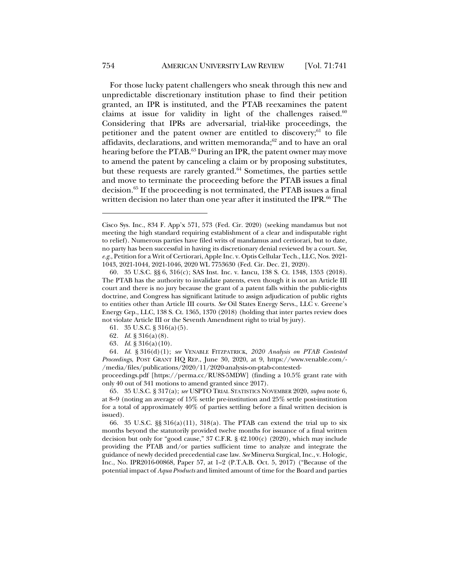For those lucky patent challengers who sneak through this new and unpredictable discretionary institution phase to find their petition granted, an IPR is instituted, and the PTAB reexamines the patent claims at issue for validity in light of the challenges raised. $60$ Considering that IPRs are adversarial, trial-like proceedings, the petitioner and the patent owner are entitled to discovery; $61$  to file affidavits, declarations, and written memoranda; $62$  and to have an oral hearing before the PTAB.<sup>63</sup> During an IPR, the patent owner may move to amend the patent by canceling a claim or by proposing substitutes, but these requests are rarely granted.<sup>64</sup> Sometimes, the parties settle and move to terminate the proceeding before the PTAB issues a final decision.65 If the proceeding is not terminated, the PTAB issues a final written decision no later than one year after it instituted the IPR.<sup>66</sup> The

63*. Id.* § 316(a)(10).

proceedings.pdf [https://perma.cc/RU8S-5MDW] (finding a 10.5% grant rate with only 40 out of 341 motions to amend granted since 2017).

65. 35 U.S.C. § 317(a); *see* USPTO TRIAL STATISTICS NOVEMBER 2020, *supra* note 6, at 8–9 (noting an average of 15% settle pre-institution and 25% settle post-institution for a total of approximately 40% of parties settling before a final written decision is issued).

66. 35 U.S.C.  $\S$ § 316(a)(11), 318(a). The PTAB can extend the trial up to six months beyond the statutorily provided twelve months for issuance of a final written decision but only for "good cause," 37 C.F.R. § 42.100(c) (2020), which may include providing the PTAB and/or parties sufficient time to analyze and integrate the guidance of newly decided precedential case law. *See* Minerva Surgical, Inc., v. Hologic, Inc., No. IPR2016-00868, Paper 57, at 1–2 (P.T.A.B. Oct. 5, 2017) ("Because of the potential impact of *Aqua Products* and limited amount of time for the Board and parties

Cisco Sys. Inc., 834 F. App'x 571, 573 (Fed. Cir. 2020) (seeking mandamus but not meeting the high standard requiring establishment of a clear and indisputable right to relief). Numerous parties have filed writs of mandamus and certiorari, but to date, no party has been successful in having its discretionary denial reviewed by a court. *See, e.g.*, Petition for a Writ of Certiorari, Apple Inc. v. Optis Cellular Tech., LLC, Nos. 2021- 1043, 2021-1044, 2021-1046, 2020 WL 7753630 (Fed. Cir. Dec. 21, 2020).

<sup>60.</sup> 35 U.S.C. §§ 6, 316(c); SAS Inst. Inc. v. Iancu, 138 S. Ct. 1348, 1353 (2018). The PTAB has the authority to invalidate patents, even though it is not an Article III court and there is no jury because the grant of a patent falls within the public-rights doctrine, and Congress has significant latitude to assign adjudication of public rights to entities other than Article III courts. *See* Oil States Energy Servs., LLC v. Greene's Energy Grp., LLC, 138 S. Ct. 1365, 1370 (2018) (holding that inter partes review does not violate Article III or the Seventh Amendment right to trial by jury).

<sup>61.</sup> 35 U.S.C. § 316(a)(5).

<sup>62</sup>*. Id.* § 316(a)(8).

<sup>64</sup>*. Id.* § 316(d)(1); *see* VENABLE FITZPATRICK, *2020 Analysis on PTAB Contested Proceedings*, POST GRANT HQ REP., June 30, 2020, at 9, https://www.venable.com/- /media/files/publications/2020/11/2020-analysis-on-ptab-contested-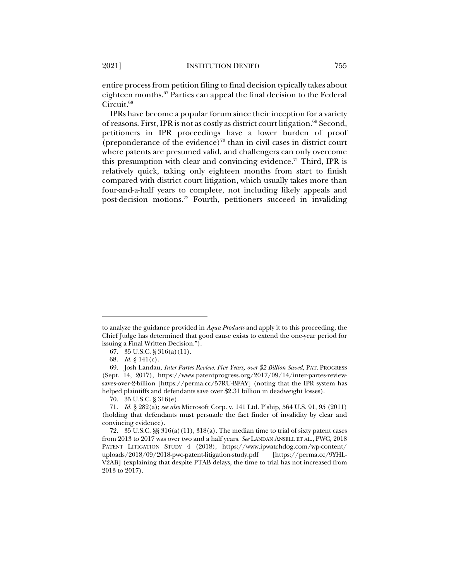entire process from petition filing to final decision typically takes about eighteen months.67 Parties can appeal the final decision to the Federal Circuit.<sup>68</sup>

IPRs have become a popular forum since their inception for a variety of reasons. First, IPR is not as costly as district court litigation.<sup>69</sup> Second, petitioners in IPR proceedings have a lower burden of proof (preponderance of the evidence)<sup>70</sup> than in civil cases in district court where patents are presumed valid, and challengers can only overcome this presumption with clear and convincing evidence.<sup>71</sup> Third, IPR is relatively quick, taking only eighteen months from start to finish compared with district court litigation, which usually takes more than four-and-a-half years to complete, not including likely appeals and post-decision motions.72 Fourth, petitioners succeed in invaliding

to analyze the guidance provided in *Aqua Products* and apply it to this proceeding, the Chief Judge has determined that good cause exists to extend the one-year period for issuing a Final Written Decision.").

<sup>67.</sup> 35 U.S.C. § 316(a)(11).

<sup>68</sup>*. Id.* § 141(c).

<sup>69.</sup> Josh Landau, *Inter Partes Review: Five Years, over \$2 Billion Saved*, PAT. PROGRESS (Sept. 14, 2017), https://www.patentprogress.org/2017/09/14/inter-partes-reviewsaves-over-2-billion [https://perma.cc/57RU-BFAY] (noting that the IPR system has helped plaintiffs and defendants save over \$2.31 billion in deadweight losses).

<sup>70.</sup> 35 U.S.C. § 316(e).

<sup>71</sup>*. Id.* § 282(a); *see also* Microsoft Corp. v. 141 Ltd. P'ship, 564 U.S. 91, 95 (2011) (holding that defendants must persuade the fact finder of invalidity by clear and convincing evidence).

<sup>72. 35</sup> U.S.C.  $\S$ § 316(a)(11), 318(a). The median time to trial of sixty patent cases from 2013 to 2017 was over two and a half years. *See* LANDAN ANSELL ET AL., PWC, 2018 PATENT LITIGATION STUDY 4 (2018), https://www.ipwatchdog.com/wp-content/ uploads/2018/09/2018-pwc-patent-litigation-study.pdf [https://perma.cc/9YHL-V2AB] (explaining that despite PTAB delays, the time to trial has not increased from 2013 to 2017).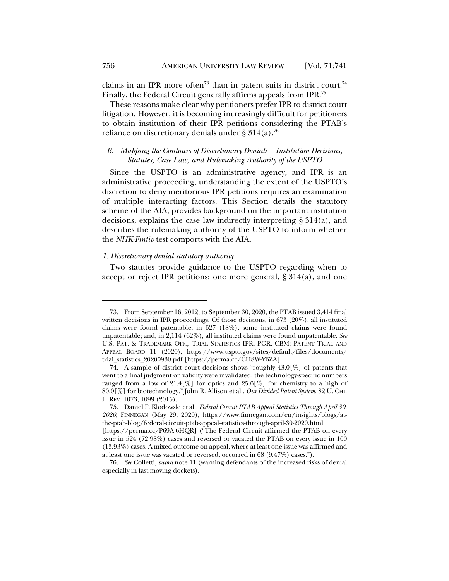claims in an IPR more often<sup>73</sup> than in patent suits in district court.<sup>74</sup> Finally, the Federal Circuit generally affirms appeals from IPR.75

These reasons make clear why petitioners prefer IPR to district court litigation. However, it is becoming increasingly difficult for petitioners to obtain institution of their IPR petitions considering the PTAB's reliance on discretionary denials under § 314(a).<sup>76</sup>

# *B. Mapping the Contours of Discretionary Denials—Institution Decisions, Statutes, Case Law, and Rulemaking Authority of the USPTO*

Since the USPTO is an administrative agency, and IPR is an administrative proceeding, understanding the extent of the USPTO's discretion to deny meritorious IPR petitions requires an examination of multiple interacting factors. This Section details the statutory scheme of the AIA, provides background on the important institution decisions, explains the case law indirectly interpreting § 314(a), and describes the rulemaking authority of the USPTO to inform whether the *NHK-Fintiv* test comports with the AIA.

#### *1. Discretionary denial statutory authority*

Two statutes provide guidance to the USPTO regarding when to accept or reject IPR petitions: one more general, § 314(a), and one

<sup>73.</sup> From September 16, 2012, to September 30, 2020, the PTAB issued 3,414 final written decisions in IPR proceedings. Of those decisions, in 673 (20%), all instituted claims were found patentable; in 627 (18%), some instituted claims were found unpatentable; and, in 2,114 (62%), all instituted claims were found unpatentable. *See* U.S. PAT. & TRADEMARK OFF., TRIAL STATISTICS IPR, PGR, CBM: PATENT TRIAL AND APPEAL BOARD 11 (2020), https://www.uspto.gov/sites/default/files/documents/ trial\_statistics\_20200930.pdf [https://perma.cc/CH8W-Y6ZA].

<sup>74.</sup> A sample of district court decisions shows "roughly 43.0[%] of patents that went to a final judgment on validity were invalidated, the technology-specific numbers ranged from a low of  $21.4\%$  for optics and  $25.6\%$  for chemistry to a high of 80.0[%] for biotechnology." John R. Allison et al., *Our Divided Patent System*, 82 U. CHI. L. REV. 1073, 1099 (2015).

<sup>75.</sup> Daniel F. Klodowski et al., *Federal Circuit PTAB Appeal Statistics Through April 30, 2020*, FINNEGAN (May 29, 2020), https://www.finnegan.com/en/insights/blogs/atthe-ptab-blog/federal-circuit-ptab-appeal-statistics-through-april-30-2020.html [https://perma.cc/P69A-6HQR] ("The Federal Circuit affirmed the PTAB on every

issue in 524 (72.98%) cases and reversed or vacated the PTAB on every issue in 100 (13.93%) cases. A mixed outcome on appeal, where at least one issue was affirmed and at least one issue was vacated or reversed, occurred in 68 (9.47%) cases.").

<sup>76</sup>*. See* Colletti, *supra* note 11 (warning defendants of the increased risks of denial especially in fast-moving dockets).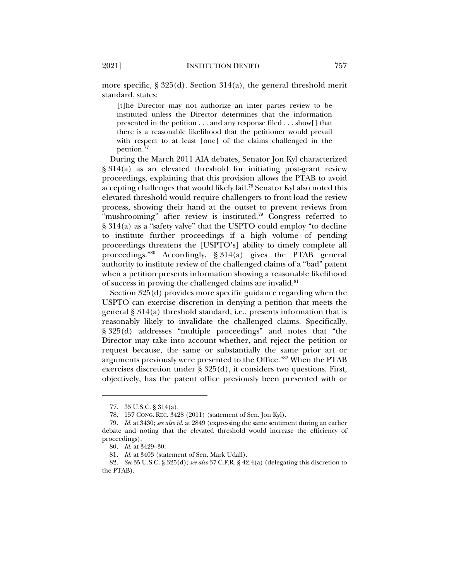more specific,  $\S 325(d)$ . Section 314(a), the general threshold merit standard, states:

[t]he Director may not authorize an inter partes review to be instituted unless the Director determines that the information presented in the petition . . . and any response filed . . . show[] that there is a reasonable likelihood that the petitioner would prevail with respect to at least [one] of the claims challenged in the petition.77

During the March 2011 AIA debates, Senator Jon Kyl characterized § 314(a) as an elevated threshold for initiating post-grant review proceedings, explaining that this provision allows the PTAB to avoid accepting challenges that would likely fail.<sup>78</sup> Senator Kyl also noted this elevated threshold would require challengers to front-load the review process, showing their hand at the outset to prevent reviews from "mushrooming" after review is instituted.<sup>79</sup> Congress referred to § 314(a) as a "safety valve" that the USPTO could employ "to decline to institute further proceedings if a high volume of pending proceedings threatens the [USPTO's] ability to timely complete all proceedings."80 Accordingly, § 314(a) gives the PTAB general authority to institute review of the challenged claims of a "bad" patent when a petition presents information showing a reasonable likelihood of success in proving the challenged claims are invalid.<sup>81</sup>

Section 325(d) provides more specific guidance regarding when the USPTO can exercise discretion in denying a petition that meets the general § 314(a) threshold standard, i.e., presents information that is reasonably likely to invalidate the challenged claims. Specifically, § 325(d) addresses "multiple proceedings" and notes that "the Director may take into account whether, and reject the petition or request because, the same or substantially the same prior art or arguments previously were presented to the Office."82 When the PTAB exercises discretion under § 325(d), it considers two questions. First, objectively, has the patent office previously been presented with or

<sup>77.</sup> 35 U.S.C. § 314(a).

<sup>78.</sup> 157 CONG. REC. 3428 (2011) (statement of Sen. Jon Kyl).

<sup>79</sup>*. Id.* at 3430; *see also id.* at 2849 (expressing the same sentiment during an earlier debate and noting that the elevated threshold would increase the efficiency of proceedings).

<sup>80</sup>*. Id.* at 3429–30.

<sup>81</sup>*. Id.* at 3403 (statement of Sen. Mark Udall).

<sup>82</sup>*. See* 35 U.S.C. § 325(d); *see also* 37 C.F.R. § 42.4(a) (delegating this discretion to the PTAB).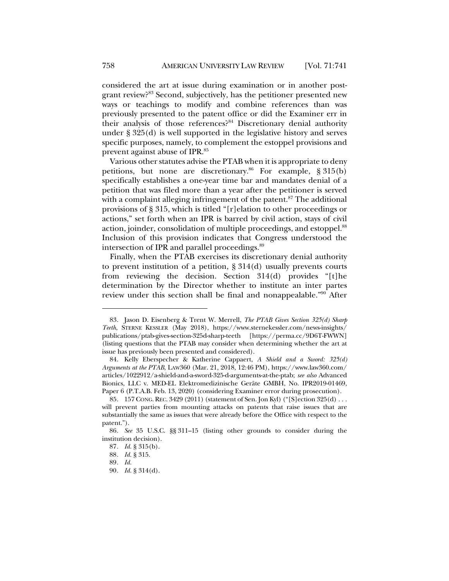considered the art at issue during examination or in another postgrant review?83 Second, subjectively, has the petitioner presented new ways or teachings to modify and combine references than was previously presented to the patent office or did the Examiner err in their analysis of those references?<sup>84</sup> Discretionary denial authority under § 325(d) is well supported in the legislative history and serves specific purposes, namely, to complement the estoppel provisions and prevent against abuse of IPR.85

Various other statutes advise the PTAB when it is appropriate to deny petitions, but none are discretionary.<sup>86</sup> For example,  $\S 315(b)$ specifically establishes a one-year time bar and mandates denial of a petition that was filed more than a year after the petitioner is served with a complaint alleging infringement of the patent. $87$  The additional provisions of § 315, which is titled "[r]elation to other proceedings or actions," set forth when an IPR is barred by civil action, stays of civil action, joinder, consolidation of multiple proceedings, and estoppel.<sup>88</sup> Inclusion of this provision indicates that Congress understood the intersection of IPR and parallel proceedings.<sup>89</sup>

Finally, when the PTAB exercises its discretionary denial authority to prevent institution of a petition, § 314(d) usually prevents courts from reviewing the decision. Section 314(d) provides "[t]he determination by the Director whether to institute an inter partes review under this section shall be final and nonappealable."90 After

<sup>83.</sup> Jason D. Eisenberg & Trent W. Merrell, *The PTAB Gives Section 325(d) Sharp Teeth*, STERNE KESSLER (May 2018), https://www.sternekessler.com/news-insights/ publications/ptab-gives-section-325d-sharp-teeth [https://perma.cc/9D6T-FWWN] (listing questions that the PTAB may consider when determining whether the art at issue has previously been presented and considered).

<sup>84.</sup> Kelly Eberspecher & Katherine Cappaert, *A Shield and a Sword: 325(d) Arguments at the PTAB*, LAW360 (Mar. 21, 2018, 12:46 PM), https://www.law360.com/ articles/1022912/a-shield-and-a-sword-325-d-arguments-at-the-ptab; *see also* Advanced Bionics, LLC v. MED-EL Elektromedizinische Geräte GMBH, No. IPR2019-01469, Paper 6 (P.T.A.B. Feb. 13, 2020) (considering Examiner error during prosecution).

<sup>85.</sup> 157 CONG.REC. 3429 (2011) (statement of Sen. Jon Kyl) ("[S]ection 325(d) . . . will prevent parties from mounting attacks on patents that raise issues that are substantially the same as issues that were already before the Office with respect to the patent.").

<sup>86</sup>*. See* 35 U.S.C. §§ 311–15 (listing other grounds to consider during the institution decision).

<sup>87</sup>*. Id.* § 315(b).

<sup>88</sup>*. Id.* § 315.

<sup>89</sup>*. Id.*

<sup>90</sup>*. Id.* § 314(d).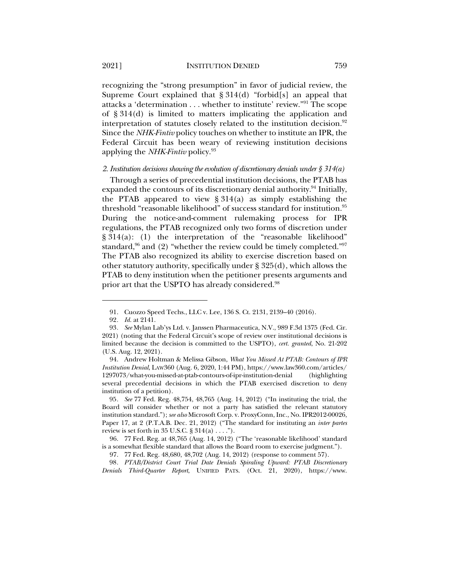2021] INSTITUTION DENIED 759

recognizing the "strong presumption" in favor of judicial review, the Supreme Court explained that § 314(d) "forbid[s] an appeal that attacks a 'determination . . . whether to institute' review."91 The scope of § 314(d) is limited to matters implicating the application and interpretation of statutes closely related to the institution decision.<sup>92</sup> Since the *NHK-Fintiv* policy touches on whether to institute an IPR, the Federal Circuit has been weary of reviewing institution decisions applying the *NHK-Fintiv* policy.93

# *2. Institution decisions showing the evolution of discretionary denials under § 314(a)*

Through a series of precedential institution decisions, the PTAB has expanded the contours of its discretionary denial authority.<sup>94</sup> Initially, the PTAB appeared to view  $\S 314(a)$  as simply establishing the threshold "reasonable likelihood" of success standard for institution.<sup>95</sup> During the notice-and-comment rulemaking process for IPR regulations, the PTAB recognized only two forms of discretion under § 314(a): (1) the interpretation of the "reasonable likelihood" standard,<sup>96</sup> and (2) "whether the review could be timely completed."<sup>97</sup> The PTAB also recognized its ability to exercise discretion based on other statutory authority, specifically under § 325(d), which allows the PTAB to deny institution when the petitioner presents arguments and prior art that the USPTO has already considered.<sup>98</sup>

<sup>91.</sup> Cuozzo Speed Techs., LLC v. Lee, 136 S. Ct. 2131, 2139–40 (2016).

<sup>92</sup>*. Id.* at 2141.

<sup>93</sup>*. See* Mylan Lab'ys Ltd. v. Janssen Pharmaceutica, N.V., 989 F.3d 1375 (Fed. Cir. 2021) (noting that the Federal Circuit's scope of review over institutional decisions is limited because the decision is committed to the USPTO), *cert. granted*, No. 21-202 (U.S. Aug. 12, 2021).

<sup>94.</sup> Andrew Holtman & Melissa Gibson, *What You Missed At PTAB: Contours of IPR Institution Denial*, LAW360 (Aug. 6, 2020, 1:44 PM), https://www.law360.com/articles/ 1297073/what-you-missed-at-ptab-contours-of-ipr-institution-denial (highlighting several precedential decisions in which the PTAB exercised discretion to deny institution of a petition).

<sup>95</sup>*. See* 77 Fed. Reg. 48,754, 48,765 (Aug. 14, 2012) ("In instituting the trial, the Board will consider whether or not a party has satisfied the relevant statutory institution standard."); *see also* Microsoft Corp. v. ProxyConn, Inc., No. IPR2012-00026, Paper 17, at 2 (P.T.A.B. Dec. 21, 2012) ("The standard for instituting an *inter partes* review is set forth in 35 U.S.C.  $\S 314(a) \ldots$ .").

<sup>96.</sup> 77 Fed. Reg. at 48,765 (Aug. 14, 2012) ("The 'reasonable likelihood' standard is a somewhat flexible standard that allows the Board room to exercise judgment.").

<sup>97.</sup> 77 Fed. Reg. 48,680, 48,702 (Aug. 14, 2012) (response to comment 57).

<sup>98</sup>*. PTAB/District Court Trial Date Denials Spiraling Upward: PTAB Discretionary Denials Third-Quarter Report*, UNIFIED PATS. (Oct. 21, 2020), https://www.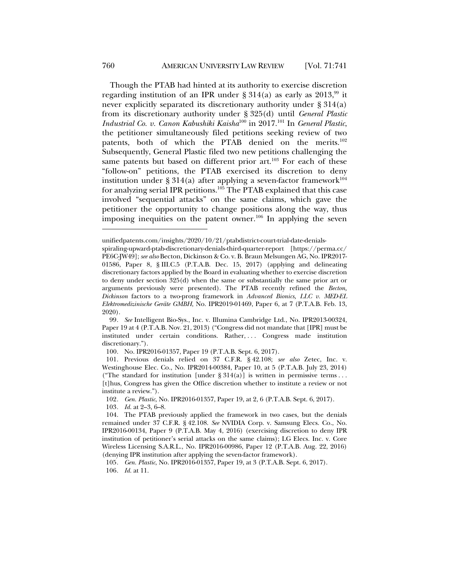Though the PTAB had hinted at its authority to exercise discretion regarding institution of an IPR under  $\S 314(a)$  as early as 2013,<sup>99</sup> it never explicitly separated its discretionary authority under § 314(a) from its discretionary authority under § 325(d) until *General Plastic Industrial Co. v. Canon Kabushiki Kaisha*<sup>100</sup> in 2017.101 In *General Plastic*, the petitioner simultaneously filed petitions seeking review of two patents, both of which the PTAB denied on the merits.<sup>102</sup> Subsequently, General Plastic filed two new petitions challenging the same patents but based on different prior art.<sup>103</sup> For each of these "follow-on" petitions, the PTAB exercised its discretion to deny institution under § 314(a) after applying a seven-factor framework<sup>104</sup> for analyzing serial IPR petitions.<sup>105</sup> The PTAB explained that this case involved "sequential attacks" on the same claims, which gave the petitioner the opportunity to change positions along the way, thus imposing inequities on the patent owner.<sup>106</sup> In applying the seven

100. No. IPR2016-01357, Paper 19 (P.T.A.B. Sept. 6, 2017).

102*. Gen. Plastic*, No. IPR2016-01357, Paper 19, at 2, 6 (P.T.A.B. Sept. 6, 2017).

103*. Id.* at 2–3, 6–8.

unifiedpatents.com/insights/2020/10/21/ptabdistrict-court-trial-date-denials-

spiraling-upward-ptab-discretionary-denials-third-quarter-report [https://perma.cc/ PE6C-JW49]; *see also* Becton, Dickinson & Co. v. B. Braun Melsungen AG, No. IPR2017- 01586, Paper 8, § III.C.5 (P.T.A.B. Dec. 15, 2017) (applying and delineating discretionary factors applied by the Board in evaluating whether to exercise discretion to deny under section 325(d) when the same or substantially the same prior art or arguments previously were presented). The PTAB recently refined the *Becton, Dickinson* factors to a two-prong framework in *Advanced Bionics, LLC v. MED-EL Elektromedizinische Geräte GMBH*, No. IPR2019-01469, Paper 6, at 7 (P.T.A.B. Feb. 13, 2020).

<sup>99</sup>*. See* Intelligent Bio-Sys., Inc. v. Illumina Cambridge Ltd., No. IPR2013-00324, Paper 19 at 4 (P.T.A.B. Nov. 21, 2013) ("Congress did not mandate that [IPR] must be instituted under certain conditions. Rather, ... Congress made institution discretionary.").

<sup>101.</sup> Previous denials relied on 37 C.F.R. § 42.108; *see also* Zetec, Inc. v. Westinghouse Elec. Co., No. IPR2014-00384, Paper 10, at 5 (P.T.A.B. July 23, 2014) ("The standard for institution [under  $\S 314(a)$ ] is written in permissive terms ... [t]hus, Congress has given the Office discretion whether to institute a review or not institute a review.").

<sup>104.</sup> The PTAB previously applied the framework in two cases, but the denials remained under 37 C.F.R. § 42.108. *See* NVIDIA Corp. v. Samsung Elecs. Co., No. IPR2016-00134, Paper 9 (P.T.A.B. May 4, 2016) (exercising discretion to deny IPR institution of petitioner's serial attacks on the same claims); LG Elecs. Inc. v. Core Wireless Licensing S.A.R.L., No. IPR2016-00986, Paper 12 (P.T.A.B. Aug. 22, 2016) (denying IPR institution after applying the seven-factor framework).

<sup>105</sup>*. Gen. Plastic*, No. IPR2016-01357, Paper 19, at 3 (P.T.A.B. Sept. 6, 2017). 106*. Id.* at 11.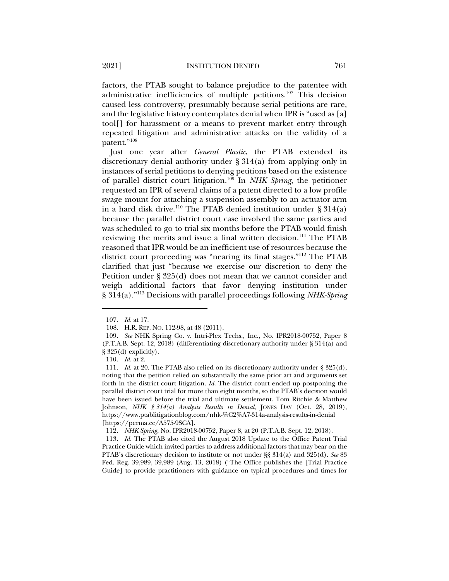factors, the PTAB sought to balance prejudice to the patentee with administrative inefficiencies of multiple petitions.107 This decision caused less controversy, presumably because serial petitions are rare, and the legislative history contemplates denial when IPR is "used as [a] tool[] for harassment or a means to prevent market entry through repeated litigation and administrative attacks on the validity of a patent."108

Just one year after *General Plastic*, the PTAB extended its discretionary denial authority under § 314(a) from applying only in instances of serial petitions to denying petitions based on the existence of parallel district court litigation.109 In *NHK Spring*, the petitioner requested an IPR of several claims of a patent directed to a low profile swage mount for attaching a suspension assembly to an actuator arm in a hard disk drive.<sup>110</sup> The PTAB denied institution under  $\S 314(a)$ because the parallel district court case involved the same parties and was scheduled to go to trial six months before the PTAB would finish reviewing the merits and issue a final written decision.<sup>111</sup> The PTAB reasoned that IPR would be an inefficient use of resources because the district court proceeding was "nearing its final stages."112 The PTAB clarified that just "because we exercise our discretion to deny the Petition under § 325(d) does not mean that we cannot consider and weigh additional factors that favor denying institution under § 314(a)."113 Decisions with parallel proceedings following *NHK-Spring*

<sup>107</sup>*. Id.* at 17.

<sup>108.</sup> H.R. REP. NO. 112-98, at 48 (2011).

<sup>109</sup>*. See* NHK Spring Co. v. Intri-Plex Techs., Inc., No. IPR2018-00752, Paper 8 (P.T.A.B. Sept. 12, 2018) (differentiating discretionary authority under § 314(a) and  $§ 325(d)$  explicitly).

<sup>110</sup>*. Id.* at 2.

<sup>111</sup>*. Id.* at 20. The PTAB also relied on its discretionary authority under § 325(d), noting that the petition relied on substantially the same prior art and arguments set forth in the district court litigation. *Id.* The district court ended up postponing the parallel district court trial for more than eight months, so the PTAB's decision would have been issued before the trial and ultimate settlement. Tom Ritchie & Matthew Johnson, *NHK § 314(a) Analysis Results in Denial*, JONES DAY (Oct. 28, 2019), https://www.ptablitigationblog.com/nhk-%C2%A7-314a-analysis-results-in-denial [https://perma.cc/A575-9SCA].

<sup>112</sup>*. NHK Spring*, No. IPR2018-00752, Paper 8, at 20 (P.T.A.B. Sept. 12, 2018).

<sup>113</sup>*. Id.* The PTAB also cited the August 2018 Update to the Office Patent Trial Practice Guide which invited parties to address additional factors that may bear on the PTAB's discretionary decision to institute or not under §§ 314(a) and 325(d). *See* 83 Fed. Reg. 39,989, 39,989 (Aug. 13, 2018) ("The Office publishes the [Trial Practice Guide] to provide practitioners with guidance on typical procedures and times for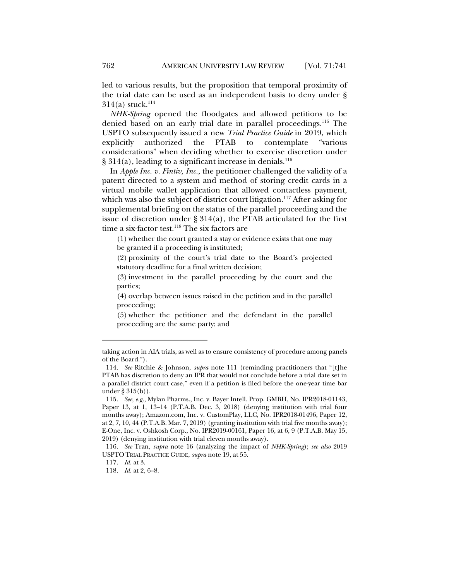led to various results, but the proposition that temporal proximity of the trial date can be used as an independent basis to deny under §  $314(a)$  stuck.<sup>114</sup>

*NHK-Spring* opened the floodgates and allowed petitions to be denied based on an early trial date in parallel proceedings.<sup>115</sup> The USPTO subsequently issued a new *Trial Practice Guide* in 2019, which explicitly authorized the PTAB to contemplate "various considerations" when deciding whether to exercise discretion under  $\S 314(a)$ , leading to a significant increase in denials.<sup>116</sup>

In *Apple Inc. v. Fintiv, Inc.*, the petitioner challenged the validity of a patent directed to a system and method of storing credit cards in a virtual mobile wallet application that allowed contactless payment, which was also the subject of district court litigation.<sup>117</sup> After asking for supplemental briefing on the status of the parallel proceeding and the issue of discretion under  $\S 314(a)$ , the PTAB articulated for the first time a six-factor test.<sup>118</sup> The six factors are

(1) whether the court granted a stay or evidence exists that one may be granted if a proceeding is instituted;

(2) proximity of the court's trial date to the Board's projected statutory deadline for a final written decision;

(3) investment in the parallel proceeding by the court and the parties;

(4) overlap between issues raised in the petition and in the parallel proceeding;

(5) whether the petitioner and the defendant in the parallel proceeding are the same party; and

taking action in AIA trials, as well as to ensure consistency of procedure among panels of the Board.").

<sup>114</sup>*. See* Ritchie & Johnson, *supra* note 111 (reminding practitioners that "[t]he PTAB has discretion to deny an IPR that would not conclude before a trial date set in a parallel district court case," even if a petition is filed before the one-year time bar under § 315(b)).

<sup>115</sup>*. See, e.g.*, Mylan Pharms., Inc. v. Bayer Intell. Prop. GMBH, No. IPR2018-01143, Paper 13, at 1, 13-14 (P.T.A.B. Dec. 3, 2018) (denying institution with trial four months away); Amazon.com, Inc. v. CustomPlay, LLC, No. IPR2018-01496, Paper 12, at 2, 7, 10, 44 (P.T.A.B. Mar. 7, 2019) (granting institution with trial five months away); E-One, Inc. v. Oshkosh Corp., No. IPR2019-00161, Paper 16, at 6, 9 (P.T.A.B. May 15, 2019) (denying institution with trial eleven months away).

<sup>116</sup>*. See* Tran, *supra* note 16 (analyzing the impact of *NHK-Spring*); *see also* 2019 USPTO TRIAL PRACTICE GUIDE, *supra* note 19, at 55.

<sup>117</sup>*. Id.* at 3.

<sup>118</sup>*. Id.* at 2, 6–8.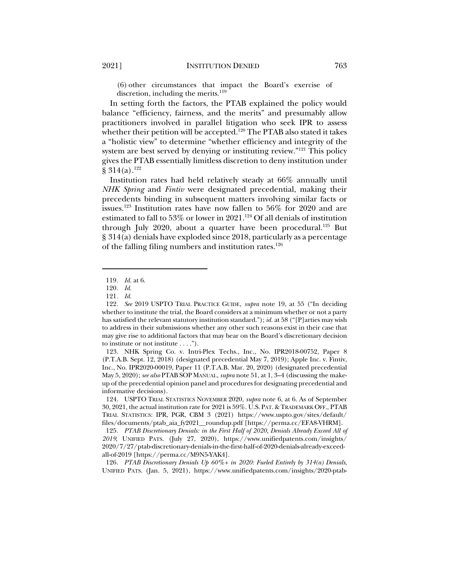(6) other circumstances that impact the Board's exercise of discretion, including the merits. $119$ 

In setting forth the factors, the PTAB explained the policy would balance "efficiency, fairness, and the merits" and presumably allow practitioners involved in parallel litigation who seek IPR to assess whether their petition will be accepted.<sup>120</sup> The PTAB also stated it takes a "holistic view" to determine "whether efficiency and integrity of the system are best served by denying or instituting review."<sup>121</sup> This policy gives the PTAB essentially limitless discretion to deny institution under  $§ 314(a).^{122}$ 

Institution rates had held relatively steady at 66% annually until *NHK Spring* and *Fintiv* were designated precedential, making their precedents binding in subsequent matters involving similar facts or issues.<sup>123</sup> Institution rates have now fallen to  $56\%$  for 2020 and are estimated to fall to 53% or lower in 2021.<sup>124</sup> Of all denials of institution through July 2020, about a quarter have been procedural.<sup>125</sup> But § 314(a) denials have exploded since 2018, particularly as a percentage of the falling filing numbers and institution rates.<sup>126</sup>

126*. PTAB Discretionary Denials Up 60%+ in 2020: Fueled Entirely by 314(a) Denials*, UNIFIED PATS. (Jan. 5, 2021), https://www.unifiedpatents.com/insights/2020-ptab-

<sup>119</sup>*. Id.* at 6.

<sup>120</sup>*. Id.*

<sup>121</sup>*. Id.*

<sup>122</sup>*. See* 2019 USPTO TRIAL PRACTICE GUIDE, *supra* note 19, at 55 ("In deciding whether to institute the trial, the Board considers at a minimum whether or not a party has satisfied the relevant statutory institution standard."); *id.* at 58 ("[P]arties may wish to address in their submissions whether any other such reasons exist in their case that may give rise to additional factors that may bear on the Board's discretionary decision to institute or not institute . . . .").

<sup>123.</sup> NHK Spring Co. v. Intri-Plex Techs., Inc., No. IPR2018-00752, Paper 8 (P.T.A.B. Sept. 12, 2018) (designated precedential May 7, 2019); Apple Inc. v. Fintiv, Inc., No. IPR2020-00019, Paper 11 (P.T.A.B. Mar. 20, 2020) (designated precedential May 5, 2020); *see also* PTAB SOP MANUAL, *supra* note 51, at 1, 3–4 (discussing the makeup of the precedential opinion panel and procedures for designating precedential and informative decisions).

<sup>124.</sup> USPTO TRIAL STATISTICS NOVEMBER 2020, *supra* note 6, at 6. As of September 30, 2021, the actual institution rate for 2021 is 59%. U.S. PAT. & TRADEMARK OFF., PTAB TRIAL STATISTICS: IPR, PGR, CBM 3 (2021) https://www.uspto.gov/sites/default/ files/documents/ptab\_aia\_fy2021\_\_roundup.pdf [https://perma.cc/EFA8-VHRM].

<sup>125</sup>*. PTAB Discretionary Denials: in the First Half of 2020, Denials Already Exceed All of 2019*, UNIFIED PATS. (July 27, 2020), https://www.unifiedpatents.com/insights/ 2020/7/27/ptab-discretionary-denials-in-the-first-half-of-2020-denials-already-exceedall-of-2019 [https://perma.cc/M9N5-YAK4].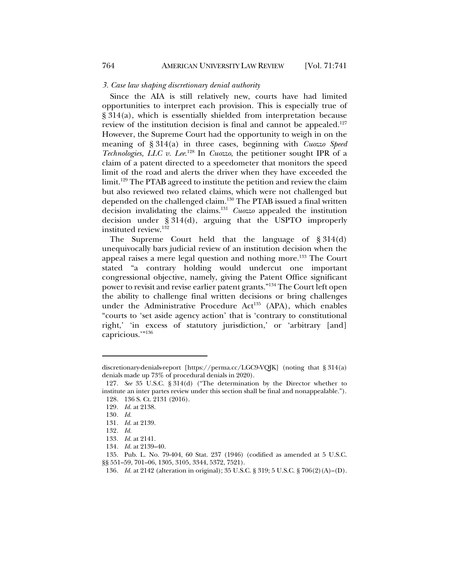#### *3. Case law shaping discretionary denial authority*

Since the AIA is still relatively new, courts have had limited opportunities to interpret each provision. This is especially true of § 314(a), which is essentially shielded from interpretation because review of the institution decision is final and cannot be appealed.<sup>127</sup> However, the Supreme Court had the opportunity to weigh in on the meaning of § 314(a) in three cases, beginning with *Cuozzo Speed Technologies, LLC v. Lee.*<sup>128</sup> In *Cuozzo*, the petitioner sought IPR of a claim of a patent directed to a speedometer that monitors the speed limit of the road and alerts the driver when they have exceeded the limit.129 The PTAB agreed to institute the petition and review the claim but also reviewed two related claims, which were not challenged but depended on the challenged claim.<sup>130</sup> The PTAB issued a final written decision invalidating the claims.131 *Cuozzo* appealed the institution decision under § 314(d), arguing that the USPTO improperly instituted review.132

The Supreme Court held that the language of § 314(d) unequivocally bars judicial review of an institution decision when the appeal raises a mere legal question and nothing more.<sup>133</sup> The Court stated "a contrary holding would undercut one important congressional objective, namely, giving the Patent Office significant power to revisit and revise earlier patent grants."134 The Court left open the ability to challenge final written decisions or bring challenges under the Administrative Procedure Act<sup>135</sup> (APA), which enables "courts to 'set aside agency action' that is 'contrary to constitutional right,' 'in excess of statutory jurisdiction,' or 'arbitrary [and] capricious."<sup>136</sup>

discretionary-denials-report [https://perma.cc/LGC9-VQJK] (noting that § 314(a) denials made up 73% of procedural denials in 2020).

<sup>127</sup>*. See* 35 U.S.C. § 314(d) ("The determination by the Director whether to institute an inter partes review under this section shall be final and nonappealable."). 128. 136 S. Ct. 2131 (2016).

<sup>129</sup>*. Id.* at 2138.

<sup>130</sup>*. Id.*

<sup>131</sup>*. Id.* at 2139.

<sup>132</sup>*. Id.*

<sup>133</sup>*. Id.* at 2141.

<sup>134</sup>*. Id.* at 2139–40.

<sup>135.</sup> Pub. L. No. 79-404, 60 Stat. 237 (1946) (codified as amended at 5 U.S.C. §§ 551–59, 701–06, 1305, 3105, 3344, 5372, 7521).

<sup>136</sup>*. Id.* at 2142 (alteration in original); 35 U.S.C. § 319; 5 U.S.C. § 706(2)(A)–(D).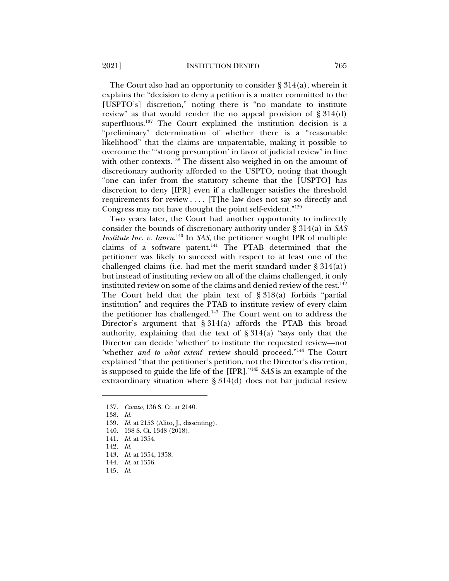The Court also had an opportunity to consider  $\S 314(a)$ , wherein it explains the "decision to deny a petition is a matter committed to the [USPTO's] discretion," noting there is "no mandate to institute review" as that would render the no appeal provision of § 314(d) superfluous.<sup>137</sup> The Court explained the institution decision is a "preliminary" determination of whether there is a "reasonable likelihood" that the claims are unpatentable, making it possible to overcome the "'strong presumption' in favor of judicial review" in line with other contexts.<sup>138</sup> The dissent also weighed in on the amount of discretionary authority afforded to the USPTO, noting that though "one can infer from the statutory scheme that the [USPTO] has discretion to deny [IPR] even if a challenger satisfies the threshold requirements for review . . . . [T]he law does not say so directly and Congress may not have thought the point self-evident."139

Two years later, the Court had another opportunity to indirectly consider the bounds of discretionary authority under § 314(a) in *SAS Institute Inc. v. Iancu.*<sup>140</sup> In *SAS*, the petitioner sought IPR of multiple claims of a software patent.<sup>141</sup> The PTAB determined that the petitioner was likely to succeed with respect to at least one of the challenged claims (i.e. had met the merit standard under § 314(a)) but instead of instituting review on all of the claims challenged, it only instituted review on some of the claims and denied review of the rest.<sup>142</sup> The Court held that the plain text of § 318(a) forbids "partial institution" and requires the PTAB to institute review of every claim the petitioner has challenged.143 The Court went on to address the Director's argument that  $\S 314(a)$  affords the PTAB this broad authority, explaining that the text of  $\S 314(a)$  "says only that the Director can decide 'whether' to institute the requested review—not 'whether *and to what extent*' review should proceed."<sup>144</sup> The Court explained "that the petitioner's petition, not the Director's discretion, is supposed to guide the life of the [IPR]."145 *SAS* is an example of the extraordinary situation where § 314(d) does not bar judicial review

- 139*. Id.* at 2153 (Alito, J., dissenting).
- 140. 138 S. Ct. 1348 (2018).
- 141*. Id.* at 1354.
- 142*. Id.*
- 143*. Id.* at 1354, 1358.
- 144*. Id.* at 1356.
- 145*. Id.*

<sup>137</sup>*. Cuozzo*, 136 S. Ct. at 2140.

<sup>138</sup>*. Id.*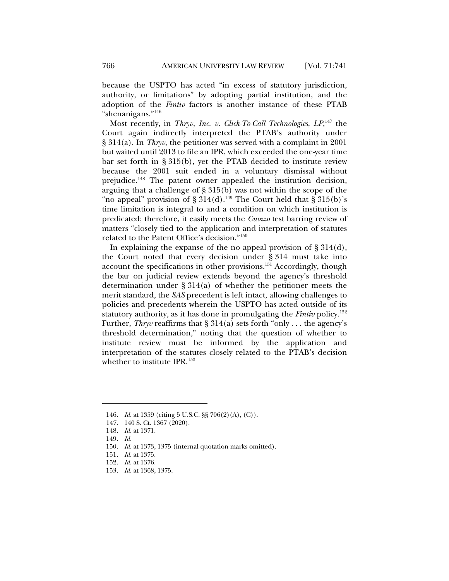because the USPTO has acted "in excess of statutory jurisdiction, authority, or limitations" by adopting partial institution, and the adoption of the *Fintiv* factors is another instance of these PTAB "shenanigans."146

Most recently, in *Thryv, Inc. v. Click-To-Call Technologies, LP*, <sup>147</sup> the Court again indirectly interpreted the PTAB's authority under § 314(a). In *Thryv*, the petitioner was served with a complaint in 2001 but waited until 2013 to file an IPR, which exceeded the one-year time bar set forth in § 315(b), yet the PTAB decided to institute review because the 2001 suit ended in a voluntary dismissal without prejudice.<sup>148</sup> The patent owner appealed the institution decision, arguing that a challenge of § 315(b) was not within the scope of the "no appeal" provision of  $\S 314(d)$ .<sup>149</sup> The Court held that  $\S 315(b)$ 's time limitation is integral to and a condition on which institution is predicated; therefore, it easily meets the *Cuozzo* test barring review of matters "closely tied to the application and interpretation of statutes related to the Patent Office's decision."150

In explaining the expanse of the no appeal provision of  $\S 314(d)$ , the Court noted that every decision under § 314 must take into account the specifications in other provisions.151 Accordingly, though the bar on judicial review extends beyond the agency's threshold determination under § 314(a) of whether the petitioner meets the merit standard, the *SAS* precedent is left intact, allowing challenges to policies and precedents wherein the USPTO has acted outside of its statutory authority, as it has done in promulgating the *Fintiv* policy.152 Further, *Thryv* reaffirms that § 314(a) sets forth "only . . . the agency's threshold determination," noting that the question of whether to institute review must be informed by the application and interpretation of the statutes closely related to the PTAB's decision whether to institute IPR.<sup>153</sup>

<sup>146</sup>*. Id.* at 1359 (citing 5 U.S.C. §§ 706(2)(A), (C)).

<sup>147.</sup> 140 S. Ct. 1367 (2020).

<sup>148</sup>*. Id.* at 1371.

<sup>149</sup>*. Id.*

<sup>150</sup>*. Id.* at 1373, 1375 (internal quotation marks omitted).

<sup>151</sup>*. Id.* at 1375.

<sup>152</sup>*. Id.* at 1376.

<sup>153</sup>*. Id.* at 1368, 1375.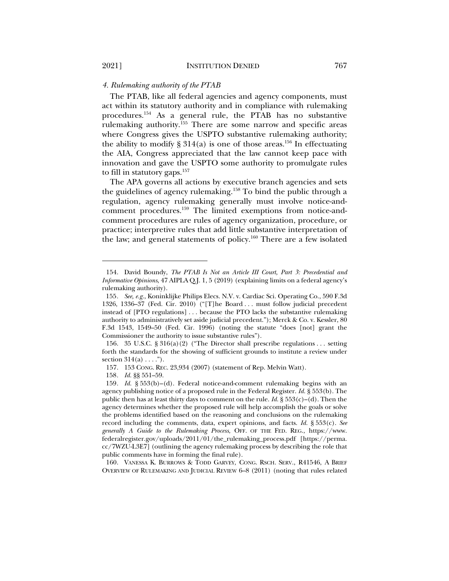# *4. Rulemaking authority of the PTAB*

The PTAB, like all federal agencies and agency components, must act within its statutory authority and in compliance with rulemaking procedures.154 As a general rule, the PTAB has no substantive rulemaking authority.155 There are some narrow and specific areas where Congress gives the USPTO substantive rulemaking authority; the ability to modify § 314(a) is one of those areas.<sup>156</sup> In effectuating the AIA, Congress appreciated that the law cannot keep pace with innovation and gave the USPTO some authority to promulgate rules to fill in statutory gaps.<sup>157</sup>

The APA governs all actions by executive branch agencies and sets the guidelines of agency rulemaking.158 To bind the public through a regulation, agency rulemaking generally must involve notice-andcomment procedures.159 The limited exemptions from notice-andcomment procedures are rules of agency organization, procedure, or practice; interpretive rules that add little substantive interpretation of the law; and general statements of policy.160 There are a few isolated

160. VANESSA K. BURROWS & TODD GARVEY, CONG. RSCH. SERV., R41546, A BRIEF OVERVIEW OF RULEMAKING AND JUDICIAL REVIEW 6–8 (2011) (noting that rules related

<sup>154.</sup> David Boundy, *The PTAB Is Not an Article III Court, Part 3: Precedential and Informative Opinions*, 47 AIPLA Q.J. 1, 5 (2019) (explaining limits on a federal agency's rulemaking authority).

<sup>155</sup>*. See, e.g.*, Koninklijke Philips Elecs. N.V. v. Cardiac Sci. Operating Co., 590 F.3d 1326, 1336–37 (Fed. Cir. 2010) ("[T]he Board  $\dots$  must follow judicial precedent instead of [PTO regulations] . . . because the PTO lacks the substantive rulemaking authority to administratively set aside judicial precedent."); Merck & Co. v. Kessler, 80 F.3d 1543, 1549–50 (Fed. Cir. 1996) (noting the statute "does [not] grant the Commissioner the authority to issue substantive rules").

<sup>156.</sup> 35 U.S.C. § 316(a)(2) ("The Director shall prescribe regulations . . . setting forth the standards for the showing of sufficient grounds to institute a review under section  $314(a) \ldots$ .").

<sup>157.</sup> 153 CONG. REC. 23,934 (2007) (statement of Rep. Melvin Watt).

<sup>158</sup>*. Id.* §§ 551–59.

<sup>159</sup>*. Id.* § 553(b)–(d). Federal notice-and-comment rulemaking begins with an agency publishing notice of a proposed rule in the Federal Register. *Id.* § 553(b). The public then has at least thirty days to comment on the rule. *Id.*  $\S 553(c) - (d)$ . Then the agency determines whether the proposed rule will help accomplish the goals or solve the problems identified based on the reasoning and conclusions on the rulemaking record including the comments, data, expert opinions, and facts. *Id.* § 553(c). *See generally A Guide to the Rulemaking Process*, OFF. OF THE FED. REG., https://www. federalregister.gov/uploads/2011/01/the\_rulemaking\_process.pdf [https://perma. cc/7WZU-L3E7] (outlining the agency rulemaking process by describing the role that public comments have in forming the final rule).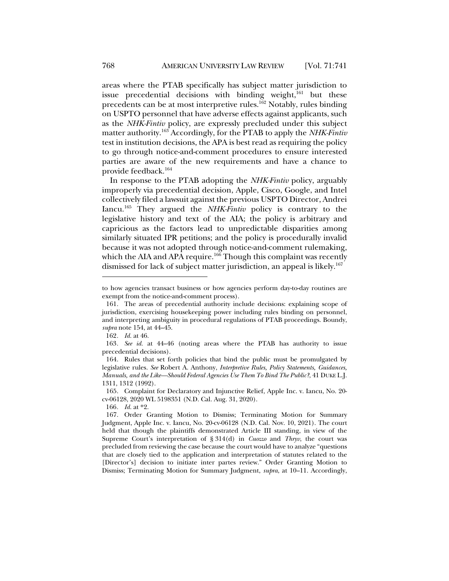areas where the PTAB specifically has subject matter jurisdiction to issue precedential decisions with binding weight, $161$  but these precedents can be at most interpretive rules.162 Notably, rules binding on USPTO personnel that have adverse effects against applicants, such as the *NHK-Fintiv* policy, are expressly precluded under this subject matter authority.163 Accordingly, for the PTAB to apply the *NHK-Fintiv* test in institution decisions, the APA is best read as requiring the policy to go through notice-and-comment procedures to ensure interested parties are aware of the new requirements and have a chance to provide feedback.164

In response to the PTAB adopting the *NHK-Fintiv* policy, arguably improperly via precedential decision, Apple, Cisco, Google, and Intel collectively filed a lawsuit against the previous USPTO Director, Andrei Iancu.165 They argued the *NHK-Fintiv* policy is contrary to the legislative history and text of the AIA; the policy is arbitrary and capricious as the factors lead to unpredictable disparities among similarly situated IPR petitions; and the policy is procedurally invalid because it was not adopted through notice-and-comment rulemaking, which the AIA and APA require.<sup>166</sup> Though this complaint was recently dismissed for lack of subject matter jurisdiction, an appeal is likely. 167

166*. Id.* at \*2.

to how agencies transact business or how agencies perform day-to-day routines are exempt from the notice-and-comment process).

<sup>161.</sup> The areas of precedential authority include decisions: explaining scope of jurisdiction, exercising housekeeping power including rules binding on personnel, and interpreting ambiguity in procedural regulations of PTAB proceedings. Boundy, *supra* note 154, at 44–45.

<sup>162</sup>*. Id.* at 46.

<sup>163</sup>*. See id.* at 44–46 (noting areas where the PTAB has authority to issue precedential decisions).

<sup>164.</sup> Rules that set forth policies that bind the public must be promulgated by legislative rules. *See* Robert A. Anthony, *Interpretive Rules, Policy Statements, Guidances, Manuals, and the Like—Should Federal Agencies Use Them To Bind The Public?*, 41 DUKE L.J. 1311, 1312 (1992).

<sup>165.</sup> Complaint for Declaratory and Injunctive Relief, Apple Inc. v. Iancu, No. 20 cv-06128, 2020 WL 5198351 (N.D. Cal. Aug. 31, 2020).

<sup>167.</sup> Order Granting Motion to Dismiss; Terminating Motion for Summary Judgment, Apple Inc. v. Iancu, No. 20-cv-06128 (N.D. Cal. Nov. 10, 2021). The court held that though the plaintiffs demonstrated Article III standing, in view of the Supreme Court's interpretation of § 314(d) in *Cuozzo* and *Thryv*, the court was precluded from reviewing the case because the court would have to analyze "questions that are closely tied to the application and interpretation of statutes related to the [Director's] decision to initiate inter partes review." Order Granting Motion to Dismiss; Terminating Motion for Summary Judgment, *supra*, at 10–11. Accordingly,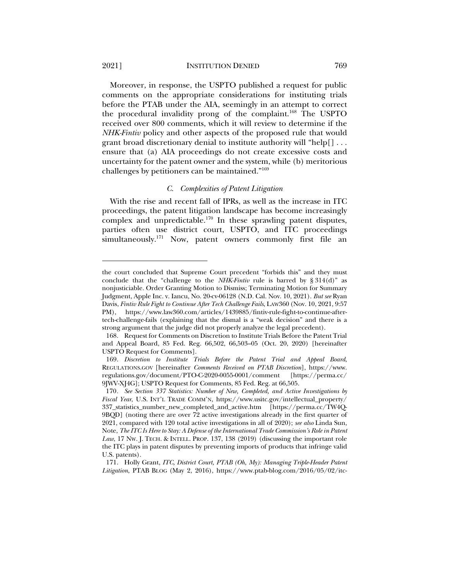2021] INSTITUTION DENIED 769

Moreover, in response, the USPTO published a request for public comments on the appropriate considerations for instituting trials before the PTAB under the AIA, seemingly in an attempt to correct the procedural invalidity prong of the complaint.<sup>168</sup> The USPTO received over 800 comments, which it will review to determine if the *NHK-Fintiv* policy and other aspects of the proposed rule that would grant broad discretionary denial to institute authority will "help[] . . . ensure that (a) AIA proceedings do not create excessive costs and uncertainty for the patent owner and the system, while (b) meritorious challenges by petitioners can be maintained."169

#### *C. Complexities of Patent Litigation*

With the rise and recent fall of IPRs, as well as the increase in ITC proceedings, the patent litigation landscape has become increasingly complex and unpredictable.<sup>170</sup> In these sprawling patent disputes, parties often use district court, USPTO, and ITC proceedings simultaneously.<sup>171</sup> Now, patent owners commonly first file an

the court concluded that Supreme Court precedent "forbids this" and they must conclude that the "challenge to the *NHK-Fintiv* rule is barred by § 314(d)" as nonjusticiable. Order Granting Motion to Dismiss; Terminating Motion for Summary Judgment, Apple Inc. v. Iancu, No. 20-cv-06128 (N.D. Cal. Nov. 10, 2021). *But see* Ryan Davis, *Fintiv Rule Fight to Continue After Tech Challenge Fails*, LAW360 (Nov. 10, 2021, 9:57 PM), https://www.law360.com/articles/1439885/fintiv-rule-fight-to-continue-aftertech-challenge-fails (explaining that the dismal is a "weak decision" and there is a strong argument that the judge did not properly analyze the legal precedent).

<sup>168.</sup> Request for Comments on Discretion to Institute Trials Before the Patent Trial and Appeal Board, 85 Fed. Reg. 66,502, 66,503–05 (Oct. 20, 2020) [hereinafter USPTO Request for Comments].

<sup>169.</sup> *Discretion to Institute Trials Before the Patent Trial and Appeal Board*, REGULATIONS.GOV [hereinafter *Comments Received on PTAB Discretion*], https://www. regulations.gov/document/PTO-C-2020-0055-0001/comment [https://perma.cc/ 9JWV-XJ4G]; USPTO Request for Comments, 85 Fed. Reg. at 66,505.

<sup>170</sup>*. See Section 337 Statistics: Number of New, Completed, and Active Investigations by Fiscal Year*, U.S. INT'L TRADE COMM'N, https://www.usitc.gov/intellectual\_property/ 337\_statistics\_number\_new\_completed\_and\_active.htm [https://perma.cc/TW4Q-9BQD] (noting there are over 72 active investigations already in the first quarter of 2021, compared with 120 total active investigations in all of 2020); *see also* Linda Sun, Note, *The ITC Is Here to Stay: A Defense of the International Trade Commission's Role in Patent Law*, 17 NW. J. TECH. & INTELL. PROP. 137, 138 (2019) (discussing the important role the ITC plays in patent disputes by preventing imports of products that infringe valid U.S. patents).

<sup>171.</sup> Holly Grant, *ITC, District Court, PTAB (Oh, My): Managing Triple-Header Patent Litigation*, PTAB BLOG (May 2, 2016), https://www.ptab-blog.com/2016/05/02/itc-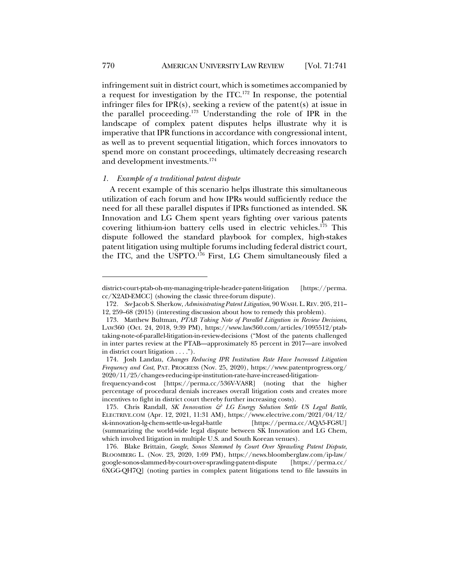infringement suit in district court, which is sometimes accompanied by a request for investigation by the ITC.172 In response, the potential infringer files for IPR(s), seeking a review of the patent(s) at issue in the parallel proceeding.173 Understanding the role of IPR in the landscape of complex patent disputes helps illustrate why it is imperative that IPR functions in accordance with congressional intent, as well as to prevent sequential litigation, which forces innovators to spend more on constant proceedings, ultimately decreasing research and development investments. 174

# *1. Example of a traditional patent dispute*

A recent example of this scenario helps illustrate this simultaneous utilization of each forum and how IPRs would sufficiently reduce the need for all these parallel disputes if IPRs functioned as intended. SK Innovation and LG Chem spent years fighting over various patents covering lithium-ion battery cells used in electric vehicles.175 This dispute followed the standard playbook for complex, high-stakes patent litigation using multiple forums including federal district court, the ITC, and the USPTO.176 First, LG Chem simultaneously filed a

district-court-ptab-oh-my-managing-triple-header-patent-litigation [https://perma. cc/X2AD-EMCC] (showing the classic three-forum dispute).

<sup>172</sup>*. See* Jacob S. Sherkow, *Administrating Patent Litigation*, 90 WASH.L.REV. 205, 211– 12, 259–68 (2015) (interesting discussion about how to remedy this problem).

<sup>173.</sup> Matthew Bultman, *PTAB Taking Note of Parallel Litigation in Review Decisions*, LAW360 (Oct. 24, 2018, 9:39 PM), https://www.law360.com/articles/1095512/ptabtaking-note-of-parallel-litigation-in-review-decisions ("Most of the patents challenged in inter partes review at the PTAB—approximately 85 percent in 2017—are involved in district court litigation . . . .").

<sup>174.</sup> Josh Landau, *Changes Reducing IPR Institution Rate Have Increased Litigation Frequency and Cost*, PAT. PROGRESS (Nov. 25, 2020), https://www.patentprogress.org/ 2020/11/25/changes-reducing-ipr-institution-rate-have-increased-litigation-

frequency-and-cost [https://perma.cc/536V-VA8R] (noting that the higher percentage of procedural denials increases overall litigation costs and creates more incentives to fight in district court thereby further increasing costs).

<sup>175.</sup> Chris Randall, *SK Innovation & LG Energy Solution Settle US Legal Battle*, ELECTRIVE.COM (Apr. 12, 2021, 11:31 AM), https://www.electrive.com/2021/04/12/ sk-innovation-lg-chem-settle-us-legal-battle [https://perma.cc/AQA5-FG8U] (summarizing the world-wide legal dispute between SK Innovation and LG Chem, which involved litigation in multiple U.S. and South Korean venues).

<sup>176.</sup> Blake Brittain, *Google, Sonos Slammed by Court Over Sprawling Patent Dispute*, BLOOMBERG L. (Nov. 23, 2020, 1:09 PM), https://news.bloomberglaw.com/ip-law/ google-sonos-slammed-by-court-over-sprawling-patent-dispute [https://perma.cc/ 6XGG-QH7Q] (noting parties in complex patent litigations tend to file lawsuits in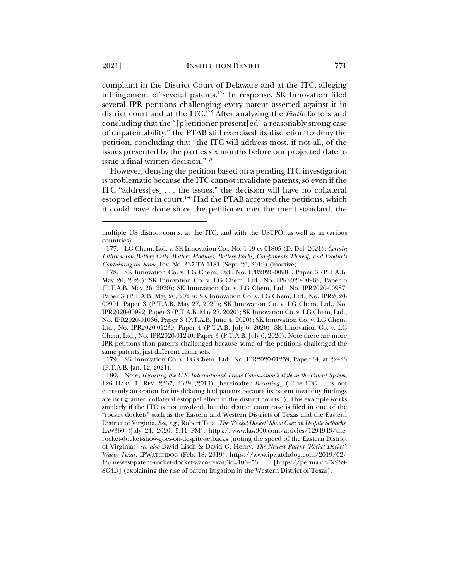complaint in the District Court of Delaware and at the ITC, alleging infringement of several patents.177 In response, SK Innovation filed several IPR petitions challenging every patent asserted against it in district court and at the ITC.178 After analyzing the *Fintiv* factors and concluding that the "[p]etitioner present[ed] a reasonably strong case of unpatentability," the PTAB still exercised its discretion to deny the petition, concluding that "the ITC will address most, if not all, of the issues presented by the parties six months before our projected date to issue a final written decision."179

However, denying the petition based on a pending ITC investigation is problematic because the ITC cannot invalidate patents, so even if the ITC "address[es] . . . the issues," the decision will have no collateral estoppel effect in court.<sup>180</sup> Had the PTAB accepted the petitions, which it could have done since the petitioner met the merit standard, the

179. SK Innovation Co. v. LG Chem, Ltd., No. IPR2020-01239, Paper 14, at 22–23 (P.T.A.B. Jan. 12, 2021).

multiple US district courts, at the ITC, and with the USTPO, as well as in various countries).

<sup>177.</sup> LG Chem, Ltd. v. SK Innovation Co., No. 1-19-cv-01805 (D. Del. 2021); *Certain Lithium-Ion Battery Cells, Battery Modules, Battery Packs, Components Thereof, and Products Containing the Same*, Inv. No. 337-TA-1181 (Sept. 26, 2019) (inactive).

<sup>178.</sup> SK Innovation Co. v. LG Chem, Ltd., No. IPR2020-00981, Paper 3 (P.T.A.B. May 26, 2020); SK Innovation Co. v. LG Chem, Ltd., No. IPR2020-00982, Paper 3 (P.T.A.B. May 26, 2020); SK Innovation Co. v. LG Chem, Ltd., No. IPR2020-00987, Paper 3 (P.T.A.B. May 26, 2020); SK Innovation Co. v. LG Chem, Ltd., No. IPR2020- 00991, Paper 3 (P.T.A.B. May 27, 2020); SK Innovation Co. v. LG Chem, Ltd., No. IPR2020-00992, Paper 3 (P.T.A.B. May 27, 2020); SK Innovation Co. v. LG Chem, Ltd., No. IPR2020-01036, Paper 3 (P.T.A.B. June 4, 2020); SK Innovation Co. v. LG Chem, Ltd., No. IPR2020-01239, Paper 4 (P.T.A.B. July 6, 2020); SK Innovation Co. v. LG Chem, Ltd., No. IPR2020-01240, Paper 3 (P.T.A.B. July 6, 2020). Note there are more IPR petitions than patents challenged because some of the petitions challenged the same patents, just different claim sets.

<sup>180.</sup> Note, *Recasting the U.S. International Trade Commission's Role in the Patent System*, 126 HARV. L. REV. 2337, 2339 (2013) [hereinafter *Recasting*] ("The ITC . . . is not currently an option for invalidating bad patents because its patent invalidity findings are not granted collateral estoppel effect in the district courts."). This example works similarly if the ITC is not involved, but the district court case is filed in one of the "rocket dockets" such as the Eastern and Western Districts of Texas and the Eastern District of Virginia. *See, e.g.*, Robert Tata, *The 'Rocket Docket' Show Goes on Despite Setbacks*, LAW360 (July 24, 2020, 5:11 PM), https://www.law360.com/articles/1294943/therocket-docket-show-goes-on-despite-setbacks (noting the speed of the Eastern District of Virginia); *see also* David Lisch & David G. Henry, *The Newest Patent 'Rocket Docket': Waco, Texas*, IPWATCHDOG (Feb. 18, 2019), https://www.ipwatchdog.com/2019/02/ 18/newest-patent-rocket-docket-waco-texas/id=106453 [https://perma.cc/X9S9- SG4D] (explaining the rise of patent litigation in the Western District of Texas).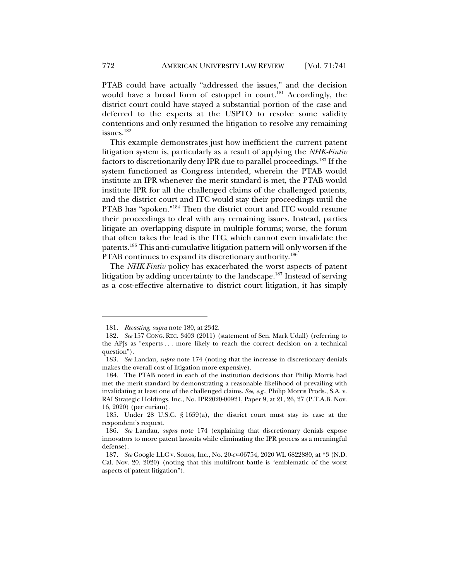PTAB could have actually "addressed the issues," and the decision would have a broad form of estoppel in court.<sup>181</sup> Accordingly, the district court could have stayed a substantial portion of the case and deferred to the experts at the USPTO to resolve some validity contentions and only resumed the litigation to resolve any remaining issues.182

This example demonstrates just how inefficient the current patent litigation system is, particularly as a result of applying the *NHK-Fintiv* factors to discretionarily deny IPR due to parallel proceedings.183 If the system functioned as Congress intended, wherein the PTAB would institute an IPR whenever the merit standard is met, the PTAB would institute IPR for all the challenged claims of the challenged patents, and the district court and ITC would stay their proceedings until the PTAB has "spoken."184 Then the district court and ITC would resume their proceedings to deal with any remaining issues. Instead, parties litigate an overlapping dispute in multiple forums; worse, the forum that often takes the lead is the ITC, which cannot even invalidate the patents.185 This anti-cumulative litigation pattern will only worsen if the PTAB continues to expand its discretionary authority.<sup>186</sup>

The *NHK-Fintiv* policy has exacerbated the worst aspects of patent litigation by adding uncertainty to the landscape.<sup>187</sup> Instead of serving as a cost-effective alternative to district court litigation, it has simply

<sup>181</sup>*. Recasting*, *supra* note 180, at 2342.

<sup>182</sup>*. See* 157 CONG. REC. 3403 (2011) (statement of Sen. Mark Udall) (referring to the APJs as "experts . . . more likely to reach the correct decision on a technical question").

<sup>183</sup>*. See* Landau, *supra* note 174 (noting that the increase in discretionary denials makes the overall cost of litigation more expensive).

<sup>184.</sup> The PTAB noted in each of the institution decisions that Philip Morris had met the merit standard by demonstrating a reasonable likelihood of prevailing with invalidating at least one of the challenged claims. *See, e.g.*, Philip Morris Prods., S.A. v. RAI Strategic Holdings, Inc., No. IPR2020-00921, Paper 9, at 21, 26, 27 (P.T.A.B. Nov. 16, 2020) (per curiam).

<sup>185.</sup> Under 28 U.S.C. § 1659(a), the district court must stay its case at the respondent's request.

<sup>186</sup>*. See* Landau, *supra* note 174 (explaining that discretionary denials expose innovators to more patent lawsuits while eliminating the IPR process as a meaningful defense).

<sup>187</sup>*. See* Google LLC v. Sonos, Inc., No. 20-cv-06754, 2020 WL 6822880, at \*3 (N.D. Cal. Nov. 20, 2020) (noting that this multifront battle is "emblematic of the worst aspects of patent litigation").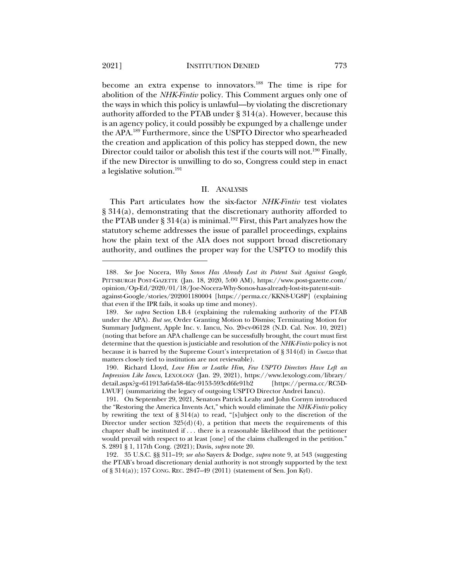become an extra expense to innovators.<sup>188</sup> The time is ripe for abolition of the *NHK-Fintiv* policy. This Comment argues only one of the ways in which this policy is unlawful—by violating the discretionary authority afforded to the PTAB under  $\S 314(a)$ . However, because this is an agency policy, it could possibly be expunged by a challenge under the APA.189 Furthermore, since the USPTO Director who spearheaded the creation and application of this policy has stepped down, the new Director could tailor or abolish this test if the courts will not.<sup>190</sup> Finally, if the new Director is unwilling to do so, Congress could step in enact a legislative solution.191

#### II. ANALYSIS

This Part articulates how the six-factor *NHK-Fintiv* test violates § 314(a), demonstrating that the discretionary authority afforded to the PTAB under § 314(a) is minimal.<sup>192</sup> First, this Part analyzes how the statutory scheme addresses the issue of parallel proceedings, explains how the plain text of the AIA does not support broad discretionary authority, and outlines the proper way for the USPTO to modify this

<sup>188</sup>*. See* Joe Nocera, *Why Sonos Has Already Lost its Patent Suit Against Google*, PITTSBURGH POST-GAZETTE (Jan. 18, 2020, 5:00 AM), https://www.post-gazette.com/ opinion/Op-Ed/2020/01/18/Joe-Nocera-Why-Sonos-has-already-lost-its-patent-suitagainst-Google/stories/202001180004 [https://perma.cc/KKN8-UG8P] (explaining that even if the IPR fails, it soaks up time and money).

<sup>189</sup>*. See supra* Section I.B.4 (explaining the rulemaking authority of the PTAB under the APA). *But see*, Order Granting Motion to Dismiss; Terminating Motion for Summary Judgment, Apple Inc. v. Iancu, No. 20-cv-06128 (N.D. Cal. Nov. 10, 2021) (noting that before an APA challenge can be successfully brought, the court must first determine that the question is justiciable and resolution of the *NHK-Fintiv* policy is not because it is barred by the Supreme Court's interpretation of § 314(d) in *Cuozzo* that matters closely tied to institution are not reviewable).

<sup>190.</sup> Richard Lloyd, *Love Him or Loathe Him, Few USPTO Directors Have Left an Impression Like Iancu*, LEXOLOGY (Jan. 29, 2021), https://www.lexology.com/library/ detail.aspx?g=611913a6-fa58-4fac-9153-593cd6fe91b2 [https://perma.cc/RC5D-LWUF] (summarizing the legacy of outgoing USPTO Director Andrei Iancu).

<sup>191.</sup> On September 29, 2021, Senators Patrick Leahy and John Cornyn introduced the "Restoring the America Invents Act," which would eliminate the *NHK-Fintiv* policy by rewriting the text of § 314(a) to read, "[s]ubject only to the discretion of the Director under section  $325(d)(4)$ , a petition that meets the requirements of this chapter shall be instituted if . . . there is a reasonable likelihood that the petitioner would prevail with respect to at least [one] of the claims challenged in the petition." S. 2891 § 1, 117th Cong. (2021); Davis, *supra* note 20.

<sup>192.</sup> 35 U.S.C. §§ 311–19; *see also* Sayers & Dodge, *supra* note 9, at 543 (suggesting the PTAB's broad discretionary denial authority is not strongly supported by the text of § 314(a)); 157 CONG. REC. 2847–49 (2011) (statement of Sen. Jon Kyl).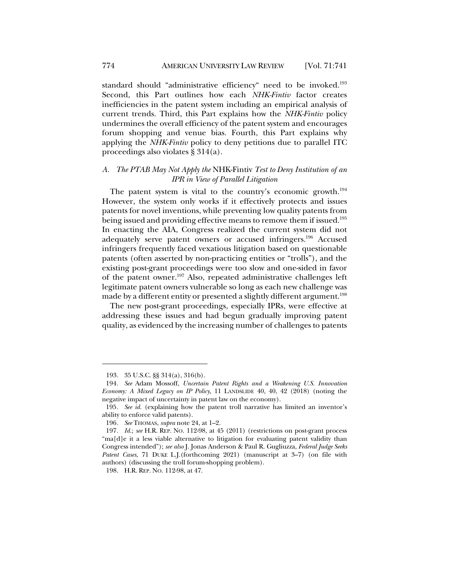standard should "administrative efficiency" need to be invoked.<sup>193</sup> Second, this Part outlines how each *NHK-Fintiv* factor creates inefficiencies in the patent system including an empirical analysis of current trends. Third, this Part explains how the *NHK-Fintiv* policy undermines the overall efficiency of the patent system and encourages forum shopping and venue bias. Fourth, this Part explains why applying the *NHK-Fintiv* policy to deny petitions due to parallel ITC proceedings also violates § 314(a).

# *A. The PTAB May Not Apply the* NHK-Fintiv *Test to Deny Institution of an IPR in View of Parallel Litigation*

The patent system is vital to the country's economic growth.<sup>194</sup> However, the system only works if it effectively protects and issues patents for novel inventions, while preventing low quality patents from being issued and providing effective means to remove them if issued.<sup>195</sup> In enacting the AIA, Congress realized the current system did not adequately serve patent owners or accused infringers.196 Accused infringers frequently faced vexatious litigation based on questionable patents (often asserted by non-practicing entities or "trolls"), and the existing post-grant proceedings were too slow and one-sided in favor of the patent owner.197 Also, repeated administrative challenges left legitimate patent owners vulnerable so long as each new challenge was made by a different entity or presented a slightly different argument.<sup>198</sup>

The new post-grant proceedings, especially IPRs, were effective at addressing these issues and had begun gradually improving patent quality, as evidenced by the increasing number of challenges to patents

<sup>193.</sup> 35 U.S.C. §§ 314(a), 316(b).

<sup>194</sup>*. See* Adam Mossoff, *Uncertain Patent Rights and a Weakening U.S. Innovation Economy: A Mixed Legacy on IP Policy*, 11 LANDSLIDE 40, 40, 42 (2018) (noting the negative impact of uncertainty in patent law on the economy).

<sup>195</sup>*. See id.* (explaining how the patent troll narrative has limited an inventor's ability to enforce valid patents).

<sup>196</sup>*. See* THOMAS, *supra* note 24, at 1–2.

<sup>197</sup>*. Id.*; *see* H.R. REP. NO. 112-98, at 45 (2011) (restrictions on post-grant process "ma[d]e it a less viable alternative to litigation for evaluating patent validity than Congress intended"); *see also* J. Jonas Anderson & Paul R. Gugliuzza, *Federal Judge Seeks Patent Cases*, 71 DUKE L.J.(forthcoming 2021) (manuscript at 3–7) (on file with authors) (discussing the troll forum-shopping problem).

<sup>198.</sup> H.R. REP. NO. 112-98, at 47.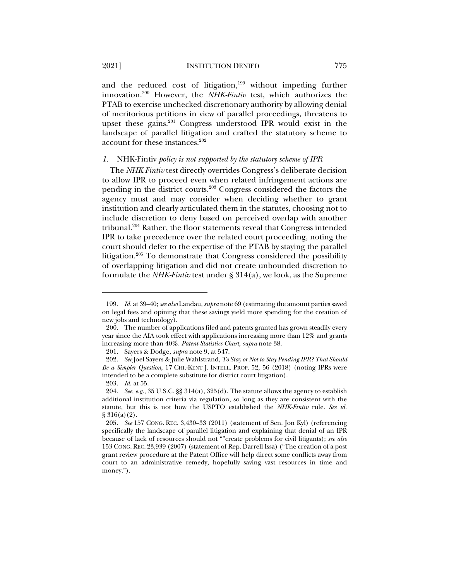and the reduced cost of litigation, $199$  without impeding further innovation.200 However, the *NHK-Fintiv* test, which authorizes the PTAB to exercise unchecked discretionary authority by allowing denial of meritorious petitions in view of parallel proceedings, threatens to upset these gains.201 Congress understood IPR would exist in the landscape of parallel litigation and crafted the statutory scheme to account for these instances.<sup>202</sup>

#### *1.* NHK-Fintiv *policy is not supported by the statutory scheme of IPR*

The *NHK-Fintiv* test directly overrides Congress's deliberate decision to allow IPR to proceed even when related infringement actions are pending in the district courts.203 Congress considered the factors the agency must and may consider when deciding whether to grant institution and clearly articulated them in the statutes, choosing not to include discretion to deny based on perceived overlap with another tribunal.204 Rather, the floor statements reveal that Congress intended IPR to take precedence over the related court proceeding, noting the court should defer to the expertise of the PTAB by staying the parallel litigation.205 To demonstrate that Congress considered the possibility of overlapping litigation and did not create unbounded discretion to formulate the *NHK-Fintiv* test under § 314(a), we look, as the Supreme

<sup>199</sup>*. Id.* at 39–40; *see also* Landau, *supra* note 69 (estimating the amount parties saved on legal fees and opining that these savings yield more spending for the creation of new jobs and technology).

<sup>200.</sup> The number of applications filed and patents granted has grown steadily every year since the AIA took effect with applications increasing more than 12% and grants increasing more than 40%. *Patent Statistics Chart*, *supra* note 38.

<sup>201.</sup> Sayers & Dodge, *supra* note 9, at 547.

<sup>202</sup>*. See* Joel Sayers & Julie Wahlstrand, *To Stay or Not to Stay Pending IPR? That Should Be a Simpler Question*, 17 CHI.-KENT J. INTELL. PROP. 52, 56 (2018) (noting IPRs were intended to be a complete substitute for district court litigation).

<sup>203</sup>*. Id.* at 55.

<sup>204</sup>*. See, e.g.*, 35 U.S.C. §§ 314(a), 325(d). The statute allows the agency to establish additional institution criteria via regulation, so long as they are consistent with the statute, but this is not how the USPTO established the *NHK-Fintiv* rule. *See id.* § 316(a)(2).

<sup>205</sup>*. See* 157 CONG. REC. 3,430–33 (2011) (statement of Sen. Jon Kyl) (referencing specifically the landscape of parallel litigation and explaining that denial of an IPR because of lack of resources should not ""create problems for civil litigants); *see also* 153 CONG. REC. 23,939 (2007) (statement of Rep. Darrell Issa) ("The creation of a post grant review procedure at the Patent Office will help direct some conflicts away from court to an administrative remedy, hopefully saving vast resources in time and money.").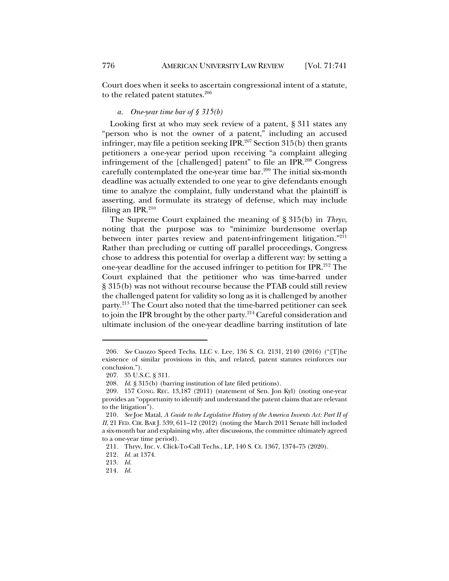Court does when it seeks to ascertain congressional intent of a statute, to the related patent statutes.<sup>206</sup>

# *a. One-year time bar of § 315(b)*

Looking first at who may seek review of a patent, § 311 states any "person who is not the owner of a patent," including an accused infringer, may file a petition seeking IPR.<sup>207</sup> Section 315(b) then grants petitioners a one-year period upon receiving "a complaint alleging infringement of the [challenged] patent" to file an IPR.208 Congress carefully contemplated the one-year time bar.<sup>209</sup> The initial six-month deadline was actually extended to one year to give defendants enough time to analyze the complaint, fully understand what the plaintiff is asserting, and formulate its strategy of defense, which may include filing an IPR. $210$ 

The Supreme Court explained the meaning of § 315(b) in *Thryv*, noting that the purpose was to "minimize burdensome overlap between inter partes review and patent-infringement litigation."<sup>211</sup> Rather than precluding or cutting off parallel proceedings, Congress chose to address this potential for overlap a different way: by setting a one-year deadline for the accused infringer to petition for IPR.212 The Court explained that the petitioner who was time-barred under § 315(b) was not without recourse because the PTAB could still review the challenged patent for validity so long as it is challenged by another party.213 The Court also noted that the time-barred petitioner can seek to join the IPR brought by the other party.214 Careful consideration and ultimate inclusion of the one-year deadline barring institution of late

<sup>206</sup>*. See* Cuozzo Speed Techs. LLC v. Lee, 136 S. Ct. 2131, 2140 (2016) ("[T]he existence of similar provisions in this, and related, patent statutes reinforces our conclusion.").

<sup>207.</sup> 35 U.S.C. § 311.

<sup>208</sup>*. Id.* § 315(b) (barring institution of late filed petitions).

<sup>209.</sup> 157 CONG. REC. 13,187 (2011) (statement of Sen. Jon Kyl) (noting one-year provides an "opportunity to identify and understand the patent claims that are relevant to the litigation").

<sup>210</sup>*. See* Joe Matal, *A Guide to the Legislative History of the America Invents Act: Part II of II*, 21 FED. CIR. BAR J. 539, 611–12 (2012) (noting the March 2011 Senate bill included a six-month bar and explaining why, after discussions, the committee ultimately agreed to a one-year time period).

<sup>211.</sup> Thryv, Inc. v. Click-To-Call Techs., LP, 140 S. Ct. 1367, 1374–75 (2020).

<sup>212</sup>*. Id.* at 1374.

<sup>213</sup>*. Id.*

<sup>214</sup>*. Id.*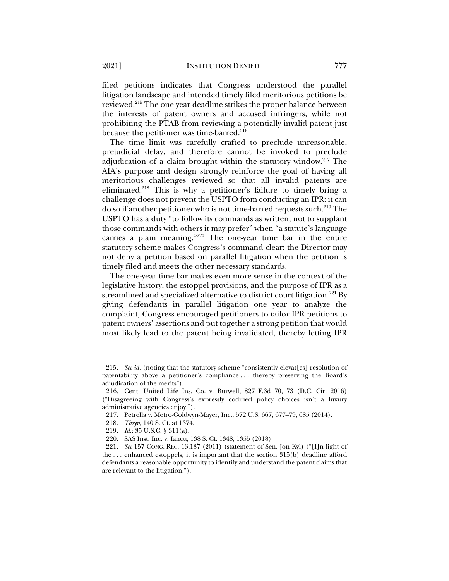filed petitions indicates that Congress understood the parallel litigation landscape and intended timely filed meritorious petitions be reviewed.215 The one-year deadline strikes the proper balance between the interests of patent owners and accused infringers, while not prohibiting the PTAB from reviewing a potentially invalid patent just because the petitioner was time-barred.<sup>216</sup>

The time limit was carefully crafted to preclude unreasonable, prejudicial delay, and therefore cannot be invoked to preclude adjudication of a claim brought within the statutory window.217 The AIA's purpose and design strongly reinforce the goal of having all meritorious challenges reviewed so that all invalid patents are eliminated.218 This is why a petitioner's failure to timely bring a challenge does not prevent the USPTO from conducting an IPR: it can do so if another petitioner who is not time-barred requests such.<sup>219</sup> The USPTO has a duty "to follow its commands as written, not to supplant those commands with others it may prefer" when "a statute's language carries a plain meaning."220 The one-year time bar in the entire statutory scheme makes Congress's command clear: the Director may not deny a petition based on parallel litigation when the petition is timely filed and meets the other necessary standards.

The one-year time bar makes even more sense in the context of the legislative history, the estoppel provisions, and the purpose of IPR as a streamlined and specialized alternative to district court litigation.<sup>221</sup> By giving defendants in parallel litigation one year to analyze the complaint, Congress encouraged petitioners to tailor IPR petitions to patent owners' assertions and put together a strong petition that would most likely lead to the patent being invalidated, thereby letting IPR

<sup>215</sup>*. See id.* (noting that the statutory scheme "consistently elevat[es] resolution of patentability above a petitioner's compliance . . . thereby preserving the Board's adjudication of the merits").

<sup>216.</sup> Cent. United Life Ins. Co. v. Burwell, 827 F.3d 70, 73 (D.C. Cir. 2016) ("Disagreeing with Congress's expressly codified policy choices isn't a luxury administrative agencies enjoy.").

<sup>217.</sup> Petrella v. Metro-Goldwyn-Mayer, Inc., 572 U.S. 667, 677–79, 685 (2014).

<sup>218</sup>*. Thryv*, 140 S. Ct. at 1374.

<sup>219</sup>*. Id.*; 35 U.S.C. § 311(a).

<sup>220.</sup> SAS Inst. Inc. v. Iancu, 138 S. Ct. 1348, 1355 (2018).

<sup>221</sup>*. See* 157 CONG. REC. 13,187 (2011) (statement of Sen. Jon Kyl) ("[I]n light of the . . . enhanced estoppels, it is important that the section 315(b) deadline afford defendants a reasonable opportunity to identify and understand the patent claims that are relevant to the litigation.").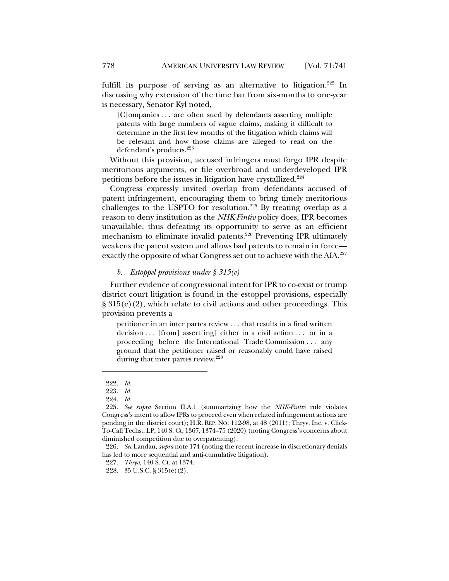fulfill its purpose of serving as an alternative to litigation.<sup>222</sup> In discussing why extension of the time bar from six-months to one-year is necessary, Senator Kyl noted,

[C]ompanies . . . are often sued by defendants asserting multiple patents with large numbers of vague claims, making it difficult to determine in the first few months of the litigation which claims will be relevant and how those claims are alleged to read on the defendant's products.<sup>223</sup>

Without this provision, accused infringers must forgo IPR despite meritorious arguments, or file overbroad and underdeveloped IPR petitions before the issues in litigation have crystallized.<sup>224</sup>

Congress expressly invited overlap from defendants accused of patent infringement, encouraging them to bring timely meritorious challenges to the USPTO for resolution. <sup>225</sup> By treating overlap as a reason to deny institution as the *NHK-Fintiv* policy does, IPR becomes unavailable, thus defeating its opportunity to serve as an efficient mechanism to eliminate invalid patents.<sup>226</sup> Preventing IPR ultimately weakens the patent system and allows bad patents to remain in force exactly the opposite of what Congress set out to achieve with the AIA.<sup>227</sup>

#### *b. Estoppel provisions under § 315(e)*

Further evidence of congressional intent for IPR to co-exist or trump district court litigation is found in the estoppel provisions, especially  $\S 315(e)(2)$ , which relate to civil actions and other proceedings. This provision prevents a

petitioner in an inter partes review . . . that results in a final written decision  $\ldots$  [from] assert [ing] either in a civil action  $\ldots$  or in a proceeding before the International Trade Commission . . . any ground that the petitioner raised or reasonably could have raised during that inter partes review.<sup>228</sup>

<sup>222</sup>*. Id.*

<sup>223</sup>*. Id.*

<sup>224</sup>*. Id.*

<sup>225</sup>*. See supra* Section II.A.1 (summarizing how the *NHK-Fintiv* rule violates Congress's intent to allow IPRs to proceed even when related infringement actions are pending in the district court); H.R. REP. NO. 112-98, at 48 (2011); Thryv, Inc. v. Click-To-Call Techs., LP, 140 S. Ct. 1367, 1374–75 (2020) (noting Congress's concerns about diminished competition due to overpatenting).

<sup>226</sup>*. See* Landau, *supra* note 174 (noting the recent increase in discretionary denials has led to more sequential and anti-cumulative litigation).

<sup>227</sup>*. Thryv*, 140 S. Ct. at 1374.

<sup>228.</sup> 35 U.S.C. § 315(e)(2).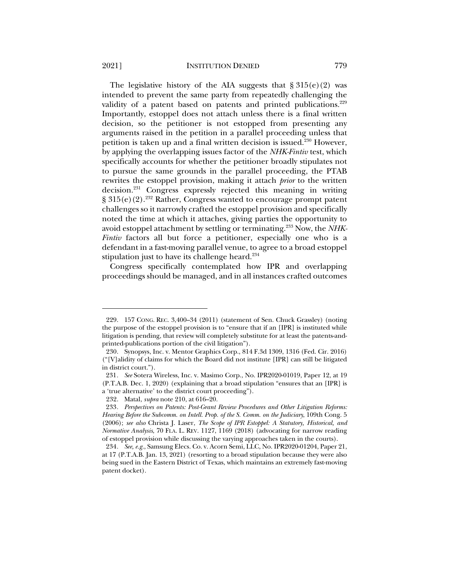The legislative history of the AIA suggests that  $\S 315(e)(2)$  was intended to prevent the same party from repeatedly challenging the validity of a patent based on patents and printed publications.<sup>229</sup> Importantly, estoppel does not attach unless there is a final written decision, so the petitioner is not estopped from presenting any arguments raised in the petition in a parallel proceeding unless that petition is taken up and a final written decision is issued.230 However, by applying the overlapping issues factor of the *NHK-Fintiv* test, which specifically accounts for whether the petitioner broadly stipulates not to pursue the same grounds in the parallel proceeding, the PTAB rewrites the estoppel provision, making it attach *prior* to the written decision.231 Congress expressly rejected this meaning in writing § 315(e)(2).232 Rather, Congress wanted to encourage prompt patent challenges so it narrowly crafted the estoppel provision and specifically noted the time at which it attaches, giving parties the opportunity to avoid estoppel attachment by settling or terminating.233 Now, the *NHK-Fintiv* factors all but force a petitioner, especially one who is a defendant in a fast-moving parallel venue, to agree to a broad estoppel stipulation just to have its challenge heard.<sup>234</sup>

Congress specifically contemplated how IPR and overlapping proceedings should be managed, and in all instances crafted outcomes

<sup>229.</sup> 157 CONG. REC. 3,400–34 (2011) (statement of Sen. Chuck Grassley) (noting the purpose of the estoppel provision is to "ensure that if an [IPR] is instituted while litigation is pending, that review will completely substitute for at least the patents-andprinted-publications portion of the civil litigation").

<sup>230.</sup> Synopsys, Inc. v. Mentor Graphics Corp., 814 F.3d 1309, 1316 (Fed. Cir. 2016) ("[V]alidity of claims for which the Board did not institute [IPR] can still be litigated in district court.").

<sup>231</sup>*. See* Sotera Wireless, Inc. v. Masimo Corp., No. IPR2020-01019, Paper 12, at 19 (P.T.A.B. Dec. 1, 2020) (explaining that a broad stipulation "ensures that an [IPR] is a 'true alternative' to the district court proceeding").

<sup>232.</sup> Matal, *supra* note 210, at 616–20.

<sup>233</sup>*. Perspectives on Patents: Post-Grant Review Procedures and Other Litigation Reforms: Hearing Before the Subcomm. on Intell. Prop. of the S. Comm. on the Judiciary*, 109th Cong. 5 (2006); *see also* Christa J. Laser, *The Scope of IPR Estoppel: A Statutory, Historical, and Normative Analysis*, 70 FLA. L. REV. 1127, 1169 (2018) (advocating for narrow reading of estoppel provision while discussing the varying approaches taken in the courts).

<sup>234</sup>*. See, e.g.*, Samsung Elecs. Co. v. Acorn Semi, LLC, No. IPR2020-01204, Paper 21, at 17 (P.T.A.B. Jan. 13, 2021) (resorting to a broad stipulation because they were also being sued in the Eastern District of Texas, which maintains an extremely fast-moving patent docket).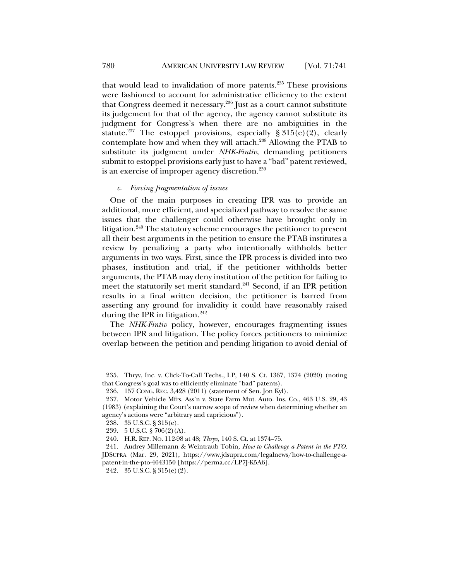that would lead to invalidation of more patents. $235$  These provisions were fashioned to account for administrative efficiency to the extent that Congress deemed it necessary.<sup>236</sup> Just as a court cannot substitute its judgement for that of the agency, the agency cannot substitute its judgment for Congress's when there are no ambiguities in the statute.<sup>237</sup> The estoppel provisions, especially  $\S 315(e)(2)$ , clearly contemplate how and when they will attach.238 Allowing the PTAB to substitute its judgment under *NHK-Fintiv*, demanding petitioners submit to estoppel provisions early just to have a "bad" patent reviewed, is an exercise of improper agency discretion.<sup>239</sup>

## *c. Forcing fragmentation of issues*

One of the main purposes in creating IPR was to provide an additional, more efficient, and specialized pathway to resolve the same issues that the challenger could otherwise have brought only in litigation.240 The statutory scheme encourages the petitioner to present all their best arguments in the petition to ensure the PTAB institutes a review by penalizing a party who intentionally withholds better arguments in two ways. First, since the IPR process is divided into two phases, institution and trial, if the petitioner withholds better arguments, the PTAB may deny institution of the petition for failing to meet the statutorily set merit standard.<sup>241</sup> Second, if an IPR petition results in a final written decision, the petitioner is barred from asserting any ground for invalidity it could have reasonably raised during the IPR in litigation.<sup>242</sup>

The *NHK-Fintiv* policy, however, encourages fragmenting issues between IPR and litigation. The policy forces petitioners to minimize overlap between the petition and pending litigation to avoid denial of

<sup>235.</sup> Thryv, Inc. v. Click-To-Call Techs., LP, 140 S. Ct. 1367, 1374 (2020) (noting that Congress's goal was to efficiently eliminate "bad" patents).

<sup>236.</sup> 157 CONG. REC. 3,428 (2011) (statement of Sen. Jon Kyl).

<sup>237.</sup> Motor Vehicle Mfrs. Ass'n v. State Farm Mut. Auto. Ins. Co., 463 U.S. 29, 43 (1983) (explaining the Court's narrow scope of review when determining whether an agency's actions were "arbitrary and capricious").

<sup>238.</sup> 35 U.S.C. § 315(e).

<sup>239.</sup> 5 U.S.C. § 706(2)(A).

<sup>240.</sup> H.R. REP. NO. 112-98 at 48; *Thryv*, 140 S. Ct. at 1374–75.

<sup>241.</sup> Audrey Millemann & Weintraub Tobin, *How to Challenge a Patent in the PTO*, JDSUPRA (Mar. 29, 2021), https://www.jdsupra.com/legalnews/how-to-challenge-apatent-in-the-pto-4643150 [https://perma.cc/LP7J-K5A6].

<sup>242.</sup> 35 U.S.C. § 315(e)(2).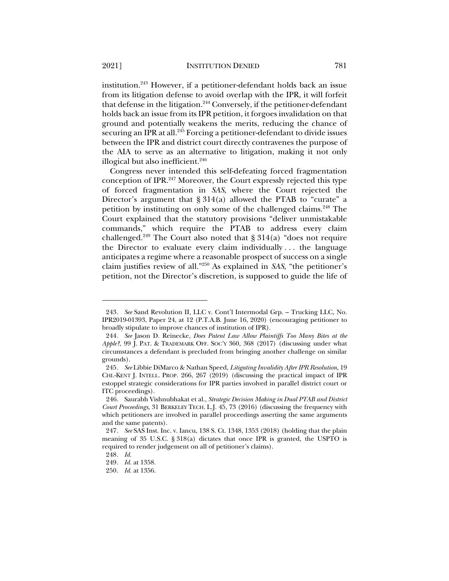institution. <sup>243</sup> However, if a petitioner-defendant holds back an issue from its litigation defense to avoid overlap with the IPR, it will forfeit that defense in the litigation.<sup>244</sup> Conversely, if the petitioner-defendant holds back an issue from its IPR petition, it forgoes invalidation on that ground and potentially weakens the merits, reducing the chance of securing an IPR at all.<sup>245</sup> Forcing a petitioner-defendant to divide issues between the IPR and district court directly contravenes the purpose of the AIA to serve as an alternative to litigation, making it not only illogical but also inefficient. 246

Congress never intended this self-defeating forced fragmentation conception of IPR.247 Moreover, the Court expressly rejected this type of forced fragmentation in *SAS*, where the Court rejected the Director's argument that § 314(a) allowed the PTAB to "curate" a petition by instituting on only some of the challenged claims.<sup>248</sup> The Court explained that the statutory provisions "deliver unmistakable commands," which require the PTAB to address every claim challenged.<sup>249</sup> The Court also noted that  $\S 314(a)$  "does not require the Director to evaluate every claim individually . . . the language anticipates a regime where a reasonable prospect of success on a single claim justifies review of all."250 As explained in *SAS*, "the petitioner's petition, not the Director's discretion, is supposed to guide the life of

<sup>243</sup>*. See* Sand Revolution II, LLC v. Cont'l Intermodal Grp. – Trucking LLC, No. IPR2019-01393, Paper 24, at 12 (P.T.A.B. June 16, 2020) (encouraging petitioner to broadly stipulate to improve chances of institution of IPR).

<sup>244</sup>*. See* Jason D. Reinecke, *Does Patent Law Allow Plaintiffs Too Many Bites at the Apple?*, 99 J. PAT. & TRADEMARK OFF. SOC'Y 360, 368 (2017) (discussing under what circumstances a defendant is precluded from bringing another challenge on similar grounds).

<sup>245</sup>*. See* Libbie DiMarco & Nathan Speed, *Litigating Invalidity After IPR Resolution*, 19 CHI.-KENT J. INTELL. PROP. 266, 267 (2019) (discussing the practical impact of IPR estoppel strategic considerations for IPR parties involved in parallel district court or ITC proceedings).

<sup>246.</sup> Saurabh Vishnubhakat et al., *Strategic Decision Making in Dual PTAB and District Court Proceedings*, 31 BERKELEY TECH. L.J. 45, 73 (2016) (discussing the frequency with which petitioners are involved in parallel proceedings asserting the same arguments and the same patents).

<sup>247</sup>*. See* SAS Inst. Inc. v. Iancu, 138 S. Ct. 1348, 1353 (2018) (holding that the plain meaning of 35 U.S.C. § 318(a) dictates that once IPR is granted, the USPTO is required to render judgement on all of petitioner's claims).

<sup>248</sup>*. Id.*

<sup>249</sup>*. Id.* at 1358.

<sup>250</sup>*. Id.* at 1356.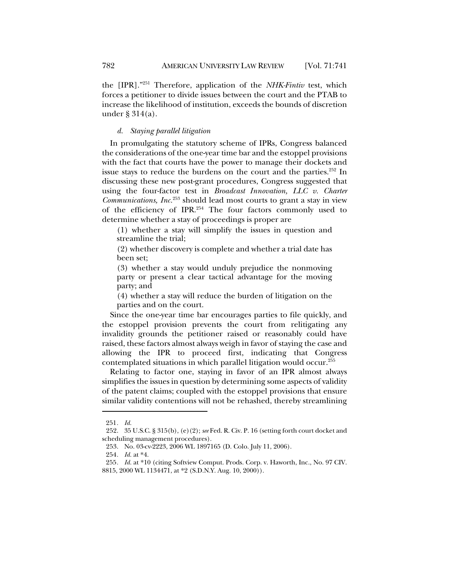the [IPR]."251 Therefore, application of the *NHK-Fintiv* test, which forces a petitioner to divide issues between the court and the PTAB to increase the likelihood of institution, exceeds the bounds of discretion under § 314(a).

## *d. Staying parallel litigation*

In promulgating the statutory scheme of IPRs, Congress balanced the considerations of the one-year time bar and the estoppel provisions with the fact that courts have the power to manage their dockets and issue stays to reduce the burdens on the court and the parties.<sup>252</sup> In discussing these new post-grant procedures, Congress suggested that using the four-factor test in *Broadcast Innovation, LLC v. Charter Communications, Inc.*<sup>253</sup> should lead most courts to grant a stay in view of the efficiency of IPR.254 The four factors commonly used to determine whether a stay of proceedings is proper are

(1) whether a stay will simplify the issues in question and streamline the trial;

(2) whether discovery is complete and whether a trial date has been set;

(3) whether a stay would unduly prejudice the nonmoving party or present a clear tactical advantage for the moving party; and

(4) whether a stay will reduce the burden of litigation on the parties and on the court.

Since the one-year time bar encourages parties to file quickly, and the estoppel provision prevents the court from relitigating any invalidity grounds the petitioner raised or reasonably could have raised, these factors almost always weigh in favor of staying the case and allowing the IPR to proceed first, indicating that Congress contemplated situations in which parallel litigation would occur.255

Relating to factor one, staying in favor of an IPR almost always simplifies the issues in question by determining some aspects of validity of the patent claims; coupled with the estoppel provisions that ensure similar validity contentions will not be rehashed, thereby streamlining

<sup>251</sup>*. Id.*

<sup>252.</sup> 35 U.S.C. § 315(b), (e)(2); *see* Fed. R. Civ. P. 16 (setting forth court docket and scheduling management procedures).

<sup>253.</sup> No. 03-cv-2223, 2006 WL 1897165 (D. Colo. July 11, 2006).

<sup>254</sup>*. Id.* at \*4.

<sup>255</sup>*. Id.* at \*10 (citing Softview Comput. Prods. Corp. v. Haworth, Inc., No. 97 CIV. 8815, 2000 WL 1134471, at \*2 (S.D.N.Y. Aug. 10, 2000)).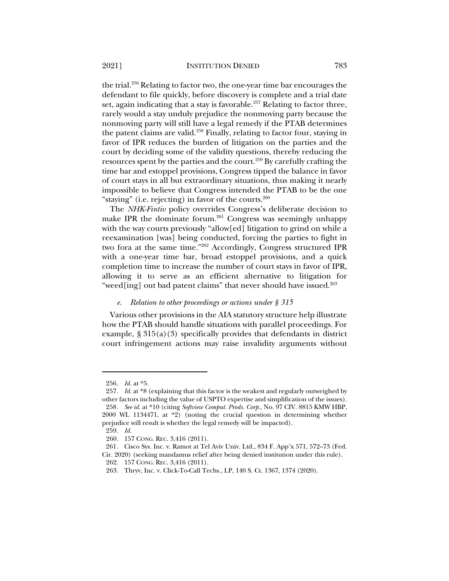the trial. <sup>256</sup> Relating to factor two, the one-year time bar encourages the defendant to file quickly, before discovery is complete and a trial date set, again indicating that a stay is favorable.<sup>257</sup> Relating to factor three, rarely would a stay unduly prejudice the nonmoving party because the nonmoving party will still have a legal remedy if the PTAB determines the patent claims are valid.<sup>258</sup> Finally, relating to factor four, staying in favor of IPR reduces the burden of litigation on the parties and the court by deciding some of the validity questions, thereby reducing the resources spent by the parties and the court.259 By carefully crafting the time bar and estoppel provisions, Congress tipped the balance in favor of court stays in all but extraordinary situations, thus making it nearly impossible to believe that Congress intended the PTAB to be the one "staying" (i.e. rejecting) in favor of the courts. $260$ 

The *NHK-Fintiv* policy overrides Congress's deliberate decision to make IPR the dominate forum.<sup>261</sup> Congress was seemingly unhappy with the way courts previously "allow[ed] litigation to grind on while a reexamination [was] being conducted, forcing the parties to fight in two fora at the same time."262 Accordingly, Congress structured IPR with a one-year time bar, broad estoppel provisions, and a quick completion time to increase the number of court stays in favor of IPR, allowing it to serve as an efficient alternative to litigation for "weed[ing] out bad patent claims" that never should have issued.<sup>263</sup>

#### *e. Relation to other proceedings or actions under § 315*

Various other provisions in the AIA statutory structure help illustrate how the PTAB should handle situations with parallel proceedings. For example,  $\S 315(a)(3)$  specifically provides that defendants in district court infringement actions may raise invalidity arguments without

<sup>256</sup>*. Id.* at \*5.

<sup>257</sup>*. Id.* at \*8 (explaining that this factor is the weakest and regularly outweighed by other factors including the value of USPTO expertise and simplification of the issues). 258*. See id.* at \*10 (citing *Softview Comput. Prods. Corp.*, No. 97 CIV. 8815 KMW HBP, 2000 WL 1134471, at \*2) (noting the crucial question in determining whether prejudice will result is whether the legal remedy will be impacted).

<sup>259</sup>*. Id.*

<sup>260.</sup> 157 CONG. REC. 3,416 (2011).

<sup>261</sup>*.* Cisco Sys. Inc. v. Ramot at Tel Aviv Univ. Ltd., 834 F. App'x 571, 572–73 (Fed. Cir. 2020) (seeking mandamus relief after being denied institution under this rule).

<sup>262.</sup> 157 CONG. REC. 3,416 (2011).

<sup>263.</sup> Thryv, Inc. v. Click-To-Call Techs., LP, 140 S. Ct. 1367, 1374 (2020).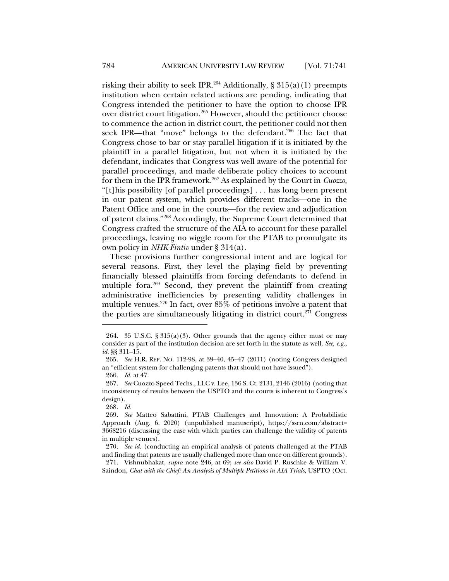risking their ability to seek IPR.<sup>264</sup> Additionally, § 315(a)(1) preempts institution when certain related actions are pending, indicating that Congress intended the petitioner to have the option to choose IPR over district court litigation.265 However, should the petitioner choose to commence the action in district court, the petitioner could not then seek IPR—that "move" belongs to the defendant.<sup>266</sup> The fact that Congress chose to bar or stay parallel litigation if it is initiated by the plaintiff in a parallel litigation, but not when it is initiated by the defendant, indicates that Congress was well aware of the potential for parallel proceedings, and made deliberate policy choices to account for them in the IPR framework.267 As explained by the Court in *Cuozzo*, "[t]his possibility [of parallel proceedings] . . . has long been present in our patent system, which provides different tracks—one in the Patent Office and one in the courts—for the review and adjudication of patent claims."268 Accordingly, the Supreme Court determined that Congress crafted the structure of the AIA to account for these parallel proceedings, leaving no wiggle room for the PTAB to promulgate its own policy in *NHK-Fintiv* under § 314(a).

These provisions further congressional intent and are logical for several reasons. First, they level the playing field by preventing financially blessed plaintiffs from forcing defendants to defend in multiple fora. <sup>269</sup> Second, they prevent the plaintiff from creating administrative inefficiencies by presenting validity challenges in multiple venues.<sup>270</sup> In fact, over  $85\%$  of petitions involve a patent that the parties are simultaneously litigating in district court.<sup>271</sup> Congress

<sup>264. 35</sup> U.S.C. § 315(a)(3). Other grounds that the agency either must or may consider as part of the institution decision are set forth in the statute as well. *See, e.g.*, *id.* §§ 311–15.

<sup>265</sup>*. See* H.R. REP. NO. 112-98, at 39–40, 45–47 (2011) (noting Congress designed an "efficient system for challenging patents that should not have issued").

<sup>266</sup>*. Id.* at 47.

<sup>267</sup>*. See* Cuozzo Speed Techs., LLC v. Lee, 136 S. Ct. 2131, 2146 (2016) (noting that inconsistency of results between the USPTO and the courts is inherent to Congress's design).

<sup>268</sup>*. Id.*

<sup>269</sup>*. See* Matteo Sabattini, PTAB Challenges and Innovation: A Probabilistic Approach (Aug. 6, 2020) (unpublished manuscript), https://ssrn.com/abstract= 3668216 (discussing the ease with which parties can challenge the validity of patents in multiple venues).

<sup>270</sup>*. See id.* (conducting an empirical analysis of patents challenged at the PTAB and finding that patents are usually challenged more than once on different grounds).

<sup>271.</sup> Vishnubhakat, *supra* note 246, at 69; *see also* David P. Ruschke & William V. Saindon, *Chat with the Chief: An Analysis of Multiple Petitions in AIA Trials*, USPTO (Oct.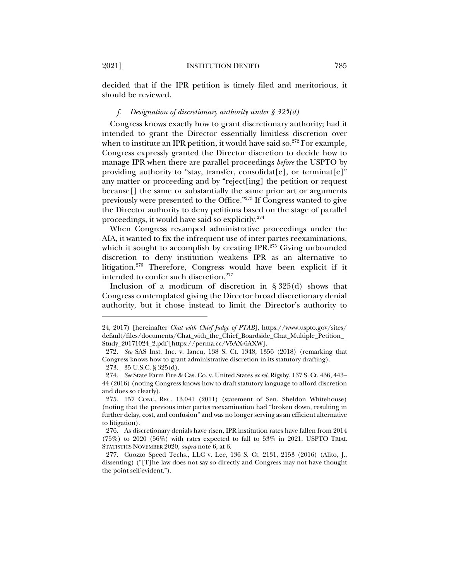decided that if the IPR petition is timely filed and meritorious, it should be reviewed.

#### *f. Designation of discretionary authority under § 325(d)*

Congress knows exactly how to grant discretionary authority; had it intended to grant the Director essentially limitless discretion over when to institute an IPR petition, it would have said so.<sup>272</sup> For example, Congress expressly granted the Director discretion to decide how to manage IPR when there are parallel proceedings *before* the USPTO by providing authority to "stay, transfer, consolidateral or terminaterial providing authority to "stay, transfer, consolidaters", or terminated any matter or proceeding and by "reject[ing] the petition or request because[] the same or substantially the same prior art or arguments previously were presented to the Office."273 If Congress wanted to give the Director authority to deny petitions based on the stage of parallel proceedings, it would have said so explicitly.274

When Congress revamped administrative proceedings under the AIA, it wanted to fix the infrequent use of inter partes reexaminations, which it sought to accomplish by creating IPR. $275$  Giving unbounded discretion to deny institution weakens IPR as an alternative to litigation.<sup>276</sup> Therefore, Congress would have been explicit if it intended to confer such discretion.277

Inclusion of a modicum of discretion in  $\S 325(d)$  shows that Congress contemplated giving the Director broad discretionary denial authority, but it chose instead to limit the Director's authority to

<sup>24, 2017) [</sup>hereinafter *Chat with Chief Judge of PTAB*], https://www.uspto.gov/sites/ default/files/documents/Chat\_with\_the\_Chief\_Boardside\_Chat\_Multiple\_Petition\_ Study\_20171024\_2.pdf [https://perma.cc/V5AX-6AXW].

<sup>272</sup>*. See* SAS Inst. Inc. v. Iancu, 138 S. Ct. 1348, 1356 (2018) (remarking that Congress knows how to grant administrative discretion in its statutory drafting).

<sup>273.</sup> 35 U.S.C. § 325(d).

<sup>274</sup>*. See* State Farm Fire & Cas. Co. v. United States *ex rel.* Rigsby, 137 S. Ct. 436, 443– 44 (2016) (noting Congress knows how to draft statutory language to afford discretion and does so clearly).

<sup>275.</sup> 157 CONG. REC. 13,041 (2011) (statement of Sen. Sheldon Whitehouse) (noting that the previous inter partes reexamination had "broken down, resulting in further delay, cost, and confusion" and was no longer serving as an efficient alternative to litigation).

<sup>276.</sup> As discretionary denials have risen, IPR institution rates have fallen from 2014 (75%) to 2020 (56%) with rates expected to fall to 53% in 2021. USPTO TRIAL STATISTICS NOVEMBER 2020, *supra* note 6, at 6.

<sup>277.</sup> Cuozzo Speed Techs., LLC v. Lee, 136 S. Ct. 2131, 2153 (2016) (Alito, J., dissenting) ("[T]he law does not say so directly and Congress may not have thought the point self-evident.").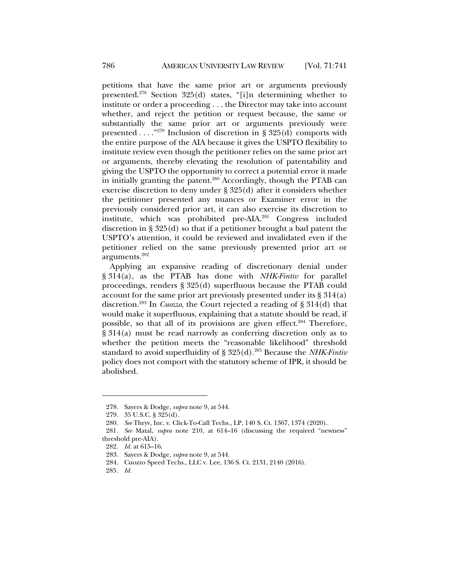petitions that have the same prior art or arguments previously presented.<sup>278</sup> Section 325(d) states, "[i]n determining whether to institute or order a proceeding . . . the Director may take into account whether, and reject the petition or request because, the same or substantially the same prior art or arguments previously were presented . . . ."279 Inclusion of discretion in § 325(d) comports with the entire purpose of the AIA because it gives the USPTO flexibility to institute review even though the petitioner relies on the same prior art or arguments, thereby elevating the resolution of patentability and giving the USPTO the opportunity to correct a potential error it made in initially granting the patent.<sup>280</sup> Accordingly, though the PTAB can exercise discretion to deny under § 325(d) after it considers whether the petitioner presented any nuances or Examiner error in the previously considered prior art, it can also exercise its discretion to institute, which was prohibited pre-AIA.281 Congress included discretion in § 325(d) so that if a petitioner brought a bad patent the USPTO's attention, it could be reviewed and invalidated even if the petitioner relied on the same previously presented prior art or arguments.282

Applying an expansive reading of discretionary denial under § 314(a), as the PTAB has done with *NHK-Fintiv* for parallel proceedings, renders § 325(d) superfluous because the PTAB could account for the same prior art previously presented under its § 314(a) discretion.283 In *Cuozzo*, the Court rejected a reading of § 314(d) that would make it superfluous, explaining that a statute should be read, if possible, so that all of its provisions are given effect.<sup>284</sup> Therefore, § 314(a) must be read narrowly as conferring discretion only as to whether the petition meets the "reasonable likelihood" threshold standard to avoid superfluidity of § 325(d).<sup>285</sup> Because the *NHK-Fintiv* policy does not comport with the statutory scheme of IPR, it should be abolished.

<sup>278.</sup> Sayers & Dodge, *supra* note 9, at 544.

<sup>279.</sup> 35 U.S.C. § 325(d).

<sup>280</sup>*. See* Thryv, Inc. v. Click-To-Call Techs., LP, 140 S. Ct. 1367, 1374 (2020).

<sup>281</sup>*. See* Matal, *supra* note 210, at 614–16 (discussing the required "newness" threshold pre-AIA).

<sup>282</sup>*. Id.* at 615–16.

<sup>283.</sup> Sayers & Dodge, *supra* note 9, at 544.

<sup>284.</sup> Cuozzo Speed Techs., LLC v. Lee, 136 S. Ct. 2131, 2140 (2016).

<sup>285</sup>*. Id.*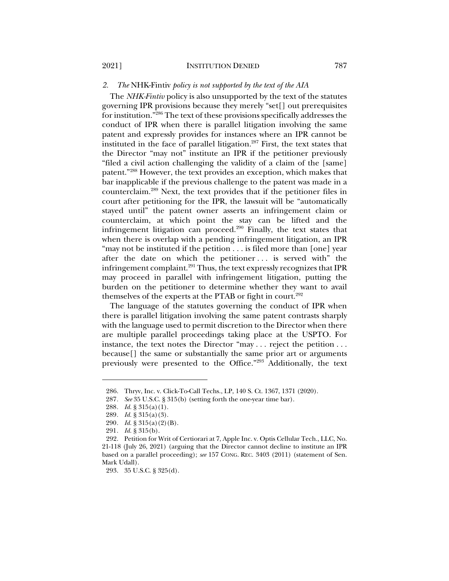## *2. The* NHK-Fintiv *policy is not supported by the text of the AIA*

The *NHK-Fintiv* policy is also unsupported by the text of the statutes governing IPR provisions because they merely "set[] out prerequisites for institution."286 The text of these provisions specifically addresses the conduct of IPR when there is parallel litigation involving the same patent and expressly provides for instances where an IPR cannot be instituted in the face of parallel litigation.<sup>287</sup> First, the text states that the Director "may not" institute an IPR if the petitioner previously "filed a civil action challenging the validity of a claim of the [same] patent."288 However, the text provides an exception, which makes that bar inapplicable if the previous challenge to the patent was made in a counterclaim.289 Next, the text provides that if the petitioner files in court after petitioning for the IPR, the lawsuit will be "automatically stayed until" the patent owner asserts an infringement claim or counterclaim, at which point the stay can be lifted and the infringement litigation can proceed. $290$  Finally, the text states that when there is overlap with a pending infringement litigation, an IPR "may not be instituted if the petition . . . is filed more than [one] year after the date on which the petitioner . . . is served with" the infringement complaint. $^{291}$  Thus, the text expressly recognizes that IPR may proceed in parallel with infringement litigation, putting the burden on the petitioner to determine whether they want to avail themselves of the experts at the PTAB or fight in court.<sup>292</sup>

The language of the statutes governing the conduct of IPR when there is parallel litigation involving the same patent contrasts sharply with the language used to permit discretion to the Director when there are multiple parallel proceedings taking place at the USPTO. For instance, the text notes the Director "may . . . reject the petition . . . because[] the same or substantially the same prior art or arguments previously were presented to the Office."293 Additionally, the text

<sup>286.</sup> Thryv, Inc. v. Click-To-Call Techs., LP, 140 S. Ct. 1367, 1371 (2020).

<sup>287</sup>*. See* 35 U.S.C. § 315(b) (setting forth the one-year time bar).

<sup>288</sup>*. Id.* § 315(a)(1).

<sup>289</sup>*. Id.* § 315(a)(3).

<sup>290</sup>*. Id.* § 315(a)(2)(B).

<sup>291</sup>*. Id.* § 315(b).

<sup>292.</sup> Petition for Writ of Certiorari at 7, Apple Inc. v. Optis Cellular Tech., LLC, No. 21-118 (July 26, 2021) (arguing that the Director cannot decline to institute an IPR based on a parallel proceeding); *see* 157 CONG. REC. 3403 (2011) (statement of Sen. Mark Udall).

<sup>293.</sup> 35 U.S.C. § 325(d).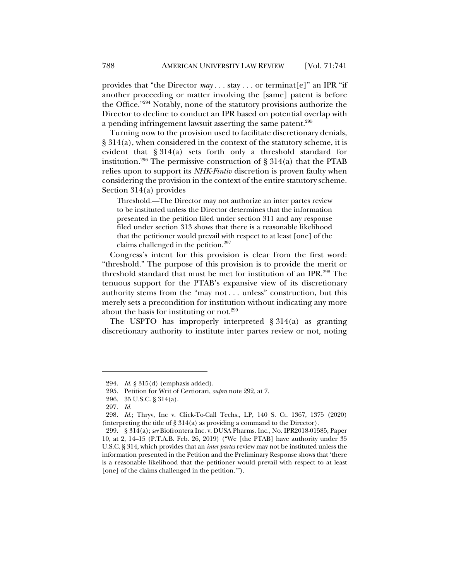provides that "the Director *may* . . . stay . . . or terminat[e]" an IPR "if another proceeding or matter involving the [same] patent is before the Office."294 Notably, none of the statutory provisions authorize the Director to decline to conduct an IPR based on potential overlap with a pending infringement lawsuit asserting the same patent.<sup>295</sup>

Turning now to the provision used to facilitate discretionary denials, § 314(a), when considered in the context of the statutory scheme, it is evident that § 314(a) sets forth only a threshold standard for institution.<sup>296</sup> The permissive construction of  $\S 314(a)$  that the PTAB relies upon to support its *NHK-Fintiv* discretion is proven faulty when considering the provision in the context of the entire statutory scheme. Section 314(a) provides

Threshold.—The Director may not authorize an inter partes review to be instituted unless the Director determines that the information presented in the petition filed under section 311 and any response filed under section 313 shows that there is a reasonable likelihood that the petitioner would prevail with respect to at least [one] of the claims challenged in the petition.<sup>297</sup>

Congress's intent for this provision is clear from the first word: "threshold." The purpose of this provision is to provide the merit or threshold standard that must be met for institution of an IPR.298 The tenuous support for the PTAB's expansive view of its discretionary authority stems from the "may not . . . unless" construction, but this merely sets a precondition for institution without indicating any more about the basis for instituting or not.<sup>299</sup>

The USPTO has improperly interpreted § 314(a) as granting discretionary authority to institute inter partes review or not, noting

<sup>294</sup>*. Id.* § 315(d) (emphasis added).

<sup>295.</sup> Petition for Writ of Certiorari, *supra* note 292, at 7.

<sup>296.</sup> 35 U.S.C. § 314(a).

<sup>297</sup>*. Id.*

<sup>298</sup>*. Id.*; Thryv, Inc v. Click-To-Call Techs., LP, 140 S. Ct. 1367, 1375 (2020) (interpreting the title of § 314(a) as providing a command to the Director).

<sup>299.</sup> § 314(a); *see* Biofrontera Inc. v. DUSA Pharms. Inc., No. IPR2018-01585, Paper 10, at 2, 14–15 (P.T.A.B. Feb. 26, 2019) ("We [the PTAB] have authority under 35 U.S.C. § 314, which provides that an *inter partes* review may not be instituted unless the information presented in the Petition and the Preliminary Response shows that 'there is a reasonable likelihood that the petitioner would prevail with respect to at least [one] of the claims challenged in the petition.").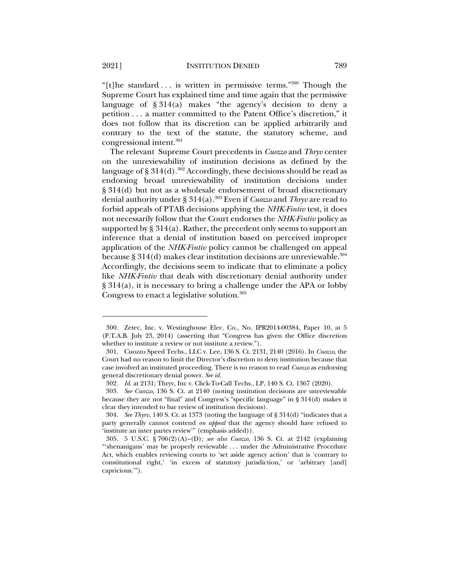"[t]he standard . . . is written in permissive terms." 300 Though the Supreme Court has explained time and time again that the permissive language of  $§ 314(a)$  makes "the agency's decision to deny a petition . . . a matter committed to the Patent Office's discretion," it does not follow that its discretion can be applied arbitrarily and contrary to the text of the statute, the statutory scheme, and congressional intent.301

The relevant Supreme Court precedents in *Cuozzo* and *Thryv* center on the unreviewability of institution decisions as defined by the language of § 314(d).<sup>302</sup> Accordingly, these decisions should be read as endorsing broad unreviewability of institution decisions under § 314(d) but not as a wholesale endorsement of broad discretionary denial authority under § 314(a).303 Even if *Cuozzo* and *Thryv* are read to forbid appeals of PTAB decisions applying the *NHK-Fintiv* test, it does not necessarily follow that the Court endorses the *NHK-Fintiv* policy as supported by  $\S 314(a)$ . Rather, the precedent only seems to support an inference that a denial of institution based on perceived improper application of the *NHK-Fintiv* policy cannot be challenged on appeal because § 314(d) makes clear institution decisions are unreviewable. $^{\rm 304}$ Accordingly, the decisions seem to indicate that to eliminate a policy like *NHK-Fintiv* that deals with discretionary denial authority under § 314(a), it is necessary to bring a challenge under the APA or lobby Congress to enact a legislative solution. 305

<sup>300.</sup> Zetec, Inc. v. Westinghouse Elec. Co., No. IPR2014-00384, Paper 10, at 5 (P.T.A.B. July 23, 2014) (asserting that "Congress has given the Office discretion whether to institute a review or not institute a review.").

<sup>301.</sup> Cuozzo Speed Techs., LLC v. Lee, 136 S. Ct. 2131, 2140 (2016). In *Cuozzo*, the Court had no reason to limit the Director's discretion to deny institution because that case involved an instituted proceeding. There is no reason to read *Cuozzo* as endorsing general discretionary denial power. *See id.*

<sup>302</sup>*. Id.* at 2131; Thryv, Inc v. Click-To-Call Techs., LP, 140 S. Ct. 1367 (2020).

<sup>303</sup>*. See Cuozzo*, 136 S. Ct. at 2140 (noting institution decisions are unreviewable because they are not "final" and Congress's "specific language" in § 314(d) makes it clear they intended to bar review of institution decisions).

<sup>304</sup>*. See Thyrv*, 140 S. Ct. at 1373 (noting the language of § 314(d) "indicates that a party generally cannot contend *on appeal* that the agency should have refused to 'institute an inter partes review'" (emphasis added)).

<sup>305.</sup> 5 U.S.C. § 706(2)(A)–(D); *see also Cuozzo*, 136 S. Ct. at 2142 (explaining "'shenanigans' may be properly reviewable . . . under the Administrative Procedure Act, which enables reviewing courts to 'set aside agency action' that is 'contrary to constitutional right,' 'in excess of statutory jurisdiction,' or 'arbitrary [and] capricious.'").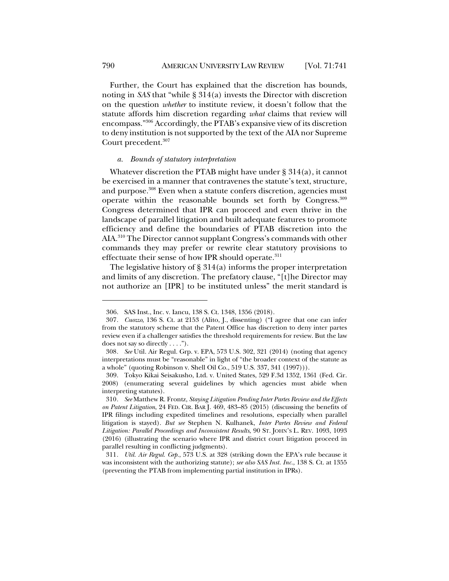Further, the Court has explained that the discretion has bounds, noting in *SAS* that "while § 314(a) invests the Director with discretion on the question *whether* to institute review, it doesn't follow that the statute affords him discretion regarding *what* claims that review will encompass."306 Accordingly, the PTAB's expansive view of its discretion to deny institution is not supported by the text of the AIA nor Supreme Court precedent.<sup>307</sup>

### *a. Bounds of statutory interpretation*

Whatever discretion the PTAB might have under § 314(a), it cannot be exercised in a manner that contravenes the statute's text, structure, and purpose.<sup>308</sup> Even when a statute confers discretion, agencies must operate within the reasonable bounds set forth by Congress.309 Congress determined that IPR can proceed and even thrive in the landscape of parallel litigation and built adequate features to promote efficiency and define the boundaries of PTAB discretion into the AIA.310 The Director cannot supplant Congress's commands with other commands they may prefer or rewrite clear statutory provisions to effectuate their sense of how IPR should operate.<sup>311</sup>

The legislative history of  $\S 314(a)$  informs the proper interpretation and limits of any discretion. The prefatory clause, "[t]he Director may not authorize an [IPR] to be instituted unless" the merit standard is

<sup>306.</sup> SAS Inst., Inc. v. Iancu, 138 S. Ct. 1348, 1356 (2018).

<sup>307</sup>*. Cuozzo*, 136 S. Ct. at 2153 (Alito, J., dissenting) ("I agree that one can infer from the statutory scheme that the Patent Office has discretion to deny inter partes review even if a challenger satisfies the threshold requirements for review. But the law does not say so directly . . . .").

<sup>308</sup>*. See* Util. Air Regul. Grp. v. EPA, 573 U.S. 302, 321 (2014) (noting that agency interpretations must be "reasonable" in light of "the broader context of the statute as a whole" (quoting Robinson v. Shell Oil Co., 519 U.S. 337, 341 (1997))).

<sup>309.</sup> Tokyo Kikai Seisakusho, Ltd. v. United States, 529 F.3d 1352, 1361 (Fed. Cir. 2008) (enumerating several guidelines by which agencies must abide when interpreting statutes).

<sup>310</sup>*. See* Matthew R. Frontz, *Staying Litigation Pending Inter Partes Review and the Effects on Patent Litigation*, 24 FED. CIR. BAR J. 469, 483–85 (2015) (discussing the benefits of IPR filings including expedited timelines and resolutions, especially when parallel litigation is stayed). *But see* Stephen N. Kulhanek, *Inter Partes Review and Federal Litigation: Parallel Proceedings and Inconsistent Results*, 90 ST. JOHN'S L. REV. 1093, 1093 (2016) (illustrating the scenario where IPR and district court litigation proceed in parallel resulting in conflicting judgments).

<sup>311</sup>*. Util. Air Regul. Grp.*, 573 U.S. at 328 (striking down the EPA's rule because it was inconsistent with the authorizing statute); *see also SAS Inst. Inc.*, 138 S. Ct. at 1355 (preventing the PTAB from implementing partial institution in IPRs).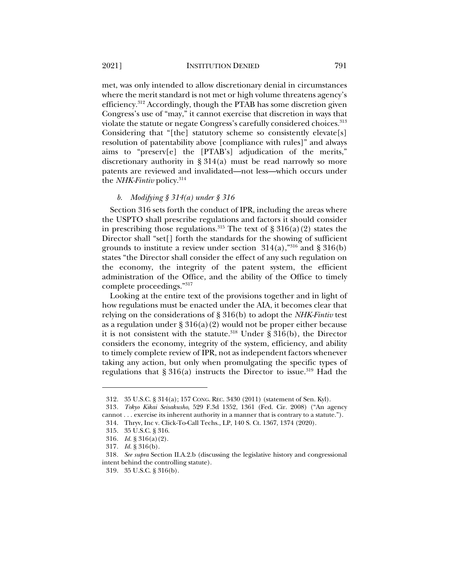met, was only intended to allow discretionary denial in circumstances where the merit standard is not met or high volume threatens agency's efficiency.312 Accordingly, though the PTAB has some discretion given Congress's use of "may," it cannot exercise that discretion in ways that violate the statute or negate Congress's carefully considered choices.<sup>313</sup> Considering that "[the] statutory scheme so consistently elevate[s] resolution of patentability above [compliance with rules]" and always aims to "preserv[e] the [PTAB's] adjudication of the merits," discretionary authority in § 314(a) must be read narrowly so more patents are reviewed and invalidated—not less—which occurs under the *NHK-Fintiv* policy.314

### *b. Modifying § 314(a) under § 316*

Section 316 sets forth the conduct of IPR, including the areas where the USPTO shall prescribe regulations and factors it should consider in prescribing those regulations.<sup>315</sup> The text of  $\S 316(a)(2)$  states the Director shall "set[] forth the standards for the showing of sufficient grounds to institute a review under section  $314(a)$ ,"<sup>316</sup> and § 316(b) states "the Director shall consider the effect of any such regulation on the economy, the integrity of the patent system, the efficient administration of the Office, and the ability of the Office to timely complete proceedings."317

Looking at the entire text of the provisions together and in light of how regulations must be enacted under the AIA, it becomes clear that relying on the considerations of § 316(b) to adopt the *NHK-Fintiv* test as a regulation under  $\S 316(a)(2)$  would not be proper either because it is not consistent with the statute.<sup>318</sup> Under § 316(b), the Director considers the economy, integrity of the system, efficiency, and ability to timely complete review of IPR, not as independent factors whenever taking any action, but only when promulgating the specific types of regulations that  $\S 316(a)$  instructs the Director to issue.<sup>319</sup> Had the

<sup>312.</sup> 35 U.S.C. § 314(a); 157 CONG. REC. 3430 (2011) (statement of Sen. Kyl).

<sup>313</sup>*. Tokyo Kikai Seisakusho*, 529 F.3d 1352, 1361 (Fed. Cir. 2008) ("An agency cannot . . . exercise its inherent authority in a manner that is contrary to a statute.").

<sup>314.</sup> Thryv, Inc v. Click-To-Call Techs., LP, 140 S. Ct. 1367, 1374 (2020).

<sup>315.</sup> 35 U.S.C. § 316.

<sup>316</sup>*. Id.* § 316(a)(2).

<sup>317</sup>*. Id.* § 316(b).

<sup>318</sup>*. See supra* Section II.A.2.b (discussing the legislative history and congressional intent behind the controlling statute).

<sup>319.</sup> 35 U.S.C. § 316(b).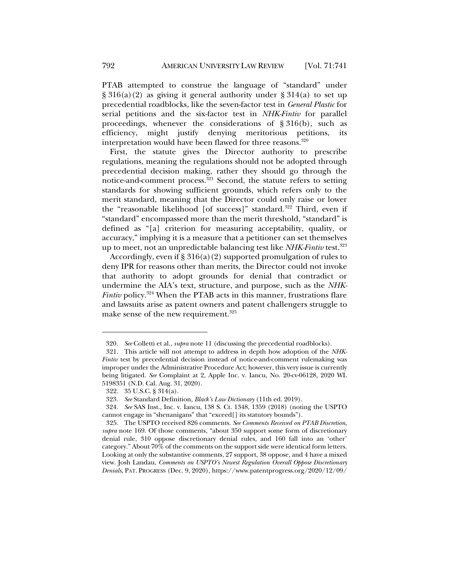PTAB attempted to construe the language of "standard" under  $\S 316(a)(2)$  as giving it general authority under  $\S 314(a)$  to set up precedential roadblocks, like the seven-factor test in *General Plastic* for serial petitions and the six-factor test in *NHK-Fintiv* for parallel proceedings, whenever the considerations of  $\S 316(b)$ , such as efficiency, might justify denying meritorious petitions, its interpretation would have been flawed for three reasons. 320

First, the statute gives the Director authority to prescribe regulations, meaning the regulations should not be adopted through precedential decision making, rather they should go through the notice-and-comment process.<sup>321</sup> Second, the statute refers to setting standards for showing sufficient grounds, which refers only to the merit standard, meaning that the Director could only raise or lower the "reasonable likelihood [of success]" standard.<sup>322</sup> Third, even if "standard" encompassed more than the merit threshold, "standard" is defined as "[a] criterion for measuring acceptability, quality, or accuracy," implying it is a measure that a petitioner can set themselves up to meet, not an unpredictable balancing test like *NHK-Fintiv* test.323

Accordingly, even if  $\S 316(a)(2)$  supported promulgation of rules to deny IPR for reasons other than merits, the Director could not invoke that authority to adopt grounds for denial that contradict or undermine the AIA's text, structure, and purpose, such as the *NHK-Fintiv* policy.<sup>324</sup> When the PTAB acts in this manner, frustrations flare and lawsuits arise as patent owners and patent challengers struggle to make sense of the new requirement.<sup>325</sup>

<sup>320</sup>*. See* Colletti et al., *supra* note 11 (discussing the precedential roadblocks).

<sup>321.</sup> This article will not attempt to address in depth how adoption of the *NHK-Fintiv* test by precedential decision instead of notice-and-comment rulemaking was improper under the Administrative Procedure Act; however, this very issue is currently being litigated. *See* Complaint at 2, Apple Inc. v. Iancu, No. 20-cv-06128, 2020 WL 5198351 (N.D. Cal. Aug. 31, 2020).

<sup>322.</sup> 35 U.S.C. § 314(a).

<sup>323</sup>*. See* Standard Definition, *Black's Law Dictionary* (11th ed. 2019).

<sup>324</sup>*. See* SAS Inst., Inc. v. Iancu, 138 S. Ct. 1348, 1359 (2018) (noting the USPTO cannot engage in "shenanigans" that "exceed[] its statutory bounds").

<sup>325.</sup> The USPTO received 826 comments. *See Comments Received on PTAB Discretion*, *supra* note 169. Of those comments, "about 350 support some form of discretionary denial rule, 310 oppose discretionary denial rules, and 160 fall into an 'other' category." About 70% of the comments on the support side were identical form letters. Looking at only the substantive comments, 27 support, 38 oppose, and 4 have a mixed view. Josh Landau, *Comments on USPTO's Newest Regulation Overall Oppose Discretionary Denials*, PAT. PROGRESS (Dec. 9, 2020), https://www.patentprogress.org/2020/12/09/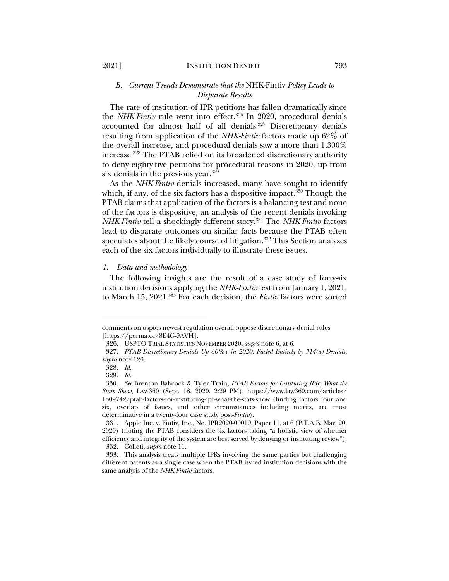## *B. Current Trends Demonstrate that the* NHK-Fintiv *Policy Leads to Disparate Results*

The rate of institution of IPR petitions has fallen dramatically since the *NHK-Fintiv* rule went into effect.<sup>326</sup> In 2020, procedural denials accounted for almost half of all denials.<sup>327</sup> Discretionary denials resulting from application of the *NHK-Fintiv* factors made up 62% of the overall increase, and procedural denials saw a more than 1,300% increase.328 The PTAB relied on its broadened discretionary authority to deny eighty-five petitions for procedural reasons in 2020, up from six denials in the previous year.<sup>329</sup>

As the *NHK-Fintiv* denials increased, many have sought to identify which, if any, of the six factors has a dispositive impact.<sup>330</sup> Though the PTAB claims that application of the factors is a balancing test and none of the factors is dispositive, an analysis of the recent denials invoking *NHK-Fintiv* tell a shockingly different story.331 The *NHK-Fintiv* factors lead to disparate outcomes on similar facts because the PTAB often speculates about the likely course of litigation.<sup>332</sup> This Section analyzes each of the six factors individually to illustrate these issues.

#### *1. Data and methodology*

The following insights are the result of a case study of forty-six institution decisions applying the *NHK-Fintiv* test from January 1, 2021, to March 15, 2021.333 For each decision, the *Fintiv* factors were sorted

comments-on-usptos-newest-regulation-overall-oppose-discretionary-denial-rules [https://perma.cc/8E4G-9AVH].

<sup>326.</sup> USPTO TRIAL STATISTICS NOVEMBER 2020, *supra* note 6, at 6.

<sup>327</sup>*. PTAB Discretionary Denials Up 60%+ in 2020: Fueled Entirely by 314(a) Denials*, *supra* note 126.

<sup>328</sup>*. Id.*

<sup>329</sup>*. Id.*

<sup>330</sup>*. See* Brenton Babcock & Tyler Train, *PTAB Factors for Instituting IPR: What the Stats Show*, LAW360 (Sept. 18, 2020, 2:29 PM), https://www.law360.com/articles/ 1309742/ptab-factors-for-instituting-ipr-what-the-stats-show (finding factors four and six, overlap of issues, and other circumstances including merits, are most determinative in a twenty-four case study post-*Fintiv*).

<sup>331.</sup> Apple Inc. v. Fintiv, Inc., No. IPR2020-00019, Paper 11, at 6 (P.T.A.B. Mar. 20, 2020) (noting the PTAB considers the six factors taking "a holistic view of whether efficiency and integrity of the system are best served by denying or instituting review"). 332. Colleti, *supra* note 11.

<sup>333.</sup> This analysis treats multiple IPRs involving the same parties but challenging different patents as a single case when the PTAB issued institution decisions with the same analysis of the *NHK-Fintiv* factors.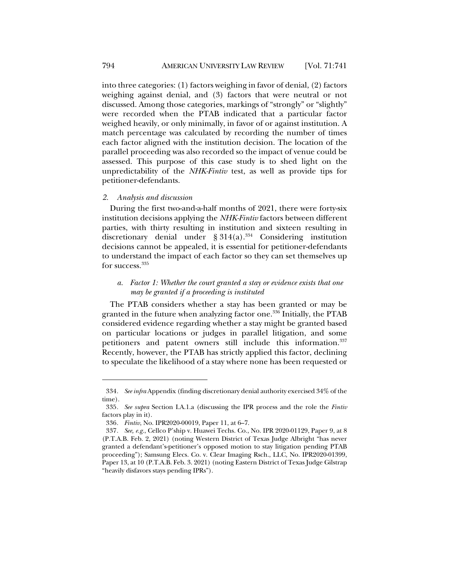into three categories: (1) factors weighing in favor of denial, (2) factors weighing against denial, and (3) factors that were neutral or not discussed. Among those categories, markings of "strongly" or "slightly" were recorded when the PTAB indicated that a particular factor weighed heavily, or only minimally, in favor of or against institution. A match percentage was calculated by recording the number of times each factor aligned with the institution decision. The location of the parallel proceeding was also recorded so the impact of venue could be assessed. This purpose of this case study is to shed light on the unpredictability of the *NHK-Fintiv* test, as well as provide tips for petitioner-defendants.

#### *2. Analysis and discussion*

During the first two-and-a-half months of 2021, there were forty-six institution decisions applying the *NHK-Fintiv* factors between different parties, with thirty resulting in institution and sixteen resulting in discretionary denial under  $\S 314(a).$ <sup>334</sup> Considering institution decisions cannot be appealed, it is essential for petitioner-defendants to understand the impact of each factor so they can set themselves up for success.<sup>335</sup>

# *a. Factor 1: Whether the court granted a stay or evidence exists that one may be granted if a proceeding is instituted*

The PTAB considers whether a stay has been granted or may be granted in the future when analyzing factor one. <sup>336</sup> Initially, the PTAB considered evidence regarding whether a stay might be granted based on particular locations or judges in parallel litigation, and some petitioners and patent owners still include this information.337 Recently, however, the PTAB has strictly applied this factor, declining to speculate the likelihood of a stay where none has been requested or

<sup>334</sup>*. See infra* Appendix (finding discretionary denial authority exercised 34% of the time).

<sup>335</sup>*. See supra* Section I.A.1.a (discussing the IPR process and the role the *Fintiv* factors play in it).

<sup>336</sup>*. Fintiv*, No. IPR2020-00019, Paper 11, at 6–7.

<sup>337</sup>*. See, e.g.*, Cellco P'ship v. Huawei Techs. Co., No. IPR 2020-01129, Paper 9, at 8 (P.T.A.B. Feb. 2, 2021) (noting Western District of Texas Judge Albright "has never granted a defendant's-petitioner's opposed motion to stay litigation pending PTAB proceeding"); Samsung Elecs. Co. v. Clear Imaging Rsch., LLC, No. IPR2020-01399, Paper 13, at 10 (P.T.A.B. Feb. 3. 2021) (noting Eastern District of Texas Judge Gilstrap "heavily disfavors stays pending IPRs").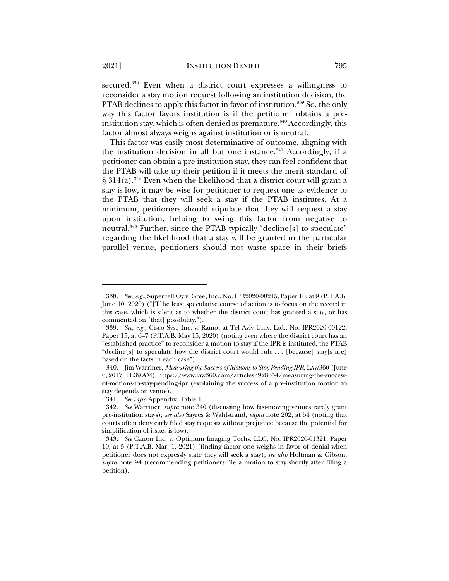secured. <sup>338</sup> Even when a district court expresses a willingness to reconsider a stay motion request following an institution decision, the PTAB declines to apply this factor in favor of institution.<sup>339</sup> So, the only way this factor favors institution is if the petitioner obtains a preinstitution stay, which is often denied as premature. $340$  Accordingly, this factor almost always weighs against institution or is neutral.

This factor was easily most determinative of outcome, aligning with the institution decision in all but one instance. $341$  Accordingly, if a petitioner can obtain a pre-institution stay, they can feel confident that the PTAB will take up their petition if it meets the merit standard of  $§ 314(a).$ <sup>342</sup> Even when the likelihood that a district court will grant a stay is low, it may be wise for petitioner to request one as evidence to the PTAB that they will seek a stay if the PTAB institutes. At a minimum, petitioners should stipulate that they will request a stay upon institution, helping to swing this factor from negative to neutral.<sup>343</sup> Further, since the PTAB typically "decline[s] to speculate" regarding the likelihood that a stay will be granted in the particular parallel venue, petitioners should not waste space in their briefs

<sup>338</sup>*. See, e.g.*, Supercell Oy v. Gree, Inc., No. IPR2020-00215, Paper 10, at 9 (P.T.A.B. June 10, 2020) ("[T]he least speculative course of action is to focus on the record in this case, which is silent as to whether the district court has granted a stay, or has commented on [that] possibility.").

<sup>339</sup>*. See, e.g.*, Cisco Sys., Inc. v. Ramot at Tel Aviv Univ. Ltd., No. IPR2020-00122, Paper 15, at 6–7 (P.T.A.B. May 15, 2020) (noting even where the district court has an "established practice" to reconsider a motion to stay if the IPR is instituted, the PTAB "decline[s] to speculate how the district court would rule . . . [because] stay[s are] based on the facts in each case").

<sup>340.</sup> Jim Warriner, *Measuring the Success of Motions to Stay Pending IPR*, LAW360 (June 6, 2017, 11:39 AM), https://www.law360.com/articles/928654/measuring-the-successof-motions-to-stay-pending-ipr (explaining the success of a pre-institution motion to stay depends on venue).

<sup>341</sup>*. See infra* Appendix, Table 1.

<sup>342</sup>*. See* Warriner, *supra* note 340 (discussing how fast-moving venues rarely grant pre-institution stays); *see also* Sayres & Wahlstrand, *supra* note 202, at 54 (noting that courts often deny early filed stay requests without prejudice because the potential for simplification of issues is low).

<sup>343</sup>*. See* Canon Inc. v. Optimum Imaging Techs. LLC, No. IPR2020-01321, Paper 10, at 5 (P.T.A.B. Mar. 1, 2021) (finding factor one weighs in favor of denial when petitioner does not expressly state they will seek a stay); *see also* Holtman & Gibson, *supra* note 94 (recommending petitioners file a motion to stay shortly after filing a petition).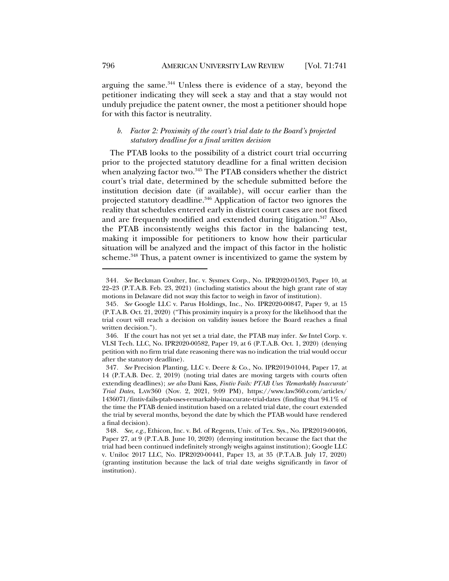arguing the same.<sup>344</sup> Unless there is evidence of a stay, beyond the petitioner indicating they will seek a stay and that a stay would not unduly prejudice the patent owner, the most a petitioner should hope for with this factor is neutrality.

# *b. Factor 2: Proximity of the court's trial date to the Board's projected statutory deadline for a final written decision*

The PTAB looks to the possibility of a district court trial occurring prior to the projected statutory deadline for a final written decision when analyzing factor two. $^{345}$  The PTAB considers whether the district court's trial date, determined by the schedule submitted before the institution decision date (if available), will occur earlier than the projected statutory deadline.<sup>346</sup> Application of factor two ignores the reality that schedules entered early in district court cases are not fixed and are frequently modified and extended during litigation.<sup>347</sup> Also, the PTAB inconsistently weighs this factor in the balancing test, making it impossible for petitioners to know how their particular situation will be analyzed and the impact of this factor in the holistic scheme.<sup>348</sup> Thus, a patent owner is incentivized to game the system by

<sup>344</sup>*. See* Beckman Coulter, Inc. v. Sysmex Corp., No. IPR2020-01503, Paper 10, at 22–23 (P.T.A.B. Feb. 23, 2021) (including statistics about the high grant rate of stay motions in Delaware did not sway this factor to weigh in favor of institution).

<sup>345</sup>*. See* Google LLC v. Parus Holdings, Inc., No. IPR2020-00847, Paper 9, at 15 (P.T.A.B. Oct. 21, 2020) ("This proximity inquiry is a proxy for the likelihood that the trial court will reach a decision on validity issues before the Board reaches a final written decision.").

<sup>346.</sup> If the court has not yet set a trial date, the PTAB may infer. *See* Intel Corp. v. VLSI Tech. LLC, No. IPR2020-00582, Paper 19, at 6 (P.T.A.B. Oct. 1, 2020) (denying petition with no firm trial date reasoning there was no indication the trial would occur after the statutory deadline).

<sup>347</sup>*. See* Precision Planting, LLC v. Deere & Co., No. IPR2019-01044, Paper 17, at 14 (P.T.A.B. Dec. 2, 2019) (noting trial dates are moving targets with courts often extending deadlines); *see also* Dani Kass, *Fintiv Fails: PTAB Uses 'Remarkably Inaccurate' Trial Dates*, LAW360 (Nov. 2, 2021, 9:09 PM), https://www.law360.com/articles/ 1436071/fintiv-fails-ptab-uses-remarkably-inaccurate-trial-dates (finding that 94.1% of the time the PTAB denied institution based on a related trial date, the court extended the trial by several months, beyond the date by which the PTAB would have rendered a final decision).

<sup>348</sup>*. See, e.g.*, Ethicon, Inc. v. Bd. of Regents, Univ. of Tex. Sys., No. IPR2019-00406, Paper 27, at 9 (P.T.A.B. June 10, 2020) (denying institution because the fact that the trial had been continued indefinitely strongly weighs against institution); Google LLC v. Uniloc 2017 LLC, No. IPR2020-00441, Paper 13, at 35 (P.T.A.B. July 17, 2020) (granting institution because the lack of trial date weighs significantly in favor of institution).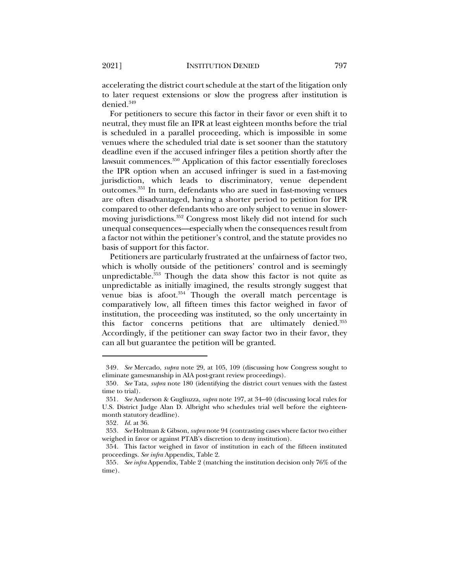accelerating the district court schedule at the start of the litigation only to later request extensions or slow the progress after institution is denied.<sup>349</sup>

For petitioners to secure this factor in their favor or even shift it to neutral, they must file an IPR at least eighteen months before the trial is scheduled in a parallel proceeding, which is impossible in some venues where the scheduled trial date is set sooner than the statutory deadline even if the accused infringer files a petition shortly after the lawsuit commences.350 Application of this factor essentially forecloses the IPR option when an accused infringer is sued in a fast-moving jurisdiction, which leads to discriminatory, venue dependent outcomes.351 In turn, defendants who are sued in fast-moving venues are often disadvantaged, having a shorter period to petition for IPR compared to other defendants who are only subject to venue in slowermoving jurisdictions.<sup>352</sup> Congress most likely did not intend for such unequal consequences—especially when the consequences result from a factor not within the petitioner's control, and the statute provides no basis of support for this factor.

Petitioners are particularly frustrated at the unfairness of factor two, which is wholly outside of the petitioners' control and is seemingly unpredictable.<sup>353</sup> Though the data show this factor is not quite as unpredictable as initially imagined, the results strongly suggest that venue bias is afoot. $354$  Though the overall match percentage is comparatively low, all fifteen times this factor weighed in favor of institution, the proceeding was instituted, so the only uncertainty in this factor concerns petitions that are ultimately denied.355 Accordingly, if the petitioner can sway factor two in their favor, they can all but guarantee the petition will be granted.

<sup>349</sup>*. See* Mercado, *supra* note 29, at 105, 109 (discussing how Congress sought to eliminate gamesmanship in AIA post-grant review proceedings).

<sup>350</sup>*. See* Tata, *supra* note 180 (identifying the district court venues with the fastest time to trial).

<sup>351</sup>*. See* Anderson & Gugliuzza, *supra* note 197, at 34–40 (discussing local rules for U.S. District Judge Alan D. Albright who schedules trial well before the eighteenmonth statutory deadline).

<sup>352</sup>*. Id.* at 36.

<sup>353</sup>*. See* Holtman & Gibson, *supra* note 94 (contrasting cases where factor two either weighed in favor or against PTAB's discretion to deny institution).

<sup>354.</sup> This factor weighed in favor of institution in each of the fifteen instituted proceedings. *See infra* Appendix, Table 2.

<sup>355</sup>*. See infra* Appendix, Table 2 (matching the institution decision only 76% of the time).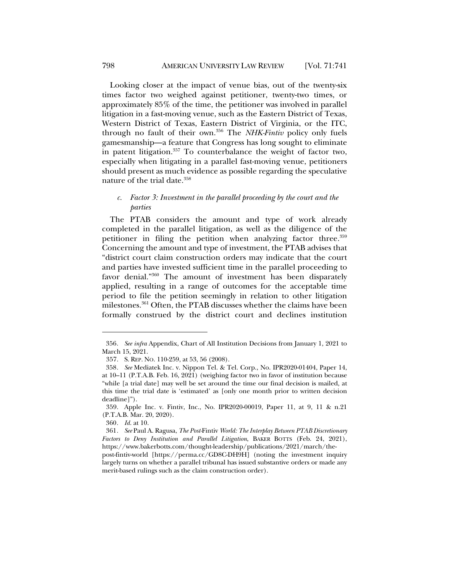Looking closer at the impact of venue bias, out of the twenty-six times factor two weighed against petitioner, twenty-two times, or approximately 85% of the time, the petitioner was involved in parallel litigation in a fast-moving venue, such as the Eastern District of Texas, Western District of Texas, Eastern District of Virginia, or the ITC, through no fault of their own.356 The *NHK-Fintiv* policy only fuels gamesmanship—a feature that Congress has long sought to eliminate in patent litigation.357 To counterbalance the weight of factor two, especially when litigating in a parallel fast-moving venue, petitioners should present as much evidence as possible regarding the speculative nature of the trial date.<sup>358</sup>

# *c. Factor 3: Investment in the parallel proceeding by the court and the parties*

The PTAB considers the amount and type of work already completed in the parallel litigation, as well as the diligence of the petitioner in filing the petition when analyzing factor three. 359 Concerning the amount and type of investment, the PTAB advises that "district court claim construction orders may indicate that the court and parties have invested sufficient time in the parallel proceeding to favor denial."360 The amount of investment has been disparately applied, resulting in a range of outcomes for the acceptable time period to file the petition seemingly in relation to other litigation milestones.<sup>361</sup> Often, the PTAB discusses whether the claims have been formally construed by the district court and declines institution

<sup>356</sup>*. See infra* Appendix, Chart of All Institution Decisions from January 1, 2021 to March 15, 2021.

<sup>357.</sup> S. REP. NO. 110-259, at 53, 56 (2008).

<sup>358</sup>*. See* Mediatek Inc. v. Nippon Tel. & Tel. Corp., No. IPR2020-01404, Paper 14, at 10–11 (P.T.A.B. Feb. 16, 2021) (weighing factor two in favor of institution because "while [a trial date] may well be set around the time our final decision is mailed, at this time the trial date is 'estimated' as [only one month prior to written decision deadline]").

<sup>359.</sup> Apple Inc. v. Fintiv, Inc., No. IPR2020-00019, Paper 11, at 9, 11 & n.21 (P.T.A.B. Mar. 20, 2020).

<sup>360</sup>*. Id.* at 10.

<sup>361</sup>*. See* Paul A. Ragusa, *The Post-*Fintiv *World: The Interplay Between PTAB Discretionary Factors to Deny Institution and Parallel Litigation*, BAKER BOTTS (Feb. 24, 2021), https://www.bakerbotts.com/thought-leadership/publications/2021/march/the-

post-fintiv-world [https://perma.cc/GD8C-DH9H] (noting the investment inquiry largely turns on whether a parallel tribunal has issued substantive orders or made any merit-based rulings such as the claim construction order).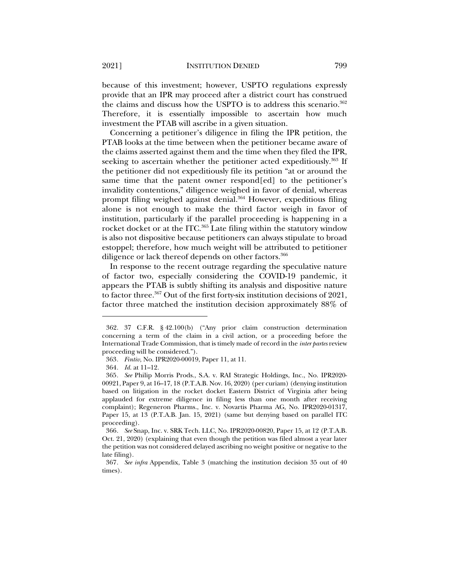because of this investment; however, USPTO regulations expressly provide that an IPR may proceed after a district court has construed the claims and discuss how the USPTO is to address this scenario.<sup>362</sup> Therefore, it is essentially impossible to ascertain how much investment the PTAB will ascribe in a given situation.

Concerning a petitioner's diligence in filing the IPR petition, the PTAB looks at the time between when the petitioner became aware of the claims asserted against them and the time when they filed the IPR, seeking to ascertain whether the petitioner acted expeditiously.<sup>363</sup> If the petitioner did not expeditiously file its petition "at or around the same time that the patent owner respond[ed] to the petitioner's invalidity contentions," diligence weighed in favor of denial, whereas prompt filing weighed against denial.<sup>364</sup> However, expeditious filing alone is not enough to make the third factor weigh in favor of institution, particularly if the parallel proceeding is happening in a rocket docket or at the ITC.<sup>365</sup> Late filing within the statutory window is also not dispositive because petitioners can always stipulate to broad estoppel; therefore, how much weight will be attributed to petitioner diligence or lack thereof depends on other factors.<sup>366</sup>

In response to the recent outrage regarding the speculative nature of factor two, especially considering the COVID-19 pandemic, it appears the PTAB is subtly shifting its analysis and dispositive nature to factor three.<sup>367</sup> Out of the first forty-six institution decisions of 2021, factor three matched the institution decision approximately 88% of

<sup>362.</sup> 37 C.F.R. § 42.100(b) ("Any prior claim construction determination concerning a term of the claim in a civil action, or a proceeding before the International Trade Commission, that is timely made of record in the *inter partes* review proceeding will be considered.").

<sup>363</sup>*. Fintiv*, No. IPR2020-00019, Paper 11, at 11.

<sup>364</sup>*. Id.* at 11–12.

<sup>365</sup>*. See* Philip Morris Prods., S.A. v. RAI Strategic Holdings, Inc., No. IPR2020- 00921, Paper 9, at 16–17, 18 (P.T.A.B. Nov. 16, 2020) (per curiam) (denying institution based on litigation in the rocket docket Eastern District of Virginia after being applauded for extreme diligence in filing less than one month after receiving complaint); Regeneron Pharms., Inc. v. Novartis Pharma AG, No. IPR2020-01317, Paper 15, at 13 (P.T.A.B. Jan. 15, 2021) (same but denying based on parallel ITC proceeding).

<sup>366</sup>*. See* Snap, Inc. v. SRK Tech. LLC, No. IPR2020-00820, Paper 15, at 12 (P.T.A.B. Oct. 21, 2020) (explaining that even though the petition was filed almost a year later the petition was not considered delayed ascribing no weight positive or negative to the late filing).

<sup>367</sup>*. See infra* Appendix, Table 3 (matching the institution decision 35 out of 40 times).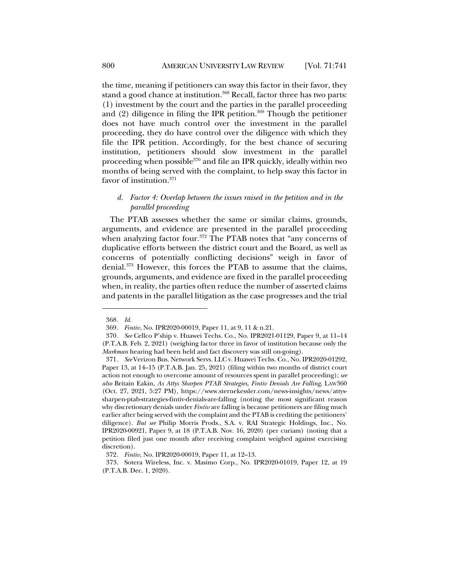the time, meaning if petitioners can sway this factor in their favor, they stand a good chance at institution.<sup>368</sup> Recall, factor three has two parts: (1) investment by the court and the parties in the parallel proceeding and  $(2)$  diligence in filing the IPR petition.<sup>369</sup> Though the petitioner does not have much control over the investment in the parallel proceeding, they do have control over the diligence with which they file the IPR petition. Accordingly, for the best chance of securing institution, petitioners should slow investment in the parallel proceeding when possible<sup>370</sup> and file an IPR quickly, ideally within two months of being served with the complaint, to help sway this factor in favor of institution.<sup>371</sup>

# *d. Factor 4: Overlap between the issues raised in the petition and in the parallel proceeding*

The PTAB assesses whether the same or similar claims, grounds, arguments, and evidence are presented in the parallel proceeding when analyzing factor four.<sup>372</sup> The PTAB notes that "any concerns of duplicative efforts between the district court and the Board, as well as concerns of potentially conflicting decisions" weigh in favor of denial.373 However, this forces the PTAB to assume that the claims, grounds, arguments, and evidence are fixed in the parallel proceeding when, in reality, the parties often reduce the number of asserted claims and patents in the parallel litigation as the case progresses and the trial

<sup>368</sup>*. Id.*

<sup>369</sup>*. Fintiv*, No. IPR2020-00019, Paper 11, at 9, 11 & n.21.

<sup>370</sup>*. See* Cellco P'ship v. Huawei Techs. Co., No. IPR2021-01129, Paper 9, at 11–14 (P.T.A.B. Feb. 2, 2021) (weighing factor three in favor of institution because only the *Markman* hearing had been held and fact discovery was still on-going).

<sup>371</sup>*. See* Verizon Bus. Network Servs. LLC v. Huawei Techs. Co., No. IPR2020-01292, Paper 13, at 14–15 (P.T.A.B. Jan. 25, 2021) (filing within two months of district court action not enough to overcome amount of resources spent in parallel proceeding); *see also* Britain Eakin, *As Attys Sharpen PTAB Strategies, Fintiv Denials Are Falling*, LAW360 (Oct. 27, 2021, 5:27 PM), https://www.sternekessler.com/news-insights/news/attyssharpen-ptab-strategies-fintiv-denials-are-falling (noting the most significant reason why discretionary denials under *Fintiv* are falling is because petitioners are filing much earlier after being served with the complaint and the PTAB is crediting the petitioners' diligence). *But see* Philip Morris Prods., S.A. v. RAI Strategic Holdings, Inc., No. IPR2020-00921, Paper 9, at 18 (P.T.A.B. Nov. 16, 2020) (per curiam) (noting that a petition filed just one month after receiving complaint weighed against exercising discretion).

<sup>372</sup>*. Fintiv*, No. IPR2020-00019, Paper 11, at 12–13.

<sup>373.</sup> Sotera Wireless, Inc. v. Masimo Corp., No. IPR2020-01019, Paper 12, at 19 (P.T.A.B. Dec. 1, 2020).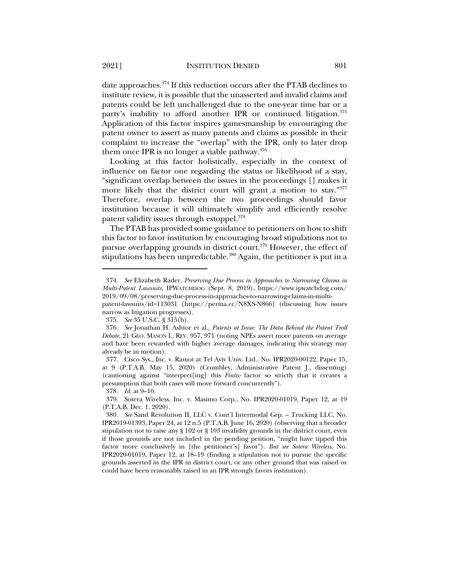date approaches.374 If this reduction occurs after the PTAB declines to institute review, it is possible that the unasserted and invalid claims and patents could be left unchallenged due to the one-year time bar or a party's inability to afford another IPR or continued litigation. 375 Application of this factor inspires gamesmanship by encouraging the patent owner to assert as many patents and claims as possible in their complaint to increase the "overlap" with the IPR, only to later drop them once IPR is no longer a viable pathway.376

Looking at this factor holistically, especially in the context of influence on factor one regarding the status or likelihood of a stay, "significant overlap between the issues in the proceedings [] makes it more likely that the district court will grant a motion to stay."<sup>377</sup> Therefore, overlap between the two proceedings should favor institution because it will ultimately simplify and efficiently resolve patent validity issues through estoppel.378

The PTAB has provided some guidance to petitioners on how to shift this factor to favor institution by encouraging broad stipulations not to pursue overlapping grounds in district court.379 However, the effect of stipulations has been unpredictable.<sup>380</sup> Again, the petitioner is put in a

378*. Id.* at 9–10.

<sup>374</sup>*. See* Elizabeth Rader, *Preserving Due Process in Approaches to Narrowing Claims in Multi-Patent Lawsuits*, IPWATCHDOG (Sept. 8, 2019), https://www.ipwatchdog.com/ 2019/09/08/preserving-due-process-in-approaches-to-narrowing-claims-in-multi-

patent-lawsuits/id=113031 [https://perma.cc/N8XS-N866] (discussing how issues narrow as litigation progresses).

<sup>375</sup>*. See* 35 U.S.C. § 315(b).

<sup>376</sup>*. See* Jonathan H. Ashtor et al., *Patents at Issue: The Data Behind the Patent Troll Debate*, 21 GEO. MASON L. REV. 957, 971 (noting NPEs assert more patents on average and have been rewarded with higher average damages, indicating this strategy may already be in motion).

<sup>377.</sup> Cisco Sys., Inc. v. Ramot at Tel Aviv Univ. Ltd., No. IPR2020-00122, Paper 15, at 9 (P.T.A.B. May 15, 2020) (Crumbley, Administrative Patent J., dissenting) (cautioning against "interpret[ing] this *Fintiv* factor so strictly that it creates a presumption that both cases will move forward concurrently").

<sup>379.</sup> Sotera Wireless, Inc. v. Masimo Corp., No. IPR2020-01019, Paper 12, at 19 (P.T.A.B. Dec. 1, 2020).

<sup>380</sup>*. See* Sand Revolution II, LLC v. Cont'l Intermodal Grp. – Trucking LLC, No. IPR2019-01393, Paper 24, at 12 n.5 (P.T.A.B. June 16, 2020) (observing that a broader stipulation not to raise any § 102 or § 103 invalidity grounds in the district court, even if those grounds are not included in the pending petition, "might have tipped this factor more conclusively in [the petitioner's] favor"). *But see Sotera Wireless*, No. IPR2020-01019, Paper 12, at 18–19 (finding a stipulation not to pursue the specific grounds asserted in the IPR in district court, or any other ground that was raised or could have been reasonably raised in an IPR strongly favors institution).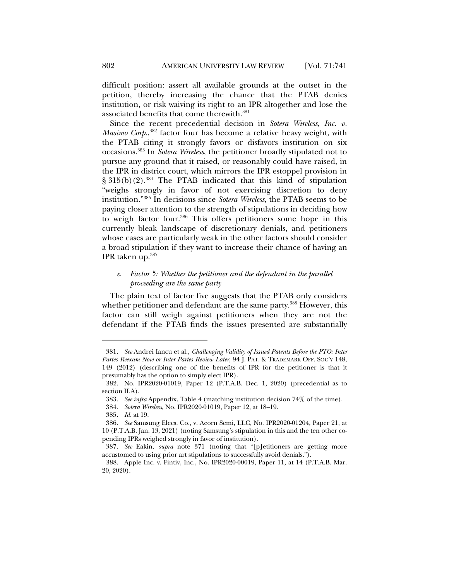difficult position: assert all available grounds at the outset in the petition, thereby increasing the chance that the PTAB denies institution, or risk waiving its right to an IPR altogether and lose the associated benefits that come therewith.381

Since the recent precedential decision in *Sotera Wireless, Inc. v. Masimo Corp.*, <sup>382</sup> factor four has become a relative heavy weight, with the PTAB citing it strongly favors or disfavors institution on six occasions.383 In *Sotera Wireless*, the petitioner broadly stipulated not to pursue any ground that it raised, or reasonably could have raised, in the IPR in district court, which mirrors the IPR estoppel provision in  $\S 315(b)(2).$ <sup>384</sup> The PTAB indicated that this kind of stipulation "weighs strongly in favor of not exercising discretion to deny institution."385 In decisions since *Sotera Wireless*, the PTAB seems to be paying closer attention to the strength of stipulations in deciding how to weigh factor four.386 This offers petitioners some hope in this currently bleak landscape of discretionary denials, and petitioners whose cases are particularly weak in the other factors should consider a broad stipulation if they want to increase their chance of having an IPR taken up.387

# *e. Factor 5: Whether the petitioner and the defendant in the parallel proceeding are the same party*

The plain text of factor five suggests that the PTAB only considers whether petitioner and defendant are the same party.<sup>388</sup> However, this factor can still weigh against petitioners when they are not the defendant if the PTAB finds the issues presented are substantially

<sup>381</sup>*. See* Andrei Iancu et al., *Challenging Validity of Issued Patents Before the PTO: Inter Partes Reexam Now or Inter Partes Review Later*, 94 J. PAT. & TRADEMARK OFF. SOC'Y 148, 149 (2012) (describing one of the benefits of IPR for the petitioner is that it presumably has the option to simply elect IPR).

<sup>382.</sup> No. IPR2020-01019, Paper 12 (P.T.A.B. Dec. 1, 2020) (precedential as to section II.A).

<sup>383</sup>*. See infra* Appendix, Table 4 (matching institution decision 74% of the time).

<sup>384</sup>*. Sotera Wireless*, No. IPR2020-01019, Paper 12, at 18–19.

<sup>385</sup>*. Id.* at 19.

<sup>386</sup>*. See* Samsung Elecs. Co., v. Acorn Semi, LLC, No. IPR2020-01204, Paper 21, at 10 (P.T.A.B. Jan. 13, 2021) (noting Samsung's stipulation in this and the ten other copending IPRs weighed strongly in favor of institution).

<sup>387</sup>*. See* Eakin, *supra* note 371 (noting that "[p]etitioners are getting more accustomed to using prior art stipulations to successfully avoid denials.").

<sup>388.</sup> Apple Inc. v. Fintiv, Inc., No. IPR2020-00019, Paper 11, at 14 (P.T.A.B. Mar. 20, 2020).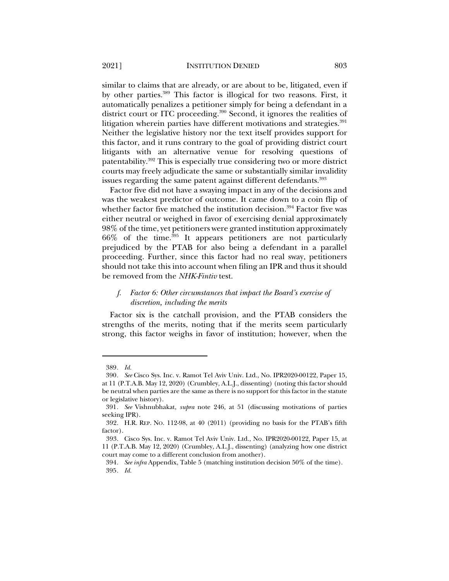similar to claims that are already, or are about to be, litigated, even if by other parties.389 This factor is illogical for two reasons. First, it automatically penalizes a petitioner simply for being a defendant in a district court or ITC proceeding.<sup>390</sup> Second, it ignores the realities of litigation wherein parties have different motivations and strategies.<sup>391</sup> Neither the legislative history nor the text itself provides support for this factor, and it runs contrary to the goal of providing district court litigants with an alternative venue for resolving questions of patentability.392 This is especially true considering two or more district courts may freely adjudicate the same or substantially similar invalidity issues regarding the same patent against different defendants.<sup>393</sup>

Factor five did not have a swaying impact in any of the decisions and was the weakest predictor of outcome. It came down to a coin flip of whether factor five matched the institution decision.<sup>394</sup> Factor five was either neutral or weighed in favor of exercising denial approximately 98% of the time, yet petitioners were granted institution approximately 66% of the time.395 It appears petitioners are not particularly prejudiced by the PTAB for also being a defendant in a parallel proceeding. Further, since this factor had no real sway, petitioners should not take this into account when filing an IPR and thus it should be removed from the *NHK-Fintiv* test.

## *f. Factor 6: Other circumstances that impact the Board's exercise of discretion, including the merits*

Factor six is the catchall provision, and the PTAB considers the strengths of the merits, noting that if the merits seem particularly strong, this factor weighs in favor of institution; however, when the

<sup>389</sup>*. Id.*

<sup>390</sup>*. See* Cisco Sys. Inc. v. Ramot Tel Aviv Univ. Ltd., No. IPR2020-00122, Paper 15, at 11 (P.T.A.B. May 12, 2020) (Crumbley, A.L.J., dissenting) (noting this factor should be neutral when parties are the same as there is no support for this factor in the statute or legislative history).

<sup>391</sup>*. See* Vishnubhakat, *supra* note 246, at 51 (discussing motivations of parties seeking IPR).

<sup>392.</sup> H.R. REP. NO. 112-98, at 40 (2011) (providing no basis for the PTAB's fifth factor).

<sup>393.</sup> Cisco Sys. Inc. v. Ramot Tel Aviv Univ. Ltd., No. IPR2020-00122, Paper 15, at 11 (P.T.A.B. May 12, 2020) (Crumbley, A.L.J., dissenting) (analyzing how one district court may come to a different conclusion from another).

<sup>394</sup>*. See infra* Appendix, Table 5 (matching institution decision 50% of the time). 395*. Id.*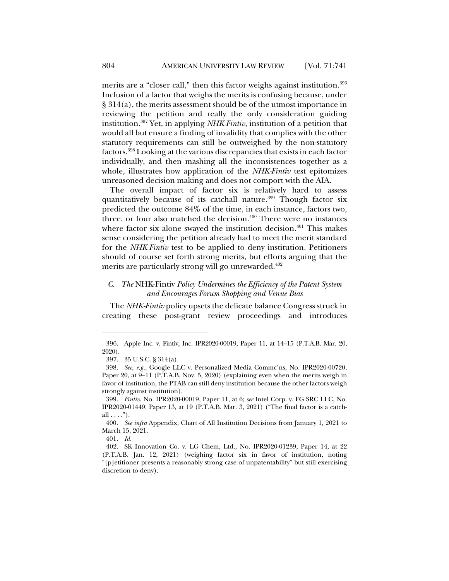merits are a "closer call," then this factor weighs against institution.<sup>396</sup> Inclusion of a factor that weighs the merits is confusing because, under § 314(a), the merits assessment should be of the utmost importance in reviewing the petition and really the only consideration guiding institution.397 Yet, in applying *NHK-Fintiv*, institution of a petition that would all but ensure a finding of invalidity that complies with the other statutory requirements can still be outweighed by the non-statutory factors.398 Looking at the various discrepancies that exists in each factor individually, and then mashing all the inconsistences together as a whole, illustrates how application of the *NHK-Fintiv* test epitomizes unreasoned decision making and does not comport with the AIA.

The overall impact of factor six is relatively hard to assess quantitatively because of its catchall nature.<sup>399</sup> Though factor six predicted the outcome 84% of the time, in each instance, factors two, three, or four also matched the decision. $400$  There were no instances where factor six alone swayed the institution decision. $401$  This makes sense considering the petition already had to meet the merit standard for the *NHK-Fintiv* test to be applied to deny institution. Petitioners should of course set forth strong merits, but efforts arguing that the merits are particularly strong will go unrewarded.<sup>402</sup>

## *C. The* NHK-Fintiv *Policy Undermines the Efficiency of the Patent System and Encourages Forum Shopping and Venue Bias*

The *NHK-Fintiv* policy upsets the delicate balance Congress struck in creating these post-grant review proceedings and introduces

<sup>396.</sup> Apple Inc. v. Fintiv, Inc. IPR2020-00019, Paper 11, at 14–15 (P.T.A.B. Mar. 20, 2020).

<sup>397.</sup> 35 U.S.C. § 314(a).

<sup>398</sup>*. See, e.g.*, Google LLC v. Personalized Media Commc'ns, No. IPR2020-00720, Paper 20, at 9–11 (P.T.A.B. Nov. 5, 2020) (explaining even when the merits weigh in favor of institution, the PTAB can still deny institution because the other factors weigh strongly against institution).

<sup>399</sup>*. Fintiv*, No. IPR2020-00019, Paper 11, at 6; *see* Intel Corp. v. FG SRC LLC, No. IPR2020-01449, Paper 13, at 19 (P.T.A.B. Mar. 3, 2021) ("The final factor is a catchall  $\dots$ .").

<sup>400</sup>*. See infra* Appendix, Chart of All Institution Decisions from January 1, 2021 to March 15, 2021.

<sup>401</sup>*. Id.*

<sup>402.</sup> SK Innovation Co. v. LG Chem, Ltd., No. IPR2020-01239, Paper 14, at 22 (P.T.A.B. Jan. 12, 2021) (weighing factor six in favor of institution, noting "[p]etitioner presents a reasonably strong case of unpatentability" but still exercising discretion to deny).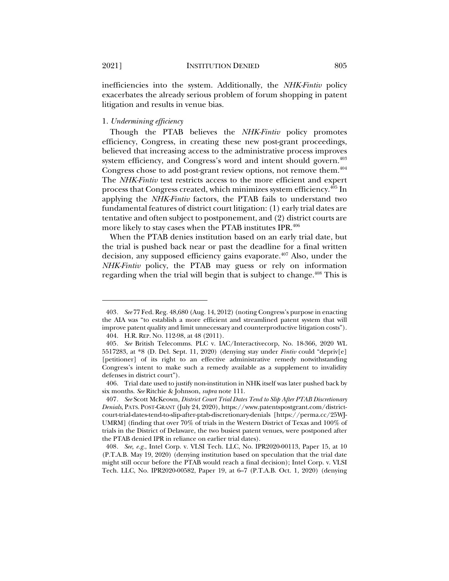inefficiencies into the system. Additionally, the *NHK-Fintiv* policy exacerbates the already serious problem of forum shopping in patent litigation and results in venue bias.

#### 1. *Undermining efficiency*

Though the PTAB believes the *NHK-Fintiv* policy promotes efficiency, Congress, in creating these new post-grant proceedings, believed that increasing access to the administrative process improves system efficiency, and Congress's word and intent should govern.<sup>403</sup> Congress chose to add post-grant review options, not remove them.<sup>404</sup> The *NHK-Fintiv* test restricts access to the more efficient and expert process that Congress created, which minimizes system efficiency.405 In applying the *NHK-Fintiv* factors, the PTAB fails to understand two fundamental features of district court litigation: (1) early trial dates are tentative and often subject to postponement, and (2) district courts are more likely to stay cases when the PTAB institutes IPR.<sup>406</sup>

When the PTAB denies institution based on an early trial date, but the trial is pushed back near or past the deadline for a final written decision, any supposed efficiency gains evaporate.<sup>407</sup> Also, under the *NHK-Fintiv* policy, the PTAB may guess or rely on information regarding when the trial will begin that is subject to change.<sup>408</sup> This is

<sup>403</sup>*. See* 77 Fed. Reg. 48,680 (Aug. 14, 2012) (noting Congress's purpose in enacting the AIA was "to establish a more efficient and streamlined patent system that will improve patent quality and limit unnecessary and counterproductive litigation costs"). 404. H.R. REP. NO. 112-98, at 48 (2011).

<sup>405</sup>*. See* British Telecomms. PLC v. IAC/Interactivecorp, No. 18-366, 2020 WL 5517283, at \*8 (D. Del. Sept. 11, 2020) (denying stay under *Fintiv* could "depriv[e] [petitioner] of its right to an effective administrative remedy notwithstanding Congress's intent to make such a remedy available as a supplement to invalidity defenses in district court").

<sup>406.</sup> Trial date used to justify non-institution in NHK itself was later pushed back by six months. *See* Ritchie & Johnson, *supra* note 111.

<sup>407</sup>*. See* Scott McKeown, *District Court Trial Dates Tend to Slip After PTAB Discretionary Denials*, PATS. POST-GRANT (July 24, 2020), https://www.patentspostgrant.com/districtcourt-trial-dates-tend-to-slip-after-ptab-discretionary-denials [https://perma.cc/25WJ-UMRM] (finding that over 70% of trials in the Western District of Texas and 100% of trials in the District of Delaware, the two busiest patent venues, were postponed after the PTAB denied IPR in reliance on earlier trial dates).

<sup>408</sup>*. See, e.g.*, Intel Corp. v. VLSI Tech. LLC, No. IPR2020-00113, Paper 15, at 10 (P.T.A.B. May 19, 2020) (denying institution based on speculation that the trial date might still occur before the PTAB would reach a final decision); Intel Corp. v. VLSI Tech. LLC, No. IPR2020-00582, Paper 19, at 6–7 (P.T.A.B. Oct. 1, 2020) (denying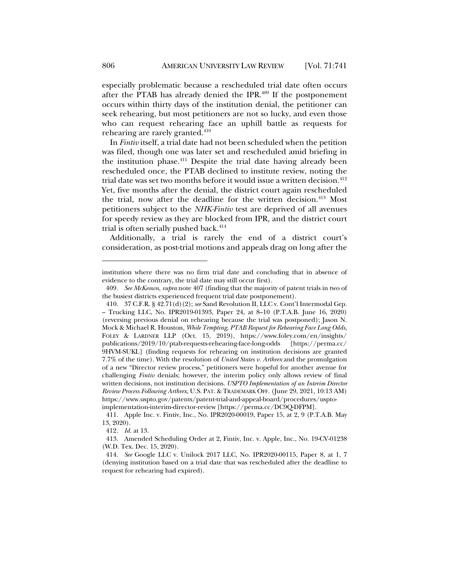especially problematic because a rescheduled trial date often occurs after the PTAB has already denied the IPR.<sup>409</sup> If the postponement occurs within thirty days of the institution denial, the petitioner can seek rehearing, but most petitioners are not so lucky, and even those who can request rehearing face an uphill battle as requests for rehearing are rarely granted.<sup>410</sup>

In *Fintiv* itself, a trial date had not been scheduled when the petition was filed, though one was later set and rescheduled amid briefing in the institution phase. <sup>411</sup> Despite the trial date having already been rescheduled once, the PTAB declined to institute review, noting the trial date was set two months before it would issue a written decision.<sup>412</sup> Yet, five months after the denial, the district court again rescheduled the trial, now after the deadline for the written decision.<sup>413</sup> Most petitioners subject to the *NHK-Fintiv* test are deprived of all avenues for speedy review as they are blocked from IPR, and the district court trial is often serially pushed back.<sup>414</sup>

Additionally, a trial is rarely the end of a district court's consideration, as post-trial motions and appeals drag on long after the

institution where there was no firm trial date and concluding that in absence of evidence to the contrary, the trial date may still occur first).

<sup>409</sup>*. See McKeown*, *supra* note 407 (finding that the majority of patent trials in two of the busiest districts experienced frequent trial date postponement).

<sup>410.</sup> 37 C.F.R. § 42.71(d)(2); *see* Sand Revolution II, LLC v. Cont'l Intermodal Grp. – Trucking LLC, No. IPR2019-01393, Paper 24, at 8–10 (P.T.A.B. June 16, 2020) (reversing previous denial on rehearing because the trial was postponed); Jason N. Mock & Michael R. Houston, *While Tempting, PTAB Request for Rehearing Face Long Odds*, FOLEY & LARDNER LLP (Oct. 15, 2019), https://www.foley.com/en/insights/ publications/2019/10/ptab-requests-rehearing-face-long-odds [https://perma.cc/ 9HVM-SUKL] (finding requests for rehearing on institution decisions are granted 7.7% of the time). With the resolution of *United States v. Arthrex* and the promulgation of a new "Director review process," petitioners were hopeful for another avenue for challenging *Fintiv* denials; however, the interim policy only allows review of final written decisions, not institution decisions. *USPTO Implementation of an Interim Director Review Process Following Arthrex*, U.S. PAT. & TRADEMARK OFF. (June 29, 2021, 10:13 AM) https://www.uspto.gov/patents/patent-trial-and-appeal-board/procedures/usptoimplementation-interim-director-review [https://perma.cc/DC9Q-DFPM].

<sup>411.</sup> Apple Inc. v. Fintiv, Inc., No. IPR2020-00019, Paper 15, at 2, 9 (P.T.A.B. May 13, 2020).

<sup>412</sup>*. Id.* at 13.

<sup>413.</sup> Amended Scheduling Order at 2, Fintiv, Inc. v. Apple, Inc., No. 19-CV-01238 (W.D. Tex. Dec. 15, 2020).

<sup>414</sup>*. See* Google LLC v. Unilock 2017 LLC, No. IPR2020-00115, Paper 8, at 1, 7 (denying institution based on a trial date that was rescheduled after the deadline to request for rehearing had expired).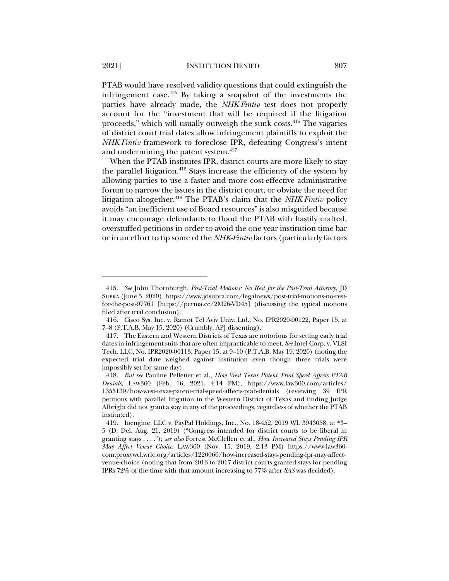PTAB would have resolved validity questions that could extinguish the infringement case. $415$  By taking a snapshot of the investments the parties have already made, the *NHK-Fintiv* test does not properly account for the "investment that will be required if the litigation proceeds," which will usually outweigh the sunk costs.416 The vagaries of district court trial dates allow infringement plaintiffs to exploit the *NHK-Fintiv* framework to foreclose IPR, defeating Congress's intent and undermining the patent system.<sup>417</sup>

When the PTAB institutes IPR, district courts are more likely to stay the parallel litigation.<sup>418</sup> Stays increase the efficiency of the system by allowing parties to use a faster and more cost-effective administrative forum to narrow the issues in the district court, or obviate the need for litigation altogether.419 The PTAB's claim that the *NHK-Fintiv* policy avoids "an inefficient use of Board resources" is also misguided because it may encourage defendants to flood the PTAB with hastily crafted, overstuffed petitions in order to avoid the one-year institution time bar or in an effort to tip some of the *NHK-Fintiv* factors (particularly factors

<sup>415</sup>*. See* John Thornburgh, *Post-Trial Motions: No Rest for the Post-Trial Attorney*, JD SUPRA (June 5, 2020), https://www.jdsupra.com/legalnews/post-trial-motions-no-restfor-the-post-97761 [https://perma.cc/2M26-VD45] (discussing the typical motions filed after trial conclusion).

<sup>416.</sup> Cisco Sys. Inc. v. Ramot Tel Aviv Univ. Ltd., No. IPR2020-00122, Paper 15, at 7–8 (P.T.A.B. May 15, 2020) (Crumbly, APJ dissenting).

<sup>417.</sup> The Eastern and Western Districts of Texas are notorious for setting early trial dates in infringement suits that are often impracticable to meet. *See* Intel Corp. v. VLSI Tech. LLC, No. IPR2020-00113, Paper 15, at 9–10 (P.T.A.B. May 19, 2020) (noting the expected trial date weighed against institution even though three trials were impossibly set for same day).

<sup>418</sup>*. But see* Pauline Pelletier et al., *How West Texas Patent Trial Speed Affects PTAB Denials*, LAW360 (Feb. 16, 2021, 4:14 PM), https://www.law360.com/articles/ 1355139/how-west-texas-patent-trial-speed-affects-ptab-denials (reviewing 39 IPR petitions with parallel litigation in the Western District of Texas and finding Judge Albright did not grant a stay in any of the proceedings, regardless of whether the PTAB instituted).

<sup>419.</sup> Ioengine, LLC v. PayPal Holdings, Inc., No. 18-452, 2019 WL 3943058, at \*3– 5 (D. Del. Aug. 21, 2019) ("Congress intended for district courts to be liberal in granting stays . . . ."); *see also* Forrest McClellen et al., *How Increased Stays Pending IPR May Affect Venue Choice*, LAW360 (Nov. 15, 2019, 2:13 PM) https://www-law360 com.proxywcl.wrlc.org/articles/1220066/how-increased-stays-pending-ipr-may-affectvenue-choice (noting that from 2013 to 2017 district courts granted stays for pending IPRs 72% of the time with that amount increasing to 77% after *SAS* was decided).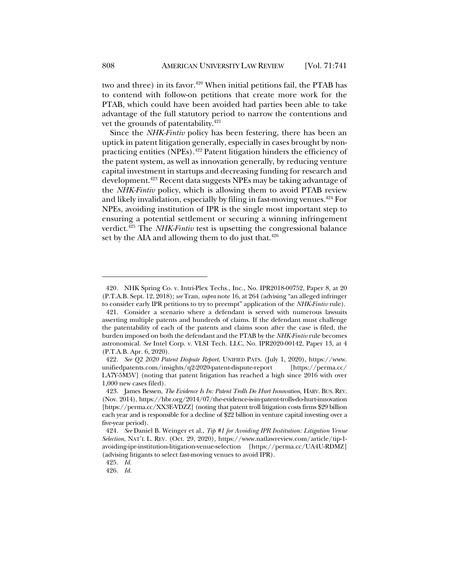two and three) in its favor.<sup>420</sup> When initial petitions fail, the PTAB has to contend with follow-on petitions that create more work for the PTAB, which could have been avoided had parties been able to take advantage of the full statutory period to narrow the contentions and vet the grounds of patentability.<sup>421</sup>

Since the *NHK-Fintiv* policy has been festering, there has been an uptick in patent litigation generally, especially in cases brought by nonpracticing entities (NPEs).422 Patent litigation hinders the efficiency of the patent system, as well as innovation generally, by reducing venture capital investment in startups and decreasing funding for research and development.423 Recent data suggests NPEs may be taking advantage of the *NHK-Fintiv* policy, which is allowing them to avoid PTAB review and likely invalidation, especially by filing in fast-moving venues. <sup>424</sup> For NPEs, avoiding institution of IPR is the single most important step to ensuring a potential settlement or securing a winning infringement verdict. <sup>425</sup> The *NHK-Fintiv* test is upsetting the congressional balance set by the AIA and allowing them to do just that. $426$ 

<sup>420</sup>*.* NHK Spring Co. v. Intri-Plex Techs., Inc., No. IPR2018-00752, Paper 8, at 20 (P.T.A.B. Sept. 12, 2018); *see* Tran, *supra* note 16, at 264 (advising "an alleged infringer to consider early IPR petitions to try to preempt" application of the *NHK-Fintiv* rule).

<sup>421.</sup> Consider a scenario where a defendant is served with numerous lawsuits asserting multiple patents and hundreds of claims. If the defendant must challenge the patentability of each of the patents and claims soon after the case is filed, the burden imposed on both the defendant and the PTAB by the *NHK-Fintiv* rule becomes astronomical. *See* Intel Corp. v. VLSI Tech. LLC, No. IPR2020-00142, Paper 13, at 4 (P.T.A.B. Apr. 6, 2020).

<sup>422</sup>*. See Q2 2020 Patent Dispute Report*, UNIFIED PATS. (July 1, 2020), https://www. unifiedpatents.com/insights/q2-2020-patent-dispute-report [https://perma.cc/ LA7Y-5M5V] (noting that patent litigation has reached a high since 2016 with over 1,000 new cases filed).

<sup>423.</sup> James Bessen, *The Evidence Is In: Patent Trolls Do Hurt Innovation*, HARV. BUS. REV. (Nov. 2014), https://hbr.org/2014/07/the-evidence-is-in-patent-trolls-do-hurt-innovation [https://perma.cc/XX3E-VDZZ] (noting that patent troll litigation costs firms \$29 billion each year and is responsible for a decline of \$22 billion in venture capital investing over a five-year period).

<sup>424</sup>*. See* Daniel B. Weinger et al., *Tip #1 for Avoiding IPR Institution: Litigation Venue Selection*, NAT'L L. REV. (Oct. 29, 2020), https://www.natlawreview.com/article/tip-1 avoiding-ipr-institution-litigation-venue-selection [https://perma.cc/UA4U-RDMZ] (advising litigants to select fast-moving venues to avoid IPR).

<sup>425</sup>*. Id.*

<sup>426</sup>*. Id.*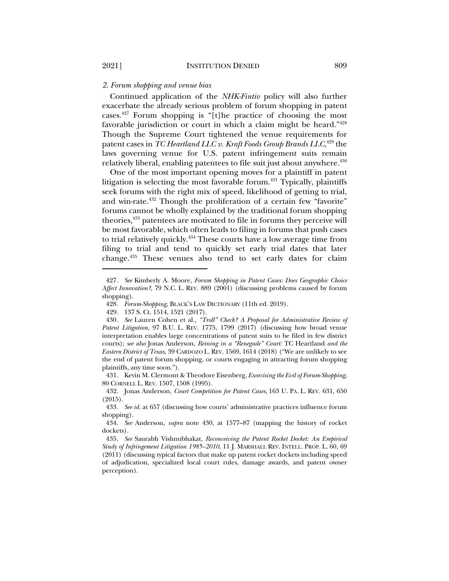#### *2. Forum shopping and venue bias*

Continued application of the *NHK-Fintiv* policy will also further exacerbate the already serious problem of forum shopping in patent cases.427 Forum shopping is "[t]he practice of choosing the most favorable jurisdiction or court in which a claim might be heard."428 Though the Supreme Court tightened the venue requirements for patent cases in *TC Heartland LLC v. Kraft Foods Group Brands LLC*, <sup>429</sup> the laws governing venue for U.S. patent infringement suits remain relatively liberal, enabling patentees to file suit just about anywhere.<sup>430</sup>

One of the most important opening moves for a plaintiff in patent litigation is selecting the most favorable forum.431 Typically, plaintiffs seek forums with the right mix of speed, likelihood of getting to trial, and win-rate.432 Though the proliferation of a certain few "favorite" forums cannot be wholly explained by the traditional forum shopping theories,433 patentees are motivated to file in forums they perceive will be most favorable, which often leads to filing in forums that push cases to trial relatively quickly.434 These courts have a low average time from filing to trial and tend to quickly set early trial dates that later change.435 These venues also tend to set early dates for claim

<sup>427</sup>*. See* Kimberly A. Moore, *Forum Shopping in Patent Cases: Does Geographic Choice Affect Innovation?*, 79 N.C. L. REV. 889 (2001) (discussing problems caused by forum shopping).

<sup>428</sup>*. Forum-Shopping*, BLACK'S LAW DICTIONARY (11th ed. 2019).

<sup>429.</sup> 137 S. Ct. 1514, 1521 (2017).

<sup>430</sup>*. See* Lauren Cohen et al., *"Troll" Check? A Proposal for Administrative Review of Patent Litigation*, 97 B.U. L. REV. 1775, 1799 (2017) (discussing how broad venue interpretation enables large concentrations of patent suits to be filed in few district courts); *see also* Jonas Anderson, *Reining in a "Renegade" Court:* TC Heartland *and the Eastern District of Texas*, 39 CARDOZO L. REV. 1569, 1614 (2018) ("We are unlikely to see the end of patent forum shopping, or courts engaging in attracting forum shopping plaintiffs, any time soon.").

<sup>431.</sup> Kevin M. Clermont & Theodore Eisenberg, *Exorcising the Evil of Forum-Shopping*, 80 CORNELL L. REV. 1507, 1508 (1995).

<sup>432.</sup> Jonas Anderson, *Court Competition for Patent Cases*, 163 U. PA. L. REV. 631, 650 (2015).

<sup>433</sup>*. See id.* at 657 (discussing how courts' administrative practices influence forum shopping).

<sup>434</sup>*. See* Anderson, *supra* note 430, at 1577–87 (mapping the history of rocket dockets).

<sup>435</sup>*. See* Saurabh Vishnubhakat, *Reconceiving the Patent Rocket Docket: An Empirical Study of Infringement Litigation 1985–2010*, 11 J. MARSHALL REV. INTELL. PROP. L. 60, 69 (2011) (discussing typical factors that make up patent rocket dockets including speed of adjudication, specialized local court rules, damage awards, and patent owner perception).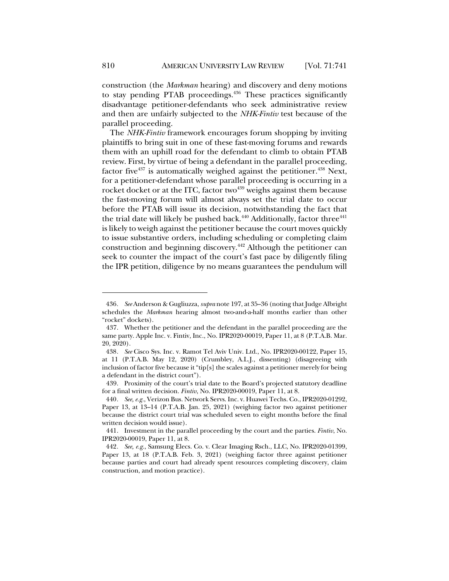construction (the *Markman* hearing) and discovery and deny motions to stay pending PTAB proceedings.436 These practices significantly disadvantage petitioner-defendants who seek administrative review and then are unfairly subjected to the *NHK-Fintiv* test because of the parallel proceeding.

The *NHK-Fintiv* framework encourages forum shopping by inviting plaintiffs to bring suit in one of these fast-moving forums and rewards them with an uphill road for the defendant to climb to obtain PTAB review. First, by virtue of being a defendant in the parallel proceeding, factor five $437$  is automatically weighed against the petitioner.  $438$  Next, for a petitioner-defendant whose parallel proceeding is occurring in a rocket docket or at the ITC, factor two $439$  weighs against them because the fast-moving forum will almost always set the trial date to occur before the PTAB will issue its decision, notwithstanding the fact that the trial date will likely be pushed back.<sup>440</sup> Additionally, factor three<sup>441</sup> is likely to weigh against the petitioner because the court moves quickly to issue substantive orders, including scheduling or completing claim construction and beginning discovery.442 Although the petitioner can seek to counter the impact of the court's fast pace by diligently filing the IPR petition, diligence by no means guarantees the pendulum will

<sup>436</sup>*. See* Anderson & Gugliuzza, *supra* note 197, at 35–36 (noting that Judge Albright schedules the *Markman* hearing almost two-and-a-half months earlier than other "rocket" dockets).

<sup>437.</sup> Whether the petitioner and the defendant in the parallel proceeding are the same party. Apple Inc. v. Fintiv, Inc., No. IPR2020-00019, Paper 11, at 8 (P.T.A.B. Mar. 20, 2020).

<sup>438</sup>*. See* Cisco Sys. Inc. v. Ramot Tel Aviv Univ. Ltd., No. IPR2020-00122, Paper 15, at 11 (P.T.A.B. May 12, 2020) (Crumbley, A.L.J., dissenting) (disagreeing with inclusion of factor five because it "tip[s] the scales against a petitioner merely for being a defendant in the district court").

<sup>439.</sup> Proximity of the court's trial date to the Board's projected statutory deadline for a final written decision. *Fintiv*, No. IPR2020-00019, Paper 11, at 8.

<sup>440</sup>*. See, e.g.*, Verizon Bus. Network Servs. Inc. v. Huawei Techs. Co., IPR2020-01292, Paper 13, at 13–14 (P.T.A.B. Jan. 25, 2021) (weighing factor two against petitioner because the district court trial was scheduled seven to eight months before the final written decision would issue).

<sup>441.</sup> Investment in the parallel proceeding by the court and the parties. *Fintiv*, No. IPR2020-00019, Paper 11, at 8.

<sup>442</sup>*. See, e.g.*, Samsung Elecs. Co. v. Clear Imaging Rsch., LLC, No. IPR2020-01399, Paper 13, at 18 (P.T.A.B. Feb. 3, 2021) (weighing factor three against petitioner because parties and court had already spent resources completing discovery, claim construction, and motion practice).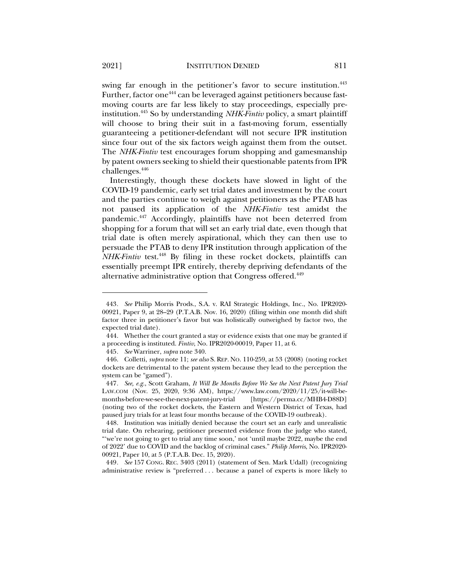swing far enough in the petitioner's favor to secure institution.<sup>443</sup> Further, factor one<sup>444</sup> can be leveraged against petitioners because fastmoving courts are far less likely to stay proceedings, especially preinstitution.445 So by understanding *NHK-Fintiv* policy, a smart plaintiff will choose to bring their suit in a fast-moving forum, essentially guaranteeing a petitioner-defendant will not secure IPR institution since four out of the six factors weigh against them from the outset. The *NHK-Fintiv* test encourages forum shopping and gamesmanship by patent owners seeking to shield their questionable patents from IPR

challenges. $446$ 

Interestingly, though these dockets have slowed in light of the COVID-19 pandemic, early set trial dates and investment by the court and the parties continue to weigh against petitioners as the PTAB has not paused its application of the *NHK-Fintiv* test amidst the pandemic.447 Accordingly, plaintiffs have not been deterred from shopping for a forum that will set an early trial date, even though that trial date is often merely aspirational, which they can then use to persuade the PTAB to deny IPR institution through application of the *NHK-Fintiv* test.<sup>448</sup> By filing in these rocket dockets, plaintiffs can essentially preempt IPR entirely, thereby depriving defendants of the alternative administrative option that Congress offered.<sup>449</sup>

449*. See* 157 CONG. REC. 3403 (2011) (statement of Sen. Mark Udall) (recognizing administrative review is "preferred . . . because a panel of experts is more likely to

<sup>443</sup>*. See* Philip Morris Prods., S.A. v. RAI Strategic Holdings, Inc., No. IPR2020- 00921, Paper 9, at 28–29 (P.T.A.B. Nov. 16, 2020) (filing within one month did shift factor three in petitioner's favor but was holistically outweighed by factor two, the expected trial date).

<sup>444.</sup> Whether the court granted a stay or evidence exists that one may be granted if a proceeding is instituted. *Fintiv*, No. IPR2020-00019, Paper 11, at 6.

<sup>445</sup>*. See* Warriner, *supra* note 340.

<sup>446.</sup> Colletti, *supra* note 11; *see also* S. REP. NO. 110-259, at 53 (2008) (noting rocket dockets are detrimental to the patent system because they lead to the perception the system can be "gamed").

<sup>447</sup>*. See, e.g.*, Scott Graham, *It Will Be Months Before We See the Next Patent Jury Trial* LAW.COM (Nov. 25, 2020, 9:36 AM), https://www.law.com/2020/11/25/it-will-bemonths-before-we-see-the-next-patent-jury-trial [https://perma.cc/MHB4-D88D] (noting two of the rocket dockets, the Eastern and Western District of Texas, had paused jury trials for at least four months because of the COVID-19 outbreak).

<sup>448.</sup> Institution was initially denied because the court set an early and unrealistic trial date. On rehearing, petitioner presented evidence from the judge who stated, "'we're not going to get to trial any time soon,' not 'until maybe 2022, maybe the end of 2022' due to COVID and the backlog of criminal cases." *Philip Morris*, No. IPR2020- 00921, Paper 10, at 5 (P.T.A.B. Dec. 15, 2020).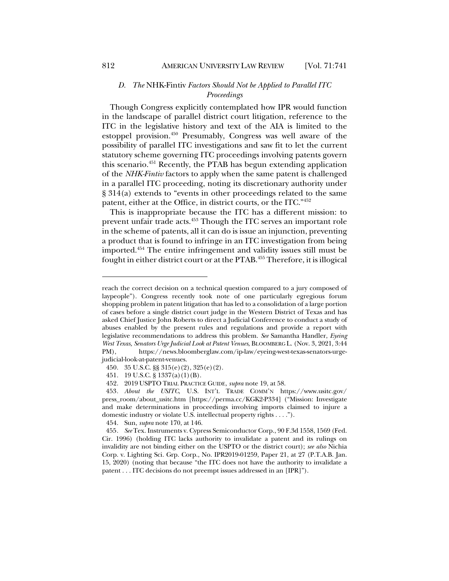### *D. The* NHK-Fintiv *Factors Should Not be Applied to Parallel ITC Proceedings*

Though Congress explicitly contemplated how IPR would function in the landscape of parallel district court litigation, reference to the ITC in the legislative history and text of the AIA is limited to the estoppel provision.450 Presumably, Congress was well aware of the possibility of parallel ITC investigations and saw fit to let the current statutory scheme governing ITC proceedings involving patents govern this scenario.451 Recently, the PTAB has begun extending application of the *NHK-Fintiv* factors to apply when the same patent is challenged in a parallel ITC proceeding, noting its discretionary authority under § 314(a) extends to "events in other proceedings related to the same patent, either at the Office, in district courts, or the ITC."452

This is inappropriate because the ITC has a different mission: to prevent unfair trade acts.453 Though the ITC serves an important role in the scheme of patents, all it can do is issue an injunction, preventing a product that is found to infringe in an ITC investigation from being imported.454 The entire infringement and validity issues still must be fought in either district court or at the PTAB.<sup>455</sup> Therefore, it is illogical

454. Sun, *supra* note 170, at 146.

reach the correct decision on a technical question compared to a jury composed of laypeople"). Congress recently took note of one particularly egregious forum shopping problem in patent litigation that has led to a consolidation of a large portion of cases before a single district court judge in the Western District of Texas and has asked Chief Justice John Roberts to direct a Judicial Conference to conduct a study of abuses enabled by the present rules and regulations and provide a report with legislative recommendations to address this problem. *See* Samantha Handler, *Eyeing West Texas, Senators Urge Judicial Look at Patent Venues*, BLOOMBERG L. (Nov. 3, 2021, 3:44 PM), https://news.bloomberglaw.com/ip-law/eyeing-west-texas-senators-urgejudicial-look-at-patent-venues.

<sup>450.</sup> 35 U.S.C. §§ 315(e)(2), 325(e)(2).

<sup>451.</sup> 19 U.S.C. § 1337(a)(1)(B).

<sup>452.</sup> 2019 USPTO TRIAL PRACTICE GUIDE, *supra* note 19, at 58.

<sup>453</sup>*. About the USITC*, U.S. INT'L TRADE COMM'N https://www.usitc.gov/ press\_room/about\_usitc.htm [https://perma.cc/KGK2-P334] ("Mission: Investigate and make determinations in proceedings involving imports claimed to injure a domestic industry or violate U.S. intellectual property rights . . . .").

<sup>455</sup>*. See* Tex. Instruments v. Cypress Semiconductor Corp., 90 F.3d 1558, 1569 (Fed. Cir. 1996) (holding ITC lacks authority to invalidate a patent and its rulings on invalidity are not binding either on the USPTO or the district court); *see also* Nichia Corp. v. Lighting Sci. Grp. Corp., No. IPR2019-01259, Paper 21, at 27 (P.T.A.B. Jan. 15, 2020) (noting that because "the ITC does not have the authority to invalidate a patent . . . ITC decisions do not preempt issues addressed in an [IPR]").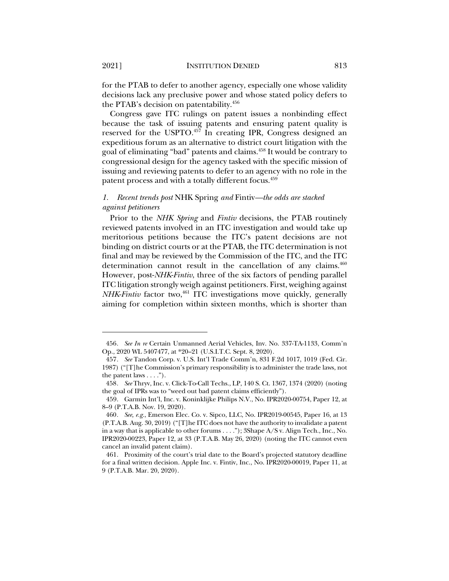for the PTAB to defer to another agency, especially one whose validity decisions lack any preclusive power and whose stated policy defers to the PTAB's decision on patentability.456

Congress gave ITC rulings on patent issues a nonbinding effect because the task of issuing patents and ensuring patent quality is reserved for the USPTO.<sup>457</sup> In creating IPR, Congress designed an expeditious forum as an alternative to district court litigation with the goal of eliminating "bad" patents and claims.<sup>458</sup> It would be contrary to congressional design for the agency tasked with the specific mission of issuing and reviewing patents to defer to an agency with no role in the patent process and with a totally different focus.<sup>459</sup>

#### *1. Recent trends post* NHK Spring *and* Fintiv*—the odds are stacked against petitioners*

Prior to the *NHK Spring* and *Fintiv* decisions, the PTAB routinely reviewed patents involved in an ITC investigation and would take up meritorious petitions because the ITC's patent decisions are not binding on district courts or at the PTAB, the ITC determination is not final and may be reviewed by the Commission of the ITC, and the ITC determination cannot result in the cancellation of any claims.<sup>460</sup> However, post-*NHK*-*Fintiv*, three of the six factors of pending parallel ITC litigation strongly weigh against petitioners. First, weighing against *NHK*-*Fintiv* factor two, <sup>461</sup> ITC investigations move quickly, generally aiming for completion within sixteen months, which is shorter than

<sup>456</sup>*. See In re* Certain Unmanned Aerial Vehicles, Inv. No. 337-TA-1133, Comm'n Op., 2020 WL 5407477, at \*20–21 (U.S.I.T.C. Sept. 8, 2020).

<sup>457</sup>*. See* Tandon Corp. v. U.S. Int'l Trade Comm'n, 831 F.2d 1017, 1019 (Fed. Cir. 1987) ("[T]he Commission's primary responsibility is to administer the trade laws, not the patent laws  $\dots$ .").

<sup>458</sup>*. See* Thryv, Inc. v. Click-To-Call Techs., LP, 140 S. Ct. 1367, 1374 (2020) (noting the goal of IPRs was to "weed out bad patent claims efficiently").

<sup>459.</sup> Garmin Int'l, Inc. v. Koninklijke Philips N.V., No. IPR2020-00754, Paper 12, at 8–9 (P.T.A.B. Nov. 19, 2020).

<sup>460</sup>*. See, e.g.*, Emerson Elec. Co. v. Sipco, LLC, No. IPR2019-00545, Paper 16, at 13 (P.T.A.B. Aug. 30, 2019) ("[T]he ITC does not have the authority to invalidate a patent in a way that is applicable to other forums . . . ."); 3Shape A/S v. Align Tech., Inc., No. IPR2020-00223, Paper 12, at 33 (P.T.A.B. May 26, 2020) (noting the ITC cannot even cancel an invalid patent claim).

<sup>461.</sup> Proximity of the court's trial date to the Board's projected statutory deadline for a final written decision. Apple Inc. v. Fintiv, Inc., No. IPR2020-00019, Paper 11, at 9 (P.T.A.B. Mar. 20, 2020).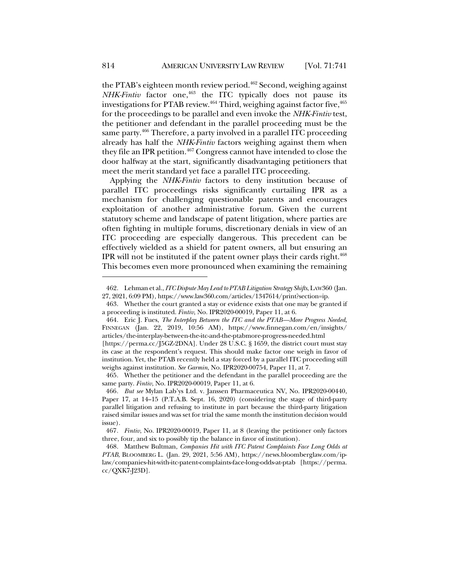the PTAB's eighteen month review period.<sup>462</sup> Second, weighing against *NHK-Fintiv* factor one,<sup>463</sup> the ITC typically does not pause its investigations for PTAB review. $464$  Third, weighing against factor five,  $465$ for the proceedings to be parallel and even invoke the *NHK-Fintiv* test, the petitioner and defendant in the parallel proceeding must be the same party.<sup>466</sup> Therefore, a party involved in a parallel ITC proceeding already has half the *NHK*-*Fintiv* factors weighing against them when they file an IPR petition.<sup>467</sup> Congress cannot have intended to close the door halfway at the start, significantly disadvantaging petitioners that meet the merit standard yet face a parallel ITC proceeding.

Applying the *NHK*-*Fintiv* factors to deny institution because of parallel ITC proceedings risks significantly curtailing IPR as a mechanism for challenging questionable patents and encourages exploitation of another administrative forum. Given the current statutory scheme and landscape of patent litigation, where parties are often fighting in multiple forums, discretionary denials in view of an ITC proceeding are especially dangerous. This precedent can be effectively wielded as a shield for patent owners, all but ensuring an IPR will not be instituted if the patent owner plays their cards right.468 This becomes even more pronounced when examining the remaining

<sup>462.</sup> Lehman et al., *ITC Dispute May Lead to PTAB Litigation Strategy Shifts*, LAW360 (Jan. 27, 2021, 6:09 PM), https://www.law360.com/articles/1347614/print?section=ip.

<sup>463.</sup> Whether the court granted a stay or evidence exists that one may be granted if a proceeding is instituted. *Fintiv*, No. IPR2020-00019, Paper 11, at 6.

<sup>464.</sup> Eric J. Fues, *The Interplay Between the ITC and the PTAB—More Progress Needed*, FINNEGAN (Jan. 22, 2019, 10:56 AM), https://www.finnegan.com/en/insights/ articles/the-interplay-between-the-itc-and-the-ptabmore-progress-needed.html

<sup>[</sup>https://perma.cc/J5GZ-2DNA]. Under 28 U.S.C. § 1659, the district court must stay its case at the respondent's request. This should make factor one weigh in favor of institution. Yet, the PTAB recently held a stay forced by a parallel ITC proceeding still weighs against institution. *See Garmin*, No. IPR2020-00754, Paper 11, at 7.

<sup>465.</sup> Whether the petitioner and the defendant in the parallel proceeding are the same party. *Fintiv*, No. IPR2020-00019, Paper 11, at 6.

<sup>466</sup>*. But see* Mylan Lab'ys Ltd. v. Janssen Pharmaceutica NV, No. IPR2020-00440, Paper 17, at 14–15 (P.T.A.B. Sept. 16, 2020) (considering the stage of third-party parallel litigation and refusing to institute in part because the third-party litigation raised similar issues and was set for trial the same month the institution decision would issue).

<sup>467</sup>*. Fintiv*, No. IPR2020-00019, Paper 11, at 8 (leaving the petitioner only factors three, four, and six to possibly tip the balance in favor of institution).

<sup>468.</sup> Matthew Bultman, *Companies Hit with ITC Patent Complaints Face Long Odds at PTAB*, BLOOMBERG L. (Jan. 29, 2021, 5:56 AM), https://news.bloomberglaw.com/iplaw/companies-hit-with-itc-patent-complaints-face-long-odds-at-ptab [https://perma. cc/QXK7-J23D].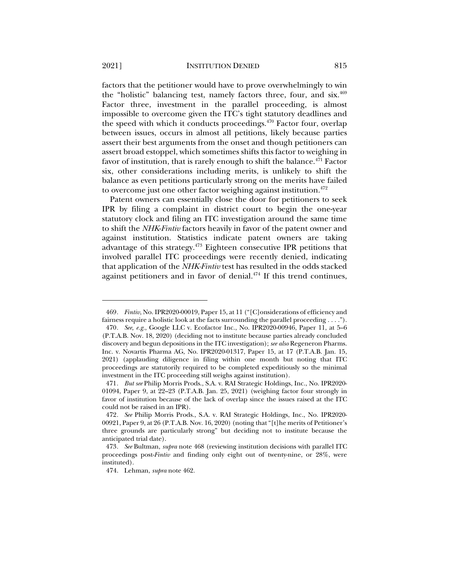factors that the petitioner would have to prove overwhelmingly to win the "holistic" balancing test, namely factors three, four, and six.469 Factor three, investment in the parallel proceeding, is almost impossible to overcome given the ITC's tight statutory deadlines and the speed with which it conducts proceedings. $470$  Factor four, overlap between issues, occurs in almost all petitions, likely because parties assert their best arguments from the onset and though petitioners can assert broad estoppel, which sometimes shifts this factor to weighing in favor of institution, that is rarely enough to shift the balance.<sup>471</sup> Factor six, other considerations including merits, is unlikely to shift the balance as even petitions particularly strong on the merits have failed to overcome just one other factor weighing against institution.<sup>472</sup>

Patent owners can essentially close the door for petitioners to seek IPR by filing a complaint in district court to begin the one-year statutory clock and filing an ITC investigation around the same time to shift the *NHK*-*Fintiv* factors heavily in favor of the patent owner and against institution. Statistics indicate patent owners are taking advantage of this strategy.473 Eighteen consecutive IPR petitions that involved parallel ITC proceedings were recently denied, indicating that application of the *NHK-Fintiv* test has resulted in the odds stacked against petitioners and in favor of denial. <sup>474</sup> If this trend continues,

<sup>469</sup>*. Fintiv*, No. IPR2020-00019, Paper 15, at 11 ("[C]onsiderations of efficiency and fairness require a holistic look at the facts surrounding the parallel proceeding  $\dots$ "). 470*. See, e.g.*, Google LLC v. Ecofactor Inc., No. IPR2020-00946, Paper 11, at 5–6 (P.T.A.B. Nov. 18, 2020) (deciding not to institute because parties already concluded discovery and begun depositions in the ITC investigation); *see also* Regeneron Pharms. Inc. v. Novartis Pharma AG, No. IPR2020-01317, Paper 15, at 17 (P.T.A.B. Jan. 15, 2021) (applauding diligence in filing within one month but noting that ITC proceedings are statutorily required to be completed expeditiously so the minimal investment in the ITC proceeding still weighs against institution).

<sup>471</sup>*. But see* Philip Morris Prods., S.A. v. RAI Strategic Holdings, Inc., No. IPR2020- 01094, Paper 9, at 22–23 (P.T.A.B. Jan. 25, 2021) (weighing factor four strongly in favor of institution because of the lack of overlap since the issues raised at the ITC could not be raised in an IPR).

<sup>472</sup>*. See* Philip Morris Prods., S.A. v. RAI Strategic Holdings, Inc., No. IPR2020- 00921, Paper 9, at 26 (P.T.A.B. Nov. 16, 2020) (noting that "[t]he merits of Petitioner's three grounds are particularly strong" but deciding not to institute because the anticipated trial date).

<sup>473</sup>*. See* Bultman, *supra* note 468 (reviewing institution decisions with parallel ITC proceedings post-*Fintiv* and finding only eight out of twenty-nine, or 28%, were instituted).

<sup>474.</sup> Lehman, *supra* note 462.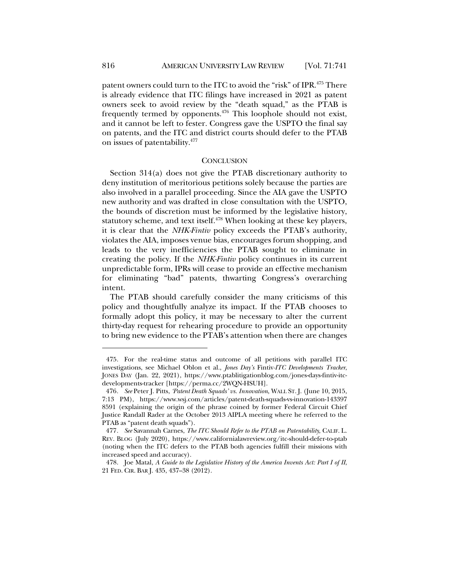patent owners could turn to the ITC to avoid the "risk" of IPR.<sup>475</sup> There is already evidence that ITC filings have increased in 2021 as patent owners seek to avoid review by the "death squad," as the PTAB is frequently termed by opponents. $476$  This loophole should not exist, and it cannot be left to fester. Congress gave the USPTO the final say on patents, and the ITC and district courts should defer to the PTAB on issues of patentability.477

#### **CONCLUSION**

Section 314(a) does not give the PTAB discretionary authority to deny institution of meritorious petitions solely because the parties are also involved in a parallel proceeding. Since the AIA gave the USPTO new authority and was drafted in close consultation with the USPTO, the bounds of discretion must be informed by the legislative history, statutory scheme, and text itself.<sup>478</sup> When looking at these key players, it is clear that the *NHK-Fintiv* policy exceeds the PTAB's authority, violates the AIA, imposes venue bias, encourages forum shopping, and leads to the very inefficiencies the PTAB sought to eliminate in creating the policy. If the *NHK-Fintiv* policy continues in its current unpredictable form, IPRs will cease to provide an effective mechanism for eliminating "bad" patents, thwarting Congress's overarching intent.

The PTAB should carefully consider the many criticisms of this policy and thoughtfully analyze its impact. If the PTAB chooses to formally adopt this policy, it may be necessary to alter the current thirty-day request for rehearing procedure to provide an opportunity to bring new evidence to the PTAB's attention when there are changes

<sup>475.</sup> For the real-time status and outcome of all petitions with parallel ITC investigations, see Michael Oblon et al., *Jones Day's* Fintiv*-ITC Developments Tracker*, JONES DAY (Jan. 22, 2021), https://www.ptablitigationblog.com/jones-days-fintiv-itcdevelopments-tracker [https://perma.cc/2WQN-HSUH].

<sup>476</sup>*. See* Peter J. Pitts, *'Patent Death Squads' vs. Innovation*, WALL ST. J. (June 10, 2015, 7:13 PM), https://www.wsj.com/articles/patent-death-squads-vs-innovation-143397 8591 (explaining the origin of the phrase coined by former Federal Circuit Chief Justice Randall Rader at the October 2013 AIPLA meeting where he referred to the PTAB as "patent death squads").

<sup>477</sup>*. See* Savannah Carnes, *The ITC Should Refer to the PTAB on Patentability*, CALIF. L. REV. BLOG (July 2020), https://www.californialawreview.org/itc-should-defer-to-ptab (noting when the ITC defers to the PTAB both agencies fulfill their missions with increased speed and accuracy).

<sup>478.</sup> Joe Matal, *A Guide to the Legislative History of the America Invents Act: Part I of II*, 21 FED. CIR. BAR J. 435, 437–38 (2012).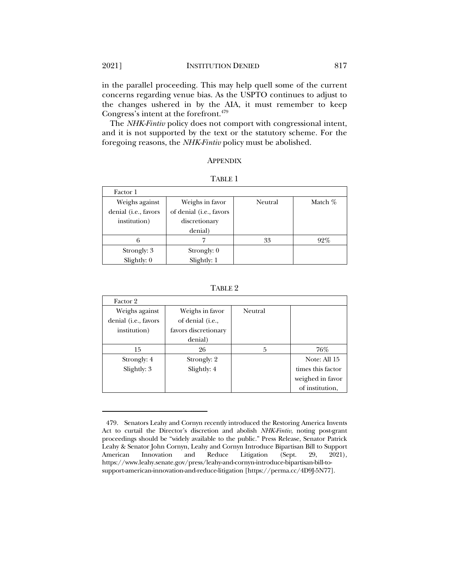in the parallel proceeding. This may help quell some of the current concerns regarding venue bias. As the USPTO continues to adjust to the changes ushered in by the AIA, it must remember to keep Congress's intent at the forefront.479

The *NHK-Fintiv* policy does not comport with congressional intent, and it is not supported by the text or the statutory scheme. For the foregoing reasons, the *NHK-Fintiv* policy must be abolished.

#### APPENDIX

| Factor 1             |                         |         |           |
|----------------------|-------------------------|---------|-----------|
| Weighs against       | Weighs in favor         | Neutral | Match $%$ |
| denial (i.e., favors | of denial (i.e., favors |         |           |
| institution)         | discretionary           |         |           |
|                      | denial)                 |         |           |
|                      |                         | 33      | 92%       |
| Strongly: 3          | Strongly: 0             |         |           |
| Slightly: $0$        | Slightly: 1             |         |           |

| - 13<br>۰ |  |
|-----------|--|
|-----------|--|

TABLE 2

| Factor 2             |                      |                |                   |
|----------------------|----------------------|----------------|-------------------|
| Weighs against       | Weighs in favor      | <b>Neutral</b> |                   |
| denial (i.e., favors | of denial (i.e.,     |                |                   |
| institution)         | favors discretionary |                |                   |
|                      | denial)              |                |                   |
| 15                   | 26                   | 5              | 76%               |
| Strongly: 4          | Strongly: 2          |                | Note: All 15      |
| Slightly: 3          | Slightly: 4          |                | times this factor |
|                      |                      |                | weighed in favor  |
|                      |                      |                | of institution.   |

<sup>479.</sup> Senators Leahy and Cornyn recently introduced the Restoring America Invents Act to curtail the Director's discretion and abolish *NHK-Fintiv*, noting post-grant proceedings should be "widely available to the public." Press Release, Senator Patrick Leahy & Senator John Cornyn, Leahy and Cornyn Introduce Bipartisan Bill to Support American Innovation and Reduce Litigation (Sept. 29, 2021), https://www.leahy.senate.gov/press/leahy-and-cornyn-introduce-bipartisan-bill-tosupport-american-innovation-and-reduce-litigation [https://perma.cc/4D9J-5N77].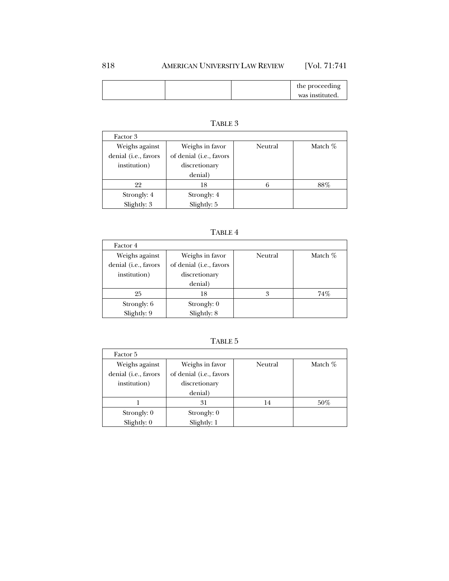### 818 AMERICAN UNIVERSITY LAW REVIEW [Vol. 71:741

|  | the proceeding  |
|--|-----------------|
|  | was instituted. |

| Factor 3             |                         |         |           |
|----------------------|-------------------------|---------|-----------|
| Weighs against       | Weighs in favor         | Neutral | Match $%$ |
| denial (i.e., favors | of denial (i.e., favors |         |           |
| institution)         | discretionary           |         |           |
|                      | denial)                 |         |           |
| 22                   | 18                      |         | $88\%$    |
| Strongly: 4          | Strongly: 4             |         |           |
| Slightly: 3          | Slightly: 5             |         |           |

# TABLE 3

## TABLE 4

| Factor 4                                               |                                                                        |         |           |
|--------------------------------------------------------|------------------------------------------------------------------------|---------|-----------|
| Weighs against<br>denial (i.e., favors<br>institution) | Weighs in favor<br>of denial (i.e., favors<br>discretionary<br>denial) | Neutral | Match $%$ |
| 25                                                     | 18                                                                     | 3       | 74%       |
| Strongly: 6<br>Slightly: 9                             | Strongly: 0<br>Slightly: 8                                             |         |           |

### TABLE 5

| Factor 5             |                         |         |           |
|----------------------|-------------------------|---------|-----------|
| Weighs against       | Weighs in favor         | Neutral | Match $%$ |
| denial (i.e., favors | of denial (i.e., favors |         |           |
| institution)         | discretionary           |         |           |
|                      | denial)                 |         |           |
|                      | 31                      | 14      | $50\%$    |
| Strongly: 0          | Strongly: 0             |         |           |
| Slightly: 0          | Slightly: 1             |         |           |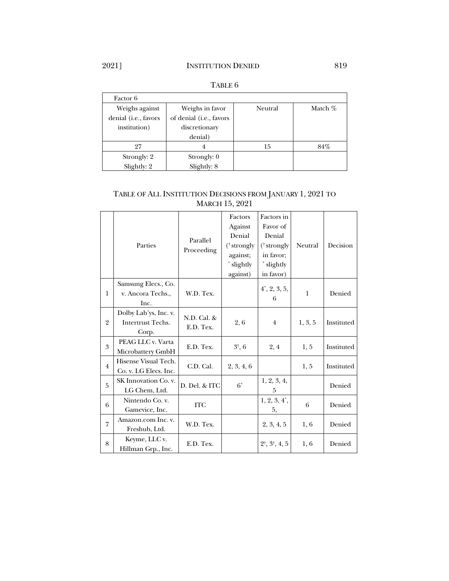# 2021] **INSTITUTION DENIED** 819

| Factor 6             |                         |         |           |
|----------------------|-------------------------|---------|-----------|
| Weighs against       | Weighs in favor         | Neutral | Match $%$ |
| denial (i.e., favors | of denial (i.e., favors |         |           |
| institution)         | discretionary           |         |           |
|                      | denial)                 |         |           |
| 97                   | 4                       | 15      | 84%       |
| Strongly: 2          | Strongly: 0             |         |           |
| Slightly: 2          | Slightly: 8             |         |           |

#### TABLE 6

#### TABLE OF ALL INSTITUTION DECISIONS FROM JANUARY 1, 2021 TO MARCH 15, 2021

|                |                       |               | Factors                | Factors in                       |         |            |
|----------------|-----------------------|---------------|------------------------|----------------------------------|---------|------------|
|                |                       |               | Against                | Favor of                         |         |            |
|                |                       | Parallel      | Denial                 | Denial                           |         |            |
|                | Parties               | Proceeding    | $(^{\dagger}$ strongly | $(^{\dagger}$ strongly           | Neutral | Decision   |
|                |                       |               | against;               | in favor;                        |         |            |
|                |                       |               | * slightly             | * slightly                       |         |            |
|                |                       |               | against)               | in favor)                        |         |            |
|                | Samsung Elecs., Co.   |               |                        | $4^{\circ}, 2, 3, 5,$            |         |            |
| $\mathbf{1}$   | v. Ancora Techs.,     | W.D. Tex.     |                        | 6                                | 1       | Denied     |
|                | Inc.                  |               |                        |                                  |         |            |
|                | Dolby Lab'ys, Inc. v. | N.D. Cal. &   |                        |                                  |         |            |
| $\overline{2}$ | Intertrust Techs.     |               | 2, 6                   |                                  | 1, 3, 5 | Instituted |
|                | Corp.                 | E.D. Tex.     |                        |                                  |         |            |
| 3              | PEAG LLC v. Varta     |               |                        |                                  |         |            |
|                | Microbattery GmbH     | E.D. Tex.     | $3^{\dagger}$ , 6      | 2, 4                             | 1, 5    | Instituted |
| $\overline{4}$ | Hisense Visual Tech.  | C.D. Cal.     |                        |                                  |         | Instituted |
|                | Co. v. LG Elecs. Inc. |               | 2, 3, 4, 6             |                                  | 1, 5    |            |
| 5              | SK Innovation Co. v.  | D. Del. & ITC | $6^*$                  | 1, 2, 3, 4,                      |         | Denied     |
|                | LG Chem, Ltd.         |               |                        | 5                                |         |            |
|                | Nintendo Co. v.       |               |                        | $1, 2, 3, 4^*$                   | 6       |            |
| 6              | Gamevice, Inc.        | <b>ITC</b>    |                        | 5,                               |         | Denied     |
| $\overline{7}$ | Amazon.com Inc. v.    |               |                        |                                  |         |            |
|                | Freshub, Ltd.         | W.D. Tex.     |                        | 2, 3, 4, 5                       | 1,6     | Denied     |
|                | Keyme, LLC v.         |               |                        |                                  |         |            |
| 8              | Hillman Grp., Inc.    | E.D. Tex.     |                        | $2^{\dagger}, 3^{\dagger}, 4, 5$ | 1, 6    | Denied     |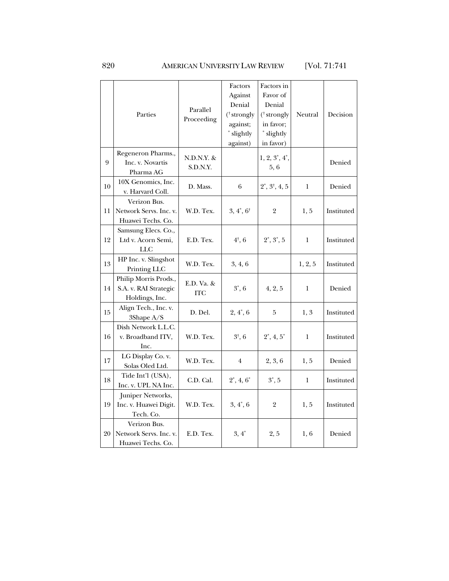## 820 AMERICAN UNIVERSITY LAW REVIEW [Vol. 71:741

|    | Parties                                                          | Parallel<br>Proceeding   | Factors<br>Against<br>Denial<br>$(*strongly$<br>against;<br>* slightly<br>against) | Factors in<br>Favor of<br>Denial<br>$(^{\dagger}$ strongly<br>in favor;<br>* slightly<br>in favor) | Neutral      | Decision   |
|----|------------------------------------------------------------------|--------------------------|------------------------------------------------------------------------------------|----------------------------------------------------------------------------------------------------|--------------|------------|
| 9  | Regeneron Pharms.,<br>Inc. v. Novartis<br>Pharma AG              | N.D.N.Y. &<br>S.D.N.Y.   |                                                                                    | $1, 2, 3^*, 4^*,$<br>5,6                                                                           |              | Denied     |
| 10 | 10X Genomics, Inc.<br>v. Harvard Coll.                           | D. Mass.                 | $\,6\,$                                                                            | $2^*, 3^+, 4, 5$                                                                                   | 1            | Denied     |
| 11 | Verizon Bus.<br>Network Servs. Inc. v.<br>Huawei Techs. Co.      | W.D. Tex.                | $3, 4^*, 6^*$                                                                      | $\overline{2}$                                                                                     | 1, 5         | Instituted |
| 12 | Samsung Elecs. Co.,<br>Ltd v. Acorn Semi,<br><b>LLC</b>          | E.D. Tex.                | $4^{\dagger}$ , 6                                                                  | $2^*, 3^*, 5$                                                                                      | $\mathbf{1}$ | Instituted |
| 13 | HP Inc. v. Slingshot<br>Printing LLC                             | W.D. Tex.                | 3, 4, 6                                                                            |                                                                                                    | 1, 2, 5      | Instituted |
| 14 | Philip Morris Prods.,<br>S.A. v. RAI Strategic<br>Holdings, Inc. | E.D. Va. &<br><b>ITC</b> | $3^*$ , 6                                                                          | 4, 2, 5                                                                                            | 1            | Denied     |
| 15 | Align Tech., Inc. v.<br>3Shape A/S                               | D. Del.                  | $2, 4^*, 6$                                                                        | 5                                                                                                  | 1, 3         | Instituted |
| 16 | Dish Network L.L.C.<br>v. Broadband ITV,<br>Inc.                 | W.D. Tex.                | $3^{\dagger}$ , 6                                                                  | $2^*, 4, 5^*$                                                                                      | 1            | Instituted |
| 17 | LG Display Co. v.<br>Solas Oled Ltd.                             | W.D. Tex.                | $\overline{4}$                                                                     | 2, 3, 6                                                                                            | 1, 5         | Denied     |
| 18 | Tide Int'l (USA),<br>Inc. v. UPL NA Inc.                         | C.D. Cal.                | $2^*, 4, 6^*$                                                                      | $3^*$ , 5                                                                                          | 1            | Instituted |
| 19 | Juniper Networks,<br>Inc. v. Huawei Digit.<br>Tech. Co.          | W.D. Tex.                | $3, 4^*, 6$                                                                        | $\mathbf 2$                                                                                        | 1, 5         | Instituted |
| 20 | Verizon Bus.<br>Network Servs. Inc. v.<br>Huawei Techs. Co.      | E.D. Tex.                | $3,4^*$                                                                            | 2, 5                                                                                               | 1,6          | Denied     |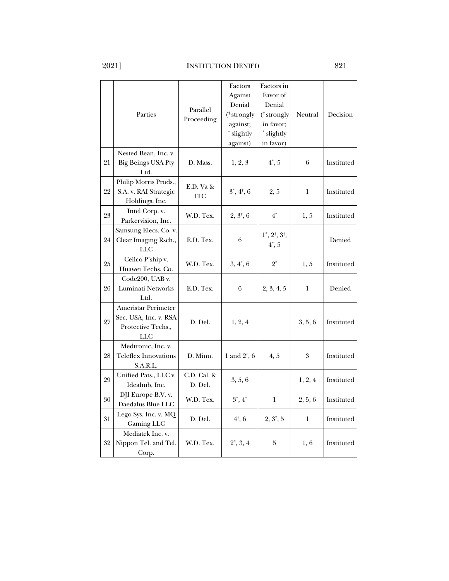|    | Parties                                                                          | Parallel<br>Proceeding  | Factors<br>Against<br>Denial<br>(† strongly<br>against;<br>* slightly<br>against) | Factors in<br>Favor of<br>Denial<br>$(^{\dagger}$ strongly<br>in favor;<br>* slightly<br>in favor) | Neutral | Decision   |
|----|----------------------------------------------------------------------------------|-------------------------|-----------------------------------------------------------------------------------|----------------------------------------------------------------------------------------------------|---------|------------|
| 21 | Nested Bean, Inc. v.<br><b>Big Beings USA Pty</b><br>Ltd.                        | D. Mass.                | 1, 2, 3                                                                           | $4^*$ , 5                                                                                          | 6       | Instituted |
| 22 | Philip Morris Prods.,<br>S.A. v. RAI Strategic<br>Holdings, Inc.                 | E.D. Va &<br><b>ITC</b> | $3^*, 4^*, 6$                                                                     | 2, 5                                                                                               | 1       | Instituted |
| 23 | Intel Corp. v.<br>Parkervision, Inc.                                             | W.D. Tex.               | $2, 3^{\dagger}, 6$                                                               | $4^*$                                                                                              | 1, 5    | Instituted |
| 24 | Samsung Elecs. Co. v.<br>Clear Imaging Rsch.,<br><b>LLC</b>                      | E.D. Tex.               | 6                                                                                 | $1^*, 2^{\dagger}, 3^{\dagger},$<br>$4^*$ , 5                                                      |         | Denied     |
| 25 | Cellco P'ship v.<br>Huawei Techs. Co.                                            | W.D. Tex.               | $3, 4^*, 6$                                                                       | $2^*$                                                                                              | 1, 5    | Instituted |
| 26 | Code200, UAB v.<br>Luminati Networks<br>Ltd.                                     | E.D. Tex.               | 6                                                                                 | 2, 3, 4, 5                                                                                         | 1       | Denied     |
| 27 | Ameristar Perimeter<br>Sec. USA, Inc. v. RSA<br>Protective Techs.,<br><b>LLC</b> | D. Del.                 | 1, 2, 4                                                                           |                                                                                                    | 3, 5, 6 | Instituted |
| 28 | Medtronic, Inc. v.<br><b>Teleflex Innovations</b><br>S.A.R.L.                    | D. Minn.                | 1 and $2^{\dagger}$ , 6                                                           | 4, 5                                                                                               | 3       | Instituted |
| 29 | Unified Pats., LLC v.<br>Ideahub, Inc.                                           | C.D. Cal. &<br>D. Del.  | 3, 5, 6                                                                           |                                                                                                    | 1, 2, 4 | Instituted |
| 30 | DJI Europe B.V. v.<br>Daedalus Blue LLC                                          | W.D. Tex.               | $3^*$ , $4^+$                                                                     | $\bf{l}$                                                                                           | 2, 5, 6 | Instituted |
| 31 | Lego Sys. Inc. v. MQ<br>Gaming LLC                                               | D. Del.                 | $4^{\dagger}$ , 6                                                                 | $2, 3^*, 5$                                                                                        | 1       | Instituted |
| 32 | Mediatek Inc. v.<br>Nippon Tel. and Tel.<br>Corp.                                | W.D. Tex.               | $2^*, 3, 4$                                                                       | 5                                                                                                  | 1,6     | Instituted |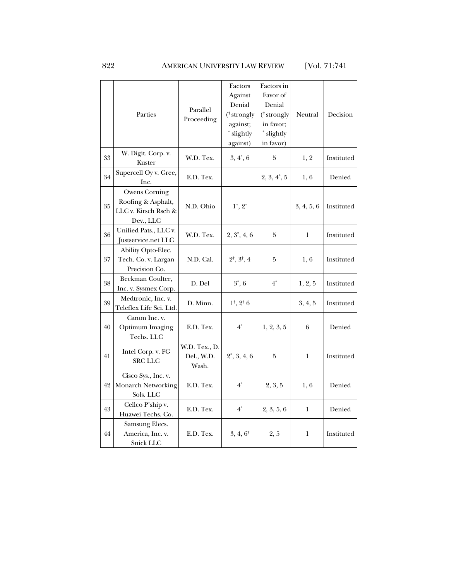## 822 AMERICAN UNIVERSITY LAW REVIEW [Vol. 71:741

|    | Parties                                                                         | Parallel<br>Proceeding               | Factors<br>Against<br>Denial<br>(† strongly<br>against;<br>* slightly<br>against) | Factors in<br>Favor of<br>Denial<br>(† strongly<br>in favor;<br>* slightly<br>in favor) | Neutral    | Decision   |
|----|---------------------------------------------------------------------------------|--------------------------------------|-----------------------------------------------------------------------------------|-----------------------------------------------------------------------------------------|------------|------------|
| 33 | W. Digit. Corp. v.<br>Kuster                                                    | W.D. Tex.                            | $3, 4^*, 6$                                                                       | 5                                                                                       | 1, 2       | Instituted |
| 34 | Supercell Oy v. Gree,<br>Inc.                                                   | E.D. Tex.                            |                                                                                   | $2, 3, 4^*, 5$                                                                          | 1, 6       | Denied     |
| 35 | <b>Owens Corning</b><br>Roofing & Asphalt,<br>LLC v. Kirsch Rsch &<br>Dev., LLC | N.D. Ohio                            | $1^{\dagger}$ , $2^{\dagger}$                                                     |                                                                                         | 3, 4, 5, 6 | Instituted |
| 36 | Unified Pats., LLC v.<br>Justservice.net LLC                                    | W.D. Tex.                            | $2, 3^*, 4, 6$                                                                    | 5                                                                                       | 1          | Instituted |
| 37 | Ability Opto-Elec.<br>Tech. Co. v. Largan<br>Precision Co.                      | N.D. Cal.                            | $2^{\dagger}, 3^{\dagger}, 4$                                                     | 5                                                                                       | 1,6        | Instituted |
| 38 | Beckman Coulter,<br>Inc. v. Sysmex Corp.                                        | D. Del                               | $3^*$ , 6                                                                         | $4^*$                                                                                   | 1, 2, 5    | Instituted |
| 39 | Medtronic, Inc. v.<br>Teleflex Life Sci. Ltd.                                   | D. Minn.                             | $1^{\dagger}$ , $2^{\dagger}$ 6                                                   |                                                                                         | 3, 4, 5    | Instituted |
| 40 | Canon Inc. v.<br><b>Optimum Imaging</b><br>Techs. LLC                           | E.D. Tex.                            | $4^*$                                                                             | 1, 2, 3, 5                                                                              | 6          | Denied     |
| 41 | Intel Corp. v. FG<br><b>SRC LLC</b>                                             | W.D. Tex., D.<br>Del., W.D.<br>Wash. | $2^*, 3, 4, 6$                                                                    | 5                                                                                       | 1          | Instituted |
| 42 | Cisco Sys., Inc. v.<br><b>Monarch Networking</b><br>Sols. LLC                   | E.D. Tex.                            | $4^*$                                                                             | 2, 3, 5                                                                                 | 1,6        | Denied     |
| 43 | Cellco P'ship v.<br>Huawei Techs. Co.                                           | E.D. Tex.                            | $4^*$                                                                             | 2, 3, 5, 6                                                                              | 1          | Denied     |
| 44 | Samsung Elecs.<br>America, Inc. v.<br>Snick LLC                                 | E.D. Tex.                            | $3, 4, 6^{\dagger}$                                                               | 2, 5                                                                                    | 1          | Instituted |